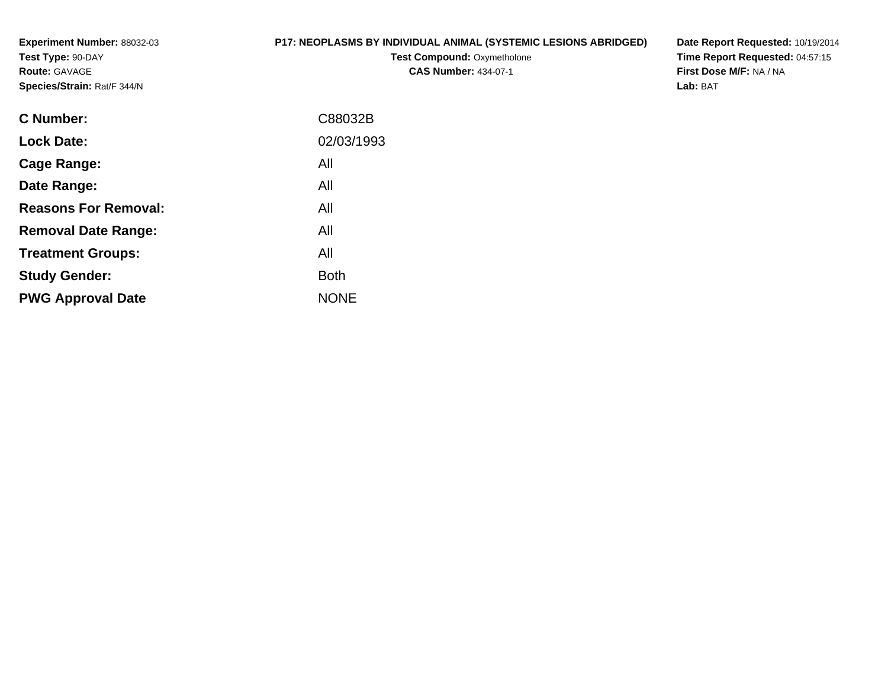**Experiment Number:** 88032-03**Test Type:** 90-DAY**Route:** GAVAGE**Species/Strain:** Rat/F 344/N

#### **P17: NEOPLASMS BY INDIVIDUAL ANIMAL (SYSTEMIC LESIONS ABRIDGED)**

**Test Compound: Oxymetholone CAS Number:** 434-07-1

**Date Report Requested:** 10/19/2014 **Time Report Requested:** 04:57:15**First Dose M/F:** NA / NA**Lab:** BAT

| C88032B     |
|-------------|
| 02/03/1993  |
| All         |
| All         |
| All         |
| All         |
| All         |
| <b>Both</b> |
| <b>NONE</b> |
|             |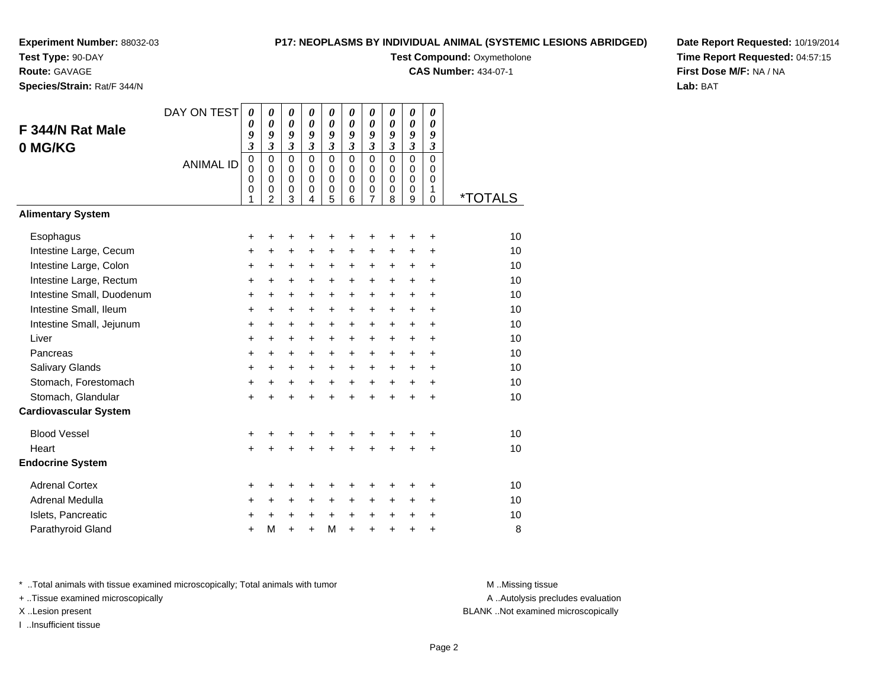**Test Type:** 90-DAY

#### **Route:** GAVAGE

**Species/Strain:** Rat/F 344/N

#### **P17: NEOPLASMS BY INDIVIDUAL ANIMAL (SYSTEMIC LESIONS ABRIDGED)**

**Test Compound: Oxymetholone** 

**CAS Number:** 434-07-1

**Date Report Requested:** 10/19/2014**Time Report Requested:** 04:57:15**First Dose M/F:** NA / NA**Lab:** BAT

| F 344/N Rat Male<br>0 MG/KG<br><b>Alimentary System</b> | DAY ON TEST<br><b>ANIMAL ID</b> | $\boldsymbol{\theta}$<br>$\theta$<br>9<br>$\overline{\mathbf{3}}$<br>$\mathbf 0$<br>$\mathbf 0$<br>0<br>0<br>1 | $\boldsymbol{\theta}$<br>$\boldsymbol{\theta}$<br>9<br>$\mathfrak{z}$<br>$\mathbf 0$<br>$\mathbf 0$<br>$\mathbf 0$<br>0<br>2 | $\boldsymbol{\theta}$<br>$\boldsymbol{\theta}$<br>9<br>$\mathfrak{z}$<br>$\mathbf{0}$<br>$\mathbf 0$<br>$\mathbf 0$<br>0<br>3 | $\pmb{\theta}$<br>$\boldsymbol{\theta}$<br>9<br>$\overline{\mathbf{3}}$<br>$\Omega$<br>$\mathbf 0$<br>$\mathbf 0$<br>0<br>$\overline{4}$ | $\pmb{\theta}$<br>$\boldsymbol{\theta}$<br>9<br>$\mathfrak{z}$<br>$\Omega$<br>0<br>0<br>0<br>5 | 0<br>$\boldsymbol{\theta}$<br>9<br>$\mathfrak{z}$<br>$\Omega$<br>$\Omega$<br>$\mathbf 0$<br>$\mathbf 0$<br>6 | $\pmb{\theta}$<br>$\boldsymbol{\theta}$<br>9<br>$\boldsymbol{\mathfrak{z}}$<br>$\mathbf 0$<br>0<br>0<br>$\mathbf 0$<br>$\overline{7}$ | 0<br>$\boldsymbol{\theta}$<br>9<br>$\overline{\mathbf{3}}$<br>$\Omega$<br>0<br>0<br>0<br>8 | 0<br>$\boldsymbol{\theta}$<br>9<br>$\overline{\mathbf{3}}$<br>$\mathbf 0$<br>$\mathbf 0$<br>$\mathbf 0$<br>0<br>9 | 0<br>0<br>9<br>3<br>0<br>$\Omega$<br>$\Omega$<br>1<br>$\mathbf 0$ | <i><b>*TOTALS</b></i> |
|---------------------------------------------------------|---------------------------------|----------------------------------------------------------------------------------------------------------------|------------------------------------------------------------------------------------------------------------------------------|-------------------------------------------------------------------------------------------------------------------------------|------------------------------------------------------------------------------------------------------------------------------------------|------------------------------------------------------------------------------------------------|--------------------------------------------------------------------------------------------------------------|---------------------------------------------------------------------------------------------------------------------------------------|--------------------------------------------------------------------------------------------|-------------------------------------------------------------------------------------------------------------------|-------------------------------------------------------------------|-----------------------|
|                                                         |                                 |                                                                                                                |                                                                                                                              |                                                                                                                               |                                                                                                                                          |                                                                                                |                                                                                                              |                                                                                                                                       |                                                                                            |                                                                                                                   |                                                                   |                       |
| Esophagus                                               |                                 | +                                                                                                              | +                                                                                                                            | +                                                                                                                             | +                                                                                                                                        | +                                                                                              | +                                                                                                            | $\ddot{}$                                                                                                                             | +                                                                                          | $\ddot{}$                                                                                                         | +                                                                 | 10                    |
| Intestine Large, Cecum                                  |                                 | +                                                                                                              | $\ddot{}$                                                                                                                    | $\ddot{}$                                                                                                                     | $\ddot{}$                                                                                                                                | $\ddot{}$                                                                                      | $\ddot{}$                                                                                                    | +                                                                                                                                     | $\ddot{}$                                                                                  | +                                                                                                                 | $\ddot{}$                                                         | 10                    |
| Intestine Large, Colon                                  |                                 | +                                                                                                              | +                                                                                                                            | $\ddot{}$                                                                                                                     | +                                                                                                                                        | $\ddot{}$                                                                                      | $\ddot{}$                                                                                                    | +                                                                                                                                     | +                                                                                          | +                                                                                                                 | $\ddot{}$                                                         | 10                    |
| Intestine Large, Rectum                                 |                                 | +                                                                                                              | $\ddot{}$                                                                                                                    | $\ddot{}$                                                                                                                     | +                                                                                                                                        | $\ddot{}$                                                                                      | $\ddot{}$                                                                                                    | $\ddot{}$                                                                                                                             | +                                                                                          | +                                                                                                                 | $\ddot{}$                                                         | 10                    |
| Intestine Small, Duodenum                               |                                 | $\ddot{}$                                                                                                      | $\ddot{}$                                                                                                                    | $\ddot{}$                                                                                                                     | +                                                                                                                                        | $\ddot{}$                                                                                      | $\ddot{}$                                                                                                    | +                                                                                                                                     | +                                                                                          | +                                                                                                                 | $\ddot{}$                                                         | 10                    |
| Intestine Small, Ileum                                  |                                 | $\ddot{}$                                                                                                      | $\ddot{}$                                                                                                                    | $\ddot{}$                                                                                                                     | $\ddot{}$                                                                                                                                | $\ddot{}$                                                                                      | $\ddot{}$                                                                                                    | $\ddot{}$                                                                                                                             | $\ddot{}$                                                                                  | $\ddot{}$                                                                                                         | $\ddot{}$                                                         | 10                    |
| Intestine Small, Jejunum                                |                                 | $\ddot{}$                                                                                                      | $\ddot{}$                                                                                                                    | $\ddot{}$                                                                                                                     | $\ddot{}$                                                                                                                                | $\ddot{}$                                                                                      | $\ddot{}$                                                                                                    | $\ddot{}$                                                                                                                             | $\ddot{}$                                                                                  | $\ddot{}$                                                                                                         | $\ddot{}$                                                         | 10                    |
| Liver                                                   |                                 | $\ddot{}$                                                                                                      | $\ddot{}$                                                                                                                    | $\ddot{}$                                                                                                                     | $\ddot{}$                                                                                                                                | $\ddot{}$                                                                                      | $\ddot{}$                                                                                                    | $\ddot{}$                                                                                                                             | $\ddot{}$                                                                                  | $+$                                                                                                               | $\ddot{}$                                                         | 10                    |
| Pancreas                                                |                                 | $\ddot{}$                                                                                                      | $\ddot{}$                                                                                                                    | $\ddot{}$                                                                                                                     | $\ddot{}$                                                                                                                                | $\ddot{}$                                                                                      | $\ddot{}$                                                                                                    | $\ddot{}$                                                                                                                             | $\ddot{}$                                                                                  | $\ddot{}$                                                                                                         | $\ddot{}$                                                         | 10                    |
| <b>Salivary Glands</b>                                  |                                 | $\ddot{}$                                                                                                      | $\ddot{}$                                                                                                                    | $\ddot{}$                                                                                                                     | $\ddot{}$                                                                                                                                | $\ddot{}$                                                                                      | $\ddot{}$                                                                                                    | $\ddot{}$                                                                                                                             | $\ddot{}$                                                                                  | $\ddot{}$                                                                                                         | $\ddot{}$                                                         | 10                    |
| Stomach, Forestomach                                    |                                 | $\ddot{}$                                                                                                      | +                                                                                                                            | $\ddot{}$                                                                                                                     | $\ddot{}$                                                                                                                                | $\ddot{}$                                                                                      | $+$                                                                                                          | $\ddot{}$                                                                                                                             | $\ddot{}$                                                                                  | $\ddot{}$                                                                                                         | $\ddot{}$                                                         | 10                    |
| Stomach, Glandular                                      |                                 | $\ddot{}$                                                                                                      | $\ddot{}$                                                                                                                    | $\ddot{}$                                                                                                                     | $\ddot{}$                                                                                                                                | $\ddot{}$                                                                                      | $\ddot{}$                                                                                                    | $\ddot{}$                                                                                                                             | $\ddot{}$                                                                                  | $\ddot{}$                                                                                                         | $\ddot{}$                                                         | 10                    |
| <b>Cardiovascular System</b>                            |                                 |                                                                                                                |                                                                                                                              |                                                                                                                               |                                                                                                                                          |                                                                                                |                                                                                                              |                                                                                                                                       |                                                                                            |                                                                                                                   |                                                                   |                       |
| <b>Blood Vessel</b>                                     |                                 | $\ddot{}$                                                                                                      | +                                                                                                                            |                                                                                                                               | +                                                                                                                                        | +                                                                                              |                                                                                                              |                                                                                                                                       |                                                                                            | +                                                                                                                 | +                                                                 | 10                    |
| Heart                                                   |                                 | $\ddot{}$                                                                                                      | $\ddot{}$                                                                                                                    | $\ddot{}$                                                                                                                     | $\ddot{}$                                                                                                                                | $\ddot{}$                                                                                      | $\ddot{}$                                                                                                    | $\ddot{}$                                                                                                                             | $\ddot{}$                                                                                  | $\ddot{}$                                                                                                         | +                                                                 | 10                    |
| <b>Endocrine System</b>                                 |                                 |                                                                                                                |                                                                                                                              |                                                                                                                               |                                                                                                                                          |                                                                                                |                                                                                                              |                                                                                                                                       |                                                                                            |                                                                                                                   |                                                                   |                       |
| <b>Adrenal Cortex</b>                                   |                                 | +                                                                                                              | +                                                                                                                            | +                                                                                                                             | +                                                                                                                                        | +                                                                                              | +                                                                                                            | +                                                                                                                                     | +                                                                                          | +                                                                                                                 | +                                                                 | 10                    |
| Adrenal Medulla                                         |                                 | $\ddot{}$                                                                                                      | $\ddot{}$                                                                                                                    | $\ddot{}$                                                                                                                     | $\ddot{}$                                                                                                                                | +                                                                                              | $\ddot{}$                                                                                                    | $\ddot{}$                                                                                                                             | $\ddot{}$                                                                                  | $\ddot{}$                                                                                                         | $\ddot{}$                                                         | 10                    |
| Islets, Pancreatic                                      |                                 | +                                                                                                              | $\ddot{}$                                                                                                                    | $\ddot{}$                                                                                                                     | $\ddot{}$                                                                                                                                | $\ddot{}$                                                                                      | $\ddot{}$                                                                                                    | $\ddot{}$                                                                                                                             | $\ddot{}$                                                                                  | +                                                                                                                 | $\ddot{}$                                                         | 10                    |
| Parathyroid Gland                                       |                                 | +                                                                                                              | M                                                                                                                            | ÷                                                                                                                             | ÷                                                                                                                                        | M                                                                                              | $\ddot{}$                                                                                                    | $\ddot{}$                                                                                                                             | ÷                                                                                          | $\ddot{}$                                                                                                         | +                                                                 | 8                     |

\* ..Total animals with tissue examined microscopically; Total animals with tumor **M** . Missing tissue M ..Missing tissue

+ ..Tissue examined microscopically

I ..Insufficient tissue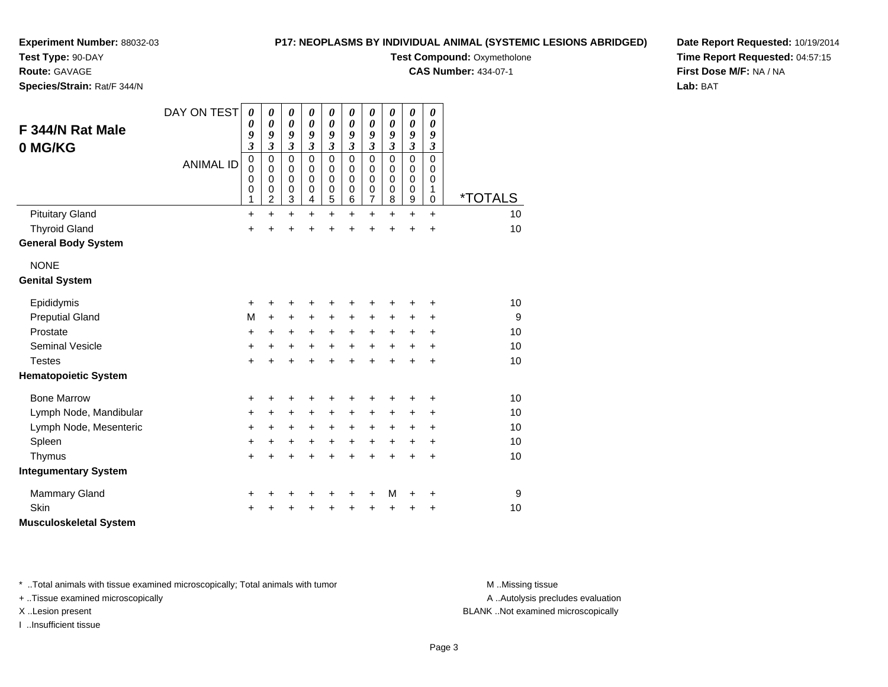#### **P17: NEOPLASMS BY INDIVIDUAL ANIMAL (SYSTEMIC LESIONS ABRIDGED)**

**Experiment Number:** 88032-03

**Test Type:** 90-DAY

**Route:** GAVAGE

**Species/Strain:** Rat/F 344/N

**Test Compound: Oxymetholone** 

**CAS Number:** 434-07-1

**Date Report Requested:** 10/19/2014**Time Report Requested:** 04:57:15**First Dose M/F:** NA / NA**Lab:** BAT

| F 344/N Rat Male<br>0 MG/KG<br><b>Pituitary Gland</b> | DAY ON TEST<br><b>ANIMAL ID</b> | 0<br>0<br>9<br>$\overline{\mathbf{3}}$<br>$\mathbf 0$<br>0<br>$\mathbf 0$<br>$\mathbf 0$<br>1<br>$\ddot{}$ | 0<br>0<br>9<br>$\overline{\mathbf{3}}$<br>$\mathbf 0$<br>0<br>0<br>$\mathbf 0$<br>2<br>$\ddot{}$ | 0<br>$\boldsymbol{\theta}$<br>9<br>$\overline{\mathbf{3}}$<br>$\mathbf 0$<br>0<br>$\mathbf 0$<br>$\pmb{0}$<br>$\ensuremath{\mathsf{3}}$<br>$\ddot{}$ | 0<br>0<br>9<br>3<br>0<br>0<br>0<br>0<br>4<br>+ | 0<br>$\boldsymbol{\theta}$<br>9<br>$\mathfrak{z}$<br>$\mathbf 0$<br>0<br>0<br>$\pmb{0}$<br>5<br>$\ddot{}$ | 0<br>$\boldsymbol{\theta}$<br>9<br>$\overline{\mathbf{3}}$<br>$\Omega$<br>$\Omega$<br>$\Omega$<br>$\pmb{0}$<br>6<br>$\ddot{}$ | $\boldsymbol{\theta}$<br>$\boldsymbol{\theta}$<br>9<br>$\mathfrak{z}$<br>$\mathbf 0$<br>0<br>$\mathbf 0$<br>$\mathbf 0$<br>$\overline{7}$<br>$\ddot{}$ | 0<br>0<br>9<br>$\mathfrak{z}$<br>$\Omega$<br>0<br>0<br>$\mathbf 0$<br>8<br>$\ddot{}$ | $\boldsymbol{\theta}$<br>$\boldsymbol{\theta}$<br>9<br>$\mathfrak{z}$<br>$\mathbf 0$<br>0<br>0<br>$\mathbf 0$<br>$\boldsymbol{9}$<br>$\ddot{}$ | 0<br>$\boldsymbol{\theta}$<br>9<br>$\mathfrak{z}$<br>$\Omega$<br>0<br>$\mathbf 0$<br>1<br>$\mathbf 0$<br>$\ddot{}$ | <i><b>*TOTALS</b></i><br>10 |
|-------------------------------------------------------|---------------------------------|------------------------------------------------------------------------------------------------------------|--------------------------------------------------------------------------------------------------|------------------------------------------------------------------------------------------------------------------------------------------------------|------------------------------------------------|-----------------------------------------------------------------------------------------------------------|-------------------------------------------------------------------------------------------------------------------------------|--------------------------------------------------------------------------------------------------------------------------------------------------------|--------------------------------------------------------------------------------------|------------------------------------------------------------------------------------------------------------------------------------------------|--------------------------------------------------------------------------------------------------------------------|-----------------------------|
| <b>Thyroid Gland</b>                                  |                                 | +                                                                                                          | +                                                                                                | +                                                                                                                                                    | +                                              | +                                                                                                         | +                                                                                                                             | +                                                                                                                                                      | +                                                                                    | +                                                                                                                                              | $\ddot{}$                                                                                                          | 10                          |
| <b>General Body System</b>                            |                                 |                                                                                                            |                                                                                                  |                                                                                                                                                      |                                                |                                                                                                           |                                                                                                                               |                                                                                                                                                        |                                                                                      |                                                                                                                                                |                                                                                                                    |                             |
| <b>NONE</b>                                           |                                 |                                                                                                            |                                                                                                  |                                                                                                                                                      |                                                |                                                                                                           |                                                                                                                               |                                                                                                                                                        |                                                                                      |                                                                                                                                                |                                                                                                                    |                             |
| <b>Genital System</b>                                 |                                 |                                                                                                            |                                                                                                  |                                                                                                                                                      |                                                |                                                                                                           |                                                                                                                               |                                                                                                                                                        |                                                                                      |                                                                                                                                                |                                                                                                                    |                             |
| Epididymis                                            |                                 | $\ddot{}$                                                                                                  | +                                                                                                | +                                                                                                                                                    | +                                              | +                                                                                                         | +                                                                                                                             | +                                                                                                                                                      |                                                                                      | +                                                                                                                                              | +                                                                                                                  | 10                          |
| <b>Preputial Gland</b>                                |                                 | M                                                                                                          | +                                                                                                | +                                                                                                                                                    | +                                              | +                                                                                                         | +                                                                                                                             | +                                                                                                                                                      | +                                                                                    | +                                                                                                                                              | ٠                                                                                                                  | 9                           |
| Prostate                                              |                                 | +                                                                                                          | +                                                                                                | $\ddot{}$                                                                                                                                            | $\ddot{}$                                      | $\ddot{}$                                                                                                 | $\ddot{}$                                                                                                                     | $\ddot{}$                                                                                                                                              | $\ddot{}$                                                                            | +                                                                                                                                              | $\ddot{}$                                                                                                          | 10                          |
| <b>Seminal Vesicle</b>                                |                                 | +                                                                                                          | +                                                                                                | +                                                                                                                                                    | $\ddot{}$                                      | $\ddot{}$                                                                                                 | $\ddot{}$                                                                                                                     | $\ddot{}$                                                                                                                                              | $\ddot{}$                                                                            | $\ddot{}$                                                                                                                                      | $\ddot{}$                                                                                                          | 10                          |
| <b>Testes</b>                                         |                                 | $\ddot{}$                                                                                                  | $\ddot{}$                                                                                        | $\ddot{}$                                                                                                                                            | $\ddot{}$                                      | $\ddot{}$                                                                                                 | $\ddot{}$                                                                                                                     | $\ddot{}$                                                                                                                                              | ÷                                                                                    | $\ddot{}$                                                                                                                                      | $\ddot{}$                                                                                                          | 10                          |
| <b>Hematopoietic System</b>                           |                                 |                                                                                                            |                                                                                                  |                                                                                                                                                      |                                                |                                                                                                           |                                                                                                                               |                                                                                                                                                        |                                                                                      |                                                                                                                                                |                                                                                                                    |                             |
| <b>Bone Marrow</b>                                    |                                 | +                                                                                                          | +                                                                                                | +                                                                                                                                                    | +                                              | +                                                                                                         | +                                                                                                                             | +                                                                                                                                                      | +                                                                                    | +                                                                                                                                              | +                                                                                                                  | 10                          |
| Lymph Node, Mandibular                                |                                 | +                                                                                                          | +                                                                                                | $\ddot{}$                                                                                                                                            | $\ddot{}$                                      | $\ddot{}$                                                                                                 | +                                                                                                                             | $\ddot{}$                                                                                                                                              | $\ddot{}$                                                                            | $\ddot{}$                                                                                                                                      | $\ddot{}$                                                                                                          | 10                          |
| Lymph Node, Mesenteric                                |                                 | +                                                                                                          | +                                                                                                | $\ddot{}$                                                                                                                                            | +                                              | +                                                                                                         | +                                                                                                                             | $\ddot{}$                                                                                                                                              | +                                                                                    | +                                                                                                                                              | +                                                                                                                  | 10                          |
| Spleen                                                |                                 | +                                                                                                          | +                                                                                                | +                                                                                                                                                    | $\ddot{}$                                      | $\ddot{}$                                                                                                 | $\ddot{}$                                                                                                                     | $\ddot{}$                                                                                                                                              | +                                                                                    | +                                                                                                                                              | $\ddot{}$                                                                                                          | 10                          |
| Thymus                                                |                                 | $\ddot{}$                                                                                                  | $\ddot{}$                                                                                        | $\ddot{}$                                                                                                                                            | $\ddot{}$                                      | $\ddot{}$                                                                                                 | $\ddot{}$                                                                                                                     | $\ddot{}$                                                                                                                                              | $\ddot{}$                                                                            | $\ddot{}$                                                                                                                                      | $\ddot{}$                                                                                                          | 10                          |
| <b>Integumentary System</b>                           |                                 |                                                                                                            |                                                                                                  |                                                                                                                                                      |                                                |                                                                                                           |                                                                                                                               |                                                                                                                                                        |                                                                                      |                                                                                                                                                |                                                                                                                    |                             |
| <b>Mammary Gland</b>                                  |                                 | +                                                                                                          | +                                                                                                | +                                                                                                                                                    | +                                              | +                                                                                                         | +                                                                                                                             | +                                                                                                                                                      | M                                                                                    | +                                                                                                                                              | +                                                                                                                  | 9                           |
| Skin                                                  |                                 | ÷                                                                                                          |                                                                                                  | +                                                                                                                                                    |                                                | +                                                                                                         | +                                                                                                                             | +                                                                                                                                                      | +                                                                                    | +                                                                                                                                              | +                                                                                                                  | 10                          |
| <b>Musculoskeletal System</b>                         |                                 |                                                                                                            |                                                                                                  |                                                                                                                                                      |                                                |                                                                                                           |                                                                                                                               |                                                                                                                                                        |                                                                                      |                                                                                                                                                |                                                                                                                    |                             |

\* ..Total animals with tissue examined microscopically; Total animals with tumor **M** . Missing tissue M ..Missing tissue

+ ..Tissue examined microscopically

I ..Insufficient tissue

A ..Autolysis precludes evaluation

X ..Lesion present BLANK ..Not examined microscopically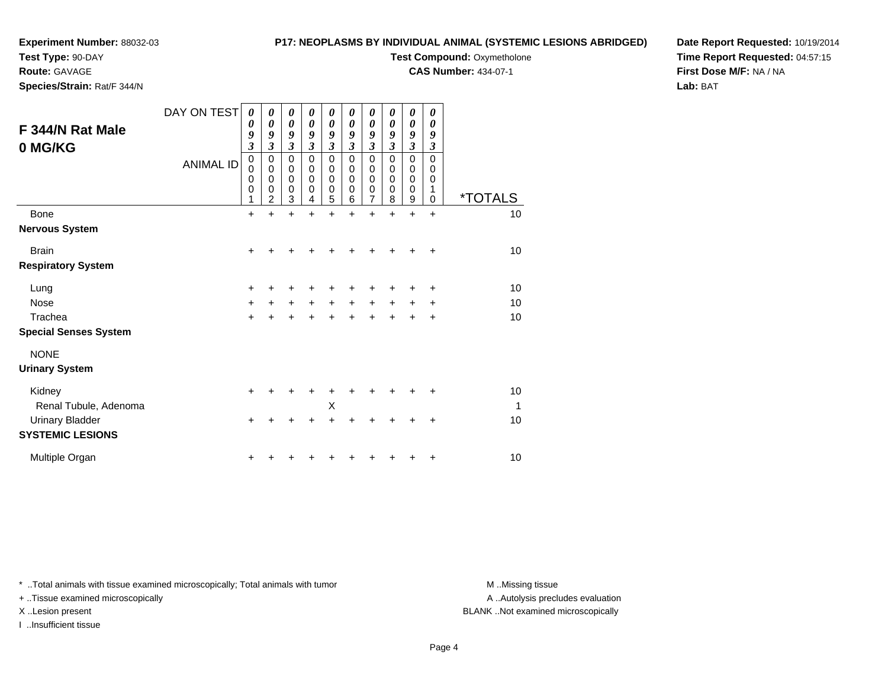#### **Test Type:** 90-DAY

**Route:** GAVAGE

**Species/Strain:** Rat/F 344/N

#### **P17: NEOPLASMS BY INDIVIDUAL ANIMAL (SYSTEMIC LESIONS ABRIDGED)**

### **Test Compound: Oxymetholone**

**CAS Number:** 434-07-1

**Date Report Requested:** 10/19/2014**Time Report Requested:** 04:57:15**First Dose M/F:** NA / NA**Lab:** BAT

| F 344/N Rat Male<br>0 MG/KG  | DAY ON TEST<br><b>ANIMAL ID</b> | 0<br>0<br>9<br>$\overline{\mathbf{3}}$<br>0<br>0<br>0<br>$\mathbf 0$ | 0<br>0<br>9<br>3<br>$\pmb{0}$<br>$\mathbf 0$<br>$\mathbf 0$<br>0<br>2 | $\boldsymbol{\theta}$<br>$\boldsymbol{\theta}$<br>9<br>$\mathfrak{z}$<br>$\pmb{0}$<br>$\mathbf 0$<br>0<br>$\mathbf 0$<br>3 | 0<br>0<br>9<br>$\boldsymbol{\beta}$<br>$\mathbf 0$<br>$\mathbf 0$<br>$\mathbf 0$<br>$\mathbf 0$<br>4 | $\boldsymbol{\theta}$<br>0<br>9<br>$\boldsymbol{\beta}$<br>$\mathbf 0$<br>$\mathbf 0$<br>$\mathbf 0$<br>$\mathbf 0$<br>5 | 0<br>0<br>9<br>3<br>0<br>0<br>$\mathbf 0$<br>0<br>6 | $\boldsymbol{\theta}$<br>$\boldsymbol{\theta}$<br>9<br>$\boldsymbol{\beta}$<br>$\pmb{0}$<br>$\pmb{0}$<br>$\mathbf 0$<br>$\mathbf 0$<br>$\overline{7}$ | 0<br>0<br>9<br>$\mathfrak{z}$<br>$\mathbf 0$<br>0<br>$\mathbf 0$<br>0<br>8 | 0<br>0<br>9<br>$\mathfrak{z}$<br>$\pmb{0}$<br>$\pmb{0}$<br>$\mathbf 0$<br>$\mathbf 0$<br>$\boldsymbol{9}$ | 0<br>$\boldsymbol{\theta}$<br>9<br>$\mathfrak{z}$<br>$\Omega$<br>$\mathbf 0$<br>0<br>1<br>$\Omega$ | <i><b>*TOTALS</b></i> |
|------------------------------|---------------------------------|----------------------------------------------------------------------|-----------------------------------------------------------------------|----------------------------------------------------------------------------------------------------------------------------|------------------------------------------------------------------------------------------------------|--------------------------------------------------------------------------------------------------------------------------|-----------------------------------------------------|-------------------------------------------------------------------------------------------------------------------------------------------------------|----------------------------------------------------------------------------|-----------------------------------------------------------------------------------------------------------|----------------------------------------------------------------------------------------------------|-----------------------|
| <b>Bone</b>                  |                                 | $\ddot{}$                                                            | $\ddot{}$                                                             | $\ddot{}$                                                                                                                  | $\ddot{}$                                                                                            | $\ddot{}$                                                                                                                | $\ddot{}$                                           | $\ddot{}$                                                                                                                                             | $\ddot{}$                                                                  | $\ddot{}$                                                                                                 | $\ddot{}$                                                                                          | 10                    |
| <b>Nervous System</b>        |                                 |                                                                      |                                                                       |                                                                                                                            |                                                                                                      |                                                                                                                          |                                                     |                                                                                                                                                       |                                                                            |                                                                                                           |                                                                                                    |                       |
| <b>Brain</b>                 |                                 | $\ddot{}$                                                            |                                                                       | +                                                                                                                          |                                                                                                      |                                                                                                                          |                                                     |                                                                                                                                                       |                                                                            |                                                                                                           |                                                                                                    | 10                    |
| <b>Respiratory System</b>    |                                 |                                                                      |                                                                       |                                                                                                                            |                                                                                                      |                                                                                                                          |                                                     |                                                                                                                                                       |                                                                            |                                                                                                           |                                                                                                    |                       |
| Lung                         |                                 | +                                                                    |                                                                       |                                                                                                                            |                                                                                                      | +                                                                                                                        |                                                     |                                                                                                                                                       |                                                                            |                                                                                                           | ٠                                                                                                  | 10                    |
| <b>Nose</b>                  |                                 | $\ddot{}$                                                            | $\ddot{}$                                                             | $\ddot{}$                                                                                                                  | $+$                                                                                                  | $+$                                                                                                                      | $\ddot{}$                                           | $\ddot{}$                                                                                                                                             | $\ddot{}$                                                                  | $\ddot{}$                                                                                                 | +                                                                                                  | 10                    |
| Trachea                      |                                 | $\ddot{}$                                                            |                                                                       | +                                                                                                                          | +                                                                                                    | +                                                                                                                        | $\ddot{}$                                           | $\ddot{}$                                                                                                                                             |                                                                            |                                                                                                           | +                                                                                                  | 10                    |
| <b>Special Senses System</b> |                                 |                                                                      |                                                                       |                                                                                                                            |                                                                                                      |                                                                                                                          |                                                     |                                                                                                                                                       |                                                                            |                                                                                                           |                                                                                                    |                       |
| <b>NONE</b>                  |                                 |                                                                      |                                                                       |                                                                                                                            |                                                                                                      |                                                                                                                          |                                                     |                                                                                                                                                       |                                                                            |                                                                                                           |                                                                                                    |                       |
| <b>Urinary System</b>        |                                 |                                                                      |                                                                       |                                                                                                                            |                                                                                                      |                                                                                                                          |                                                     |                                                                                                                                                       |                                                                            |                                                                                                           |                                                                                                    |                       |
| Kidney                       |                                 | +                                                                    |                                                                       |                                                                                                                            | +                                                                                                    | +                                                                                                                        |                                                     |                                                                                                                                                       |                                                                            |                                                                                                           |                                                                                                    | 10                    |
| Renal Tubule, Adenoma        |                                 |                                                                      |                                                                       |                                                                                                                            |                                                                                                      | X                                                                                                                        |                                                     |                                                                                                                                                       |                                                                            |                                                                                                           |                                                                                                    | $\mathbf 1$           |
| <b>Urinary Bladder</b>       |                                 | +                                                                    |                                                                       |                                                                                                                            |                                                                                                      | +                                                                                                                        |                                                     |                                                                                                                                                       |                                                                            |                                                                                                           | +                                                                                                  | 10                    |
| <b>SYSTEMIC LESIONS</b>      |                                 |                                                                      |                                                                       |                                                                                                                            |                                                                                                      |                                                                                                                          |                                                     |                                                                                                                                                       |                                                                            |                                                                                                           |                                                                                                    |                       |
| Multiple Organ               |                                 | +                                                                    |                                                                       |                                                                                                                            |                                                                                                      |                                                                                                                          |                                                     |                                                                                                                                                       |                                                                            |                                                                                                           | +                                                                                                  | 10                    |

\* ..Total animals with tissue examined microscopically; Total animals with tumor **M** . Missing tissue M ..Missing tissue

+ ..Tissue examined microscopically

I ..Insufficient tissue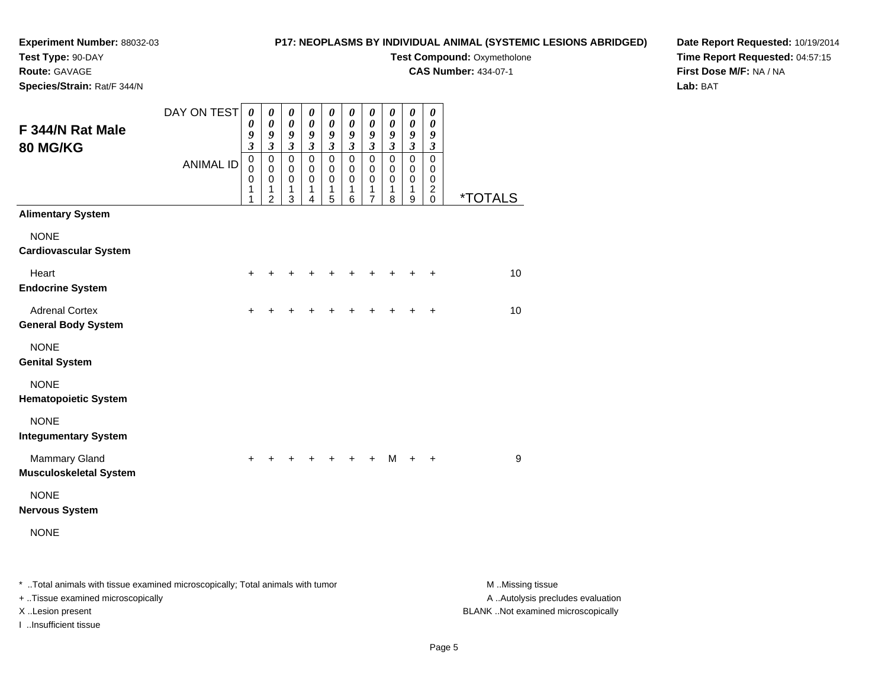#### **Experiment Number:** 88032-03**Test Type:** 90-DAY

#### **P17: NEOPLASMS BY INDIVIDUAL ANIMAL (SYSTEMIC LESIONS ABRIDGED)**

**Test Compound: Oxymetholone** 

**CAS Number:** 434-07-1

**Species/Strain:** Rat/F 344/N

**Route:** GAVAGE

#### **Date Report Requested:** 10/19/2014**Time Report Requested:** 04:57:15**First Dose M/F:** NA / NA**Lab:** BAT

|                                                                                | DAY ON TEST      | $\boldsymbol{\theta}$<br>0                                  | $\pmb{\theta}$<br>$\boldsymbol{\theta}$                                                       | 0<br>0                                                                           | $\boldsymbol{\theta}$<br>$\boldsymbol{\theta}$                        | 0<br>$\boldsymbol{\theta}$                                          | $\boldsymbol{\theta}$<br>$\boldsymbol{\theta}$                        | $\boldsymbol{\theta}$<br>$\boldsymbol{\theta}$                        | 0<br>0                                                             | $\boldsymbol{\theta}$<br>$\boldsymbol{\theta}$                                   | $\boldsymbol{\theta}$<br>$\boldsymbol{\theta}$                                              |                  |
|--------------------------------------------------------------------------------|------------------|-------------------------------------------------------------|-----------------------------------------------------------------------------------------------|----------------------------------------------------------------------------------|-----------------------------------------------------------------------|---------------------------------------------------------------------|-----------------------------------------------------------------------|-----------------------------------------------------------------------|--------------------------------------------------------------------|----------------------------------------------------------------------------------|---------------------------------------------------------------------------------------------|------------------|
| F 344/N Rat Male                                                               |                  | 9                                                           | 9                                                                                             | 9                                                                                | 9                                                                     | 9                                                                   | 9                                                                     | 9                                                                     | 9                                                                  | 9                                                                                | 9                                                                                           |                  |
| 80 MG/KG                                                                       | <b>ANIMAL ID</b> | $\mathfrak{z}$<br>$\mathbf 0$<br>$\mathbf 0$<br>0<br>1<br>1 | $\boldsymbol{\mathfrak{z}}$<br>$\mathbf 0$<br>$\mathbf 0$<br>$\pmb{0}$<br>1<br>$\overline{2}$ | $\boldsymbol{\mathfrak{z}}$<br>$\pmb{0}$<br>$\mathbf 0$<br>$\mathbf 0$<br>1<br>3 | $\mathfrak{z}$<br>$\mathbf 0$<br>$\mathbf 0$<br>$\mathbf 0$<br>1<br>4 | $\mathfrak{z}$<br>$\mathbf 0$<br>$\mathbf 0$<br>$\pmb{0}$<br>1<br>5 | $\mathfrak{z}$<br>$\mathbf 0$<br>$\mathbf 0$<br>$\mathbf 0$<br>1<br>6 | $\mathfrak{z}$<br>$\mathbf 0$<br>$\mathbf 0$<br>$\mathbf 0$<br>1<br>7 | $\overline{\mathbf{3}}$<br>$\pmb{0}$<br>$\mathbf 0$<br>0<br>1<br>8 | $\boldsymbol{\mathfrak{z}}$<br>$\pmb{0}$<br>$\mathbf 0$<br>$\mathbf 0$<br>1<br>9 | $\mathfrak{z}$<br>$\mathsf 0$<br>$\mathbf 0$<br>$\mathbf 0$<br>$\boldsymbol{2}$<br>$\Omega$ | <u>*TOTALS</u>   |
| <b>Alimentary System</b>                                                       |                  |                                                             |                                                                                               |                                                                                  |                                                                       |                                                                     |                                                                       |                                                                       |                                                                    |                                                                                  |                                                                                             |                  |
| <b>NONE</b><br><b>Cardiovascular System</b>                                    |                  |                                                             |                                                                                               |                                                                                  |                                                                       |                                                                     |                                                                       |                                                                       |                                                                    |                                                                                  |                                                                                             |                  |
| Heart<br><b>Endocrine System</b>                                               |                  | $\ddot{}$                                                   | +                                                                                             | +                                                                                |                                                                       | +                                                                   | ٠                                                                     | +                                                                     | ٠                                                                  | ÷                                                                                | $\ddot{}$                                                                                   | 10               |
| <b>Adrenal Cortex</b><br><b>General Body System</b>                            |                  | $\ddot{}$                                                   |                                                                                               |                                                                                  |                                                                       |                                                                     |                                                                       | +                                                                     |                                                                    | $\ddot{}$                                                                        | $\ddot{}$                                                                                   | 10               |
| <b>NONE</b><br><b>Genital System</b>                                           |                  |                                                             |                                                                                               |                                                                                  |                                                                       |                                                                     |                                                                       |                                                                       |                                                                    |                                                                                  |                                                                                             |                  |
| <b>NONE</b><br><b>Hematopoietic System</b>                                     |                  |                                                             |                                                                                               |                                                                                  |                                                                       |                                                                     |                                                                       |                                                                       |                                                                    |                                                                                  |                                                                                             |                  |
| <b>NONE</b><br><b>Integumentary System</b>                                     |                  |                                                             |                                                                                               |                                                                                  |                                                                       |                                                                     |                                                                       |                                                                       |                                                                    |                                                                                  |                                                                                             |                  |
| <b>Mammary Gland</b><br><b>Musculoskeletal System</b>                          |                  | +                                                           |                                                                                               |                                                                                  |                                                                       |                                                                     |                                                                       | +                                                                     | м                                                                  | $\ddot{}$                                                                        | $\ddot{}$                                                                                   | 9                |
| <b>NONE</b><br><b>Nervous System</b>                                           |                  |                                                             |                                                                                               |                                                                                  |                                                                       |                                                                     |                                                                       |                                                                       |                                                                    |                                                                                  |                                                                                             |                  |
| <b>NONE</b>                                                                    |                  |                                                             |                                                                                               |                                                                                  |                                                                       |                                                                     |                                                                       |                                                                       |                                                                    |                                                                                  |                                                                                             |                  |
| * Total animals with tissue examined microscopically; Total animals with tumor |                  |                                                             |                                                                                               |                                                                                  |                                                                       |                                                                     |                                                                       |                                                                       |                                                                    |                                                                                  |                                                                                             | M Missing tissue |

+ ..Tissue examined microscopically

I ..Insufficient tissue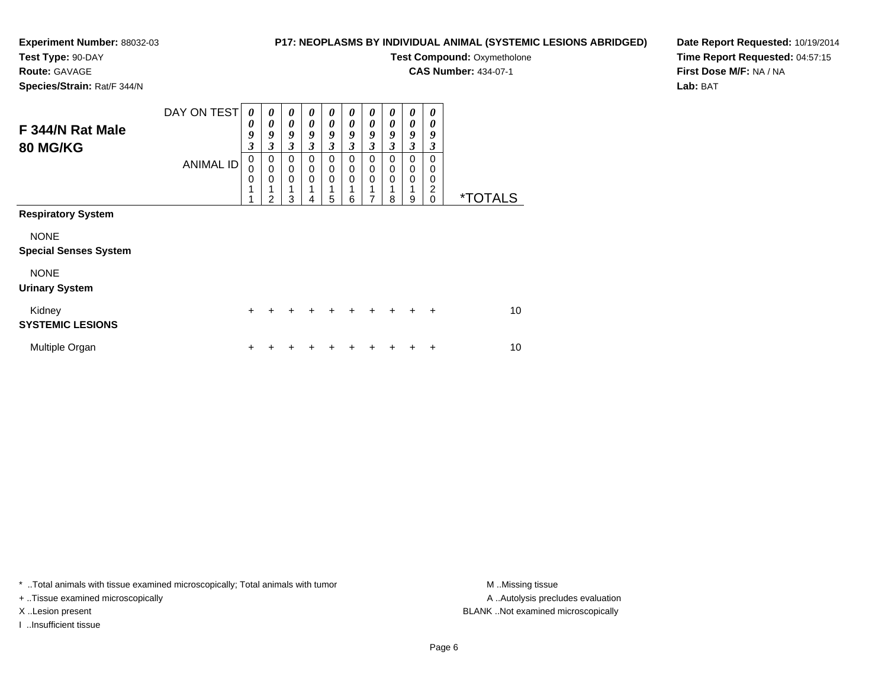#### **Experiment Number:** 88032-03**Test Type:** 90-DAY

#### **P17: NEOPLASMS BY INDIVIDUAL ANIMAL (SYSTEMIC LESIONS ABRIDGED)**

**Test Compound: Oxymetholone** 

**CAS Number:** 434-07-1

**Species/Strain:** Rat/F 344/N

**Route:** GAVAGE

#### **Date Report Requested:** 10/19/2014**Time Report Requested:** 04:57:15**First Dose M/F:** NA / NA**Lab:** BAT

| F 344/N Rat Male<br><b>80 MG/KG</b>         | DAY ON TEST<br><b>ANIMAL ID</b> | 0<br>0<br>9<br>$\boldsymbol{\beta}$<br>$\pmb{0}$<br>$\mathbf 0$<br>$\mathbf 0$<br>1 | 0<br>$\boldsymbol{\theta}$<br>9<br>$\boldsymbol{\beta}$<br>0<br>$\mathbf 0$<br>0<br>2 | 0<br>$\boldsymbol{\theta}$<br>9<br>3<br>$\mathbf 0$<br>0<br>0<br>1<br>3 | 0<br>$\boldsymbol{\theta}$<br>9<br>3<br>0<br>0<br>0<br>4 | 0<br>$\boldsymbol{\theta}$<br>9<br>3<br>0<br>0<br>$\mathbf 0$<br>5 | 0<br>0<br>9<br>3<br>0<br>0<br>$\Omega$<br>6 | 0<br>0<br>9<br>$\mathfrak{z}$<br>0<br>0<br>$\mathbf 0$<br>1<br>7 | 0<br>0<br>9<br>3<br>0<br>0<br>0<br>8 | 0<br>0<br>9<br>3<br>0<br>0<br>$\mathbf 0$<br>9 | 0<br>0<br>9<br>3<br>$\Omega$<br>0<br>0<br>2<br>0 | <i><b>*TOTALS</b></i> |
|---------------------------------------------|---------------------------------|-------------------------------------------------------------------------------------|---------------------------------------------------------------------------------------|-------------------------------------------------------------------------|----------------------------------------------------------|--------------------------------------------------------------------|---------------------------------------------|------------------------------------------------------------------|--------------------------------------|------------------------------------------------|--------------------------------------------------|-----------------------|
| <b>Respiratory System</b>                   |                                 |                                                                                     |                                                                                       |                                                                         |                                                          |                                                                    |                                             |                                                                  |                                      |                                                |                                                  |                       |
| <b>NONE</b><br><b>Special Senses System</b> |                                 |                                                                                     |                                                                                       |                                                                         |                                                          |                                                                    |                                             |                                                                  |                                      |                                                |                                                  |                       |
| <b>NONE</b><br><b>Urinary System</b>        |                                 |                                                                                     |                                                                                       |                                                                         |                                                          |                                                                    |                                             |                                                                  |                                      |                                                |                                                  |                       |
| Kidney<br><b>SYSTEMIC LESIONS</b>           |                                 | $\ddot{}$                                                                           |                                                                                       |                                                                         | ÷                                                        | ٠                                                                  | $\ddot{}$                                   | ٠                                                                | ÷                                    | ٠                                              | ÷                                                | 10                    |
| Multiple Organ                              |                                 | +                                                                                   |                                                                                       |                                                                         |                                                          |                                                                    |                                             |                                                                  |                                      |                                                | +                                                | 10                    |

\* ..Total animals with tissue examined microscopically; Total animals with tumor **M** . Missing tissue M ..Missing tissue

+ ..Tissue examined microscopically

I ..Insufficient tissue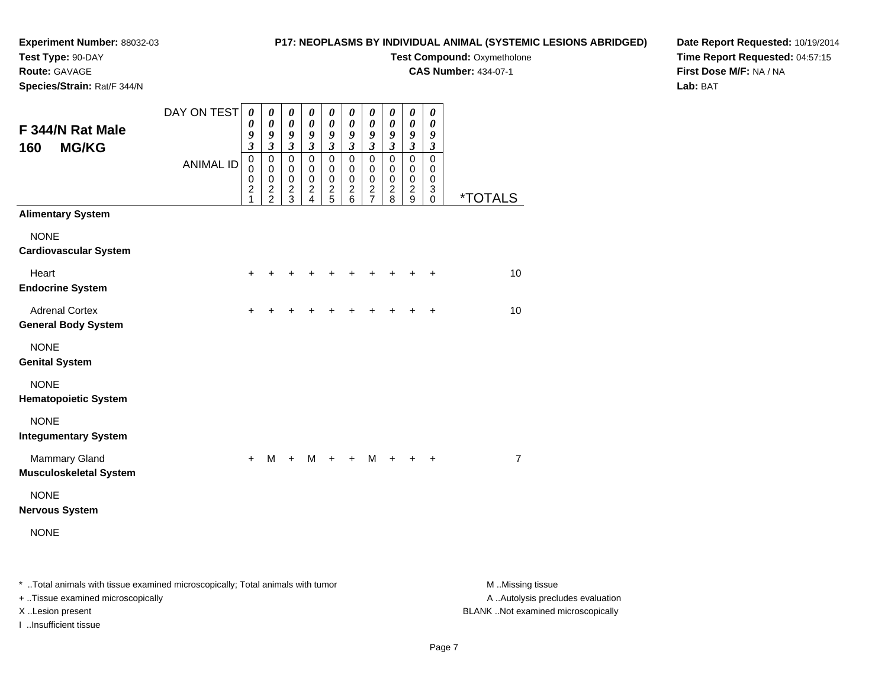**Test Type:** 90-DAY

### **Route:** GAVAGE

**Species/Strain:** Rat/F 344/N

#### **P17: NEOPLASMS BY INDIVIDUAL ANIMAL (SYSTEMIC LESIONS ABRIDGED)**

**Test Compound: Oxymetholone** 

**CAS Number:** 434-07-1

**Date Report Requested:** 10/19/2014**Time Report Requested:** 04:57:15**First Dose M/F:** NA / NA**Lab:** BAT

| F 344/N Rat Male<br><b>MG/KG</b><br>160               | DAY ON TEST<br><b>ANIMAL ID</b> | $\boldsymbol{\theta}$<br>0<br>9<br>3<br>$\pmb{0}$<br>$\mathbf 0$<br>$\pmb{0}$<br>$\overline{2}$ | $\boldsymbol{\theta}$<br>$\pmb{\theta}$<br>9<br>$\mathfrak{z}$<br>$\pmb{0}$<br>$\pmb{0}$<br>$\pmb{0}$<br>$\frac{2}{2}$ | 0<br>$\pmb{\theta}$<br>9<br>$\mathfrak{z}$<br>$\mathsf 0$<br>0<br>$\pmb{0}$<br>$\overline{c}$ | 0<br>$\pmb{\theta}$<br>9<br>$\mathfrak{z}$<br>$\pmb{0}$<br>$\mathbf 0$<br>$\pmb{0}$<br>$\boldsymbol{2}$ | 0<br>$\pmb{\theta}$<br>9<br>$\mathfrak{z}$<br>$\mathbf 0$<br>$\mathbf 0$<br>$\mathbf 0$<br>$\boldsymbol{2}$ | 0<br>$\pmb{\theta}$<br>9<br>$\mathfrak{z}$<br>$\mathsf 0$<br>0<br>$\mathbf 0$<br>$\overline{c}$ | 0<br>$\pmb{\theta}$<br>9<br>$\mathfrak{z}$<br>$\mathbf 0$<br>$\mathbf 0$<br>$\pmb{0}$<br>$\frac{2}{7}$ | 0<br>$\pmb{\theta}$<br>9<br>$\boldsymbol{\beta}$<br>$\mathbf 0$<br>$\mathbf 0$<br>$\pmb{0}$<br>$\overline{c}$ | 0<br>$\pmb{\theta}$<br>9<br>$\mathfrak{z}$<br>$\mathbf 0$<br>$\mathbf 0$<br>$\pmb{0}$<br>$\boldsymbol{2}$ | $\boldsymbol{\theta}$<br>$\boldsymbol{\theta}$<br>9<br>$\boldsymbol{\beta}$<br>$\mathsf 0$<br>$\mathbf 0$<br>$\mathbf 0$<br>3 |                       |
|-------------------------------------------------------|---------------------------------|-------------------------------------------------------------------------------------------------|------------------------------------------------------------------------------------------------------------------------|-----------------------------------------------------------------------------------------------|---------------------------------------------------------------------------------------------------------|-------------------------------------------------------------------------------------------------------------|-------------------------------------------------------------------------------------------------|--------------------------------------------------------------------------------------------------------|---------------------------------------------------------------------------------------------------------------|-----------------------------------------------------------------------------------------------------------|-------------------------------------------------------------------------------------------------------------------------------|-----------------------|
| <b>Alimentary System</b>                              |                                 | 1                                                                                               |                                                                                                                        | 3                                                                                             | $\overline{4}$                                                                                          | 5                                                                                                           | $6\phantom{a}$                                                                                  |                                                                                                        | 8                                                                                                             | 9                                                                                                         | 0                                                                                                                             | <i><b>*TOTALS</b></i> |
| <b>NONE</b><br><b>Cardiovascular System</b>           |                                 |                                                                                                 |                                                                                                                        |                                                                                               |                                                                                                         |                                                                                                             |                                                                                                 |                                                                                                        |                                                                                                               |                                                                                                           |                                                                                                                               |                       |
| Heart<br><b>Endocrine System</b>                      |                                 | $\ddot{}$                                                                                       |                                                                                                                        |                                                                                               |                                                                                                         |                                                                                                             | +                                                                                               |                                                                                                        |                                                                                                               |                                                                                                           | +                                                                                                                             | 10                    |
| <b>Adrenal Cortex</b><br><b>General Body System</b>   |                                 | +                                                                                               |                                                                                                                        |                                                                                               |                                                                                                         |                                                                                                             |                                                                                                 |                                                                                                        |                                                                                                               |                                                                                                           | +                                                                                                                             | 10                    |
| <b>NONE</b><br><b>Genital System</b>                  |                                 |                                                                                                 |                                                                                                                        |                                                                                               |                                                                                                         |                                                                                                             |                                                                                                 |                                                                                                        |                                                                                                               |                                                                                                           |                                                                                                                               |                       |
| <b>NONE</b><br><b>Hematopoietic System</b>            |                                 |                                                                                                 |                                                                                                                        |                                                                                               |                                                                                                         |                                                                                                             |                                                                                                 |                                                                                                        |                                                                                                               |                                                                                                           |                                                                                                                               |                       |
| <b>NONE</b><br><b>Integumentary System</b>            |                                 |                                                                                                 |                                                                                                                        |                                                                                               |                                                                                                         |                                                                                                             |                                                                                                 |                                                                                                        |                                                                                                               |                                                                                                           |                                                                                                                               |                       |
| <b>Mammary Gland</b><br><b>Musculoskeletal System</b> |                                 | $\ddot{}$                                                                                       | M                                                                                                                      | $+$                                                                                           | M                                                                                                       | $+$                                                                                                         | $\ddot{}$                                                                                       | M                                                                                                      | $+$                                                                                                           | $\ddot{}$                                                                                                 | $\ddot{}$                                                                                                                     | 7                     |
| <b>NONE</b><br><b>Nervous System</b>                  |                                 |                                                                                                 |                                                                                                                        |                                                                                               |                                                                                                         |                                                                                                             |                                                                                                 |                                                                                                        |                                                                                                               |                                                                                                           |                                                                                                                               |                       |
| <b>NONE</b>                                           |                                 |                                                                                                 |                                                                                                                        |                                                                                               |                                                                                                         |                                                                                                             |                                                                                                 |                                                                                                        |                                                                                                               |                                                                                                           |                                                                                                                               |                       |

\* ..Total animals with tissue examined microscopically; Total animals with tumor **M** . Missing tissue M ..Missing tissue

+ ..Tissue examined microscopically

I ..Insufficient tissue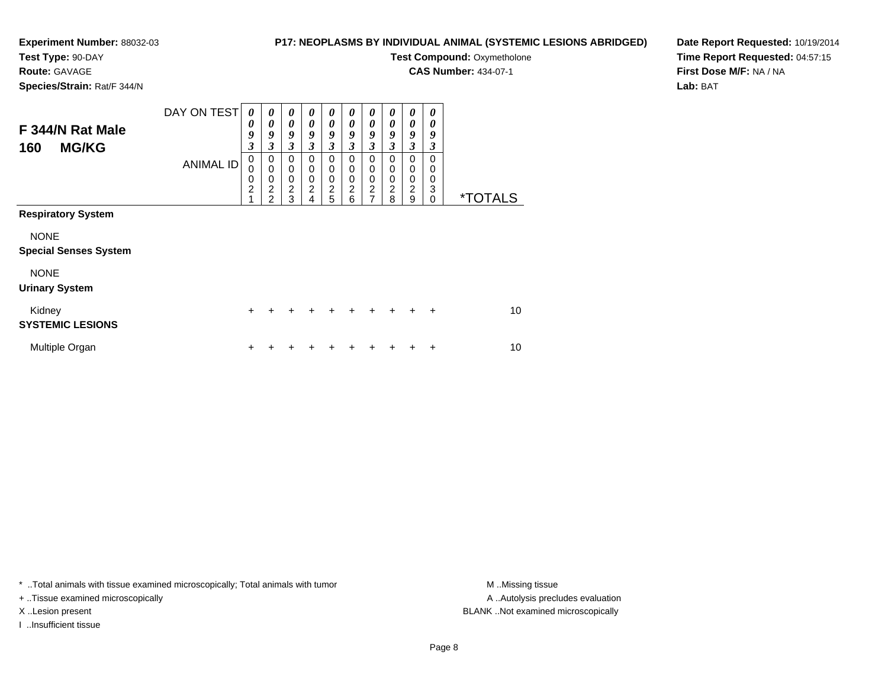### **Test Type:** 90-DAY

**Route:** GAVAGE

**Species/Strain:** Rat/F 344/N

#### **P17: NEOPLASMS BY INDIVIDUAL ANIMAL (SYSTEMIC LESIONS ABRIDGED)**

**Test Compound: Oxymetholone** 

**CAS Number:** 434-07-1

**Date Report Requested:** 10/19/2014**Time Report Requested:** 04:57:15**First Dose M/F:** NA / NA**Lab:** BAT

| F 344/N Rat Male<br><b>MG/KG</b><br>160     | DAY ON TEST<br><b>ANIMAL ID</b> | 0<br>0<br>9<br>$\boldsymbol{\beta}$<br>$\,0\,$<br>$\mathbf 0$<br>$\pmb{0}$<br>$\overline{c}$ | 0<br>0<br>9<br>3<br>$\pmb{0}$<br>$\pmb{0}$<br>$\pmb{0}$<br>$\overline{\mathbf{c}}$<br>$\mathcal{P}$ | 0<br>$\boldsymbol{\theta}$<br>9<br>3<br>0<br>0<br>$\mathbf 0$<br>$\overline{\mathbf{c}}$<br>3 | 0<br>$\boldsymbol{\theta}$<br>9<br>3<br>0<br>0<br>0<br>$\overline{c}$<br>4 | 0<br>0<br>9<br>$\mathfrak{z}$<br>0<br>0<br>0<br>$\frac{2}{5}$ | 0<br>0<br>9<br>3<br>0<br>0<br>0<br>$\overline{c}$<br>6 | 0<br>0<br>9<br>3<br>0<br>0<br>0<br>$\boldsymbol{2}$<br>$\overline{7}$ | 0<br>$\boldsymbol{\theta}$<br>9<br>3<br>$\Omega$<br>$\Omega$<br>$\Omega$<br>$\overline{2}$<br>8 | 0<br>$\boldsymbol{\theta}$<br>9<br>3<br>0<br>0<br>$\pmb{0}$<br>$\overline{c}$<br>9 | 0<br>0<br>9<br>3<br>$\Omega$<br>0<br>0<br>3<br>0 | <i><b>*TOTALS</b></i> |
|---------------------------------------------|---------------------------------|----------------------------------------------------------------------------------------------|-----------------------------------------------------------------------------------------------------|-----------------------------------------------------------------------------------------------|----------------------------------------------------------------------------|---------------------------------------------------------------|--------------------------------------------------------|-----------------------------------------------------------------------|-------------------------------------------------------------------------------------------------|------------------------------------------------------------------------------------|--------------------------------------------------|-----------------------|
| <b>Respiratory System</b>                   |                                 |                                                                                              |                                                                                                     |                                                                                               |                                                                            |                                                               |                                                        |                                                                       |                                                                                                 |                                                                                    |                                                  |                       |
| <b>NONE</b><br><b>Special Senses System</b> |                                 |                                                                                              |                                                                                                     |                                                                                               |                                                                            |                                                               |                                                        |                                                                       |                                                                                                 |                                                                                    |                                                  |                       |
| <b>NONE</b><br><b>Urinary System</b>        |                                 |                                                                                              |                                                                                                     |                                                                                               |                                                                            |                                                               |                                                        |                                                                       |                                                                                                 |                                                                                    |                                                  |                       |
| Kidney<br><b>SYSTEMIC LESIONS</b>           |                                 | $\ddot{}$                                                                                    |                                                                                                     | ٠                                                                                             | ٠                                                                          | ٠                                                             | ÷                                                      | ÷                                                                     | ÷                                                                                               |                                                                                    | $\ddot{}$                                        | 10                    |
| Multiple Organ                              |                                 | ٠                                                                                            |                                                                                                     |                                                                                               |                                                                            |                                                               |                                                        |                                                                       |                                                                                                 |                                                                                    | ÷                                                | 10                    |

\* ..Total animals with tissue examined microscopically; Total animals with tumor **M** . Missing tissue M ..Missing tissue

+ ..Tissue examined microscopically

I ..Insufficient tissue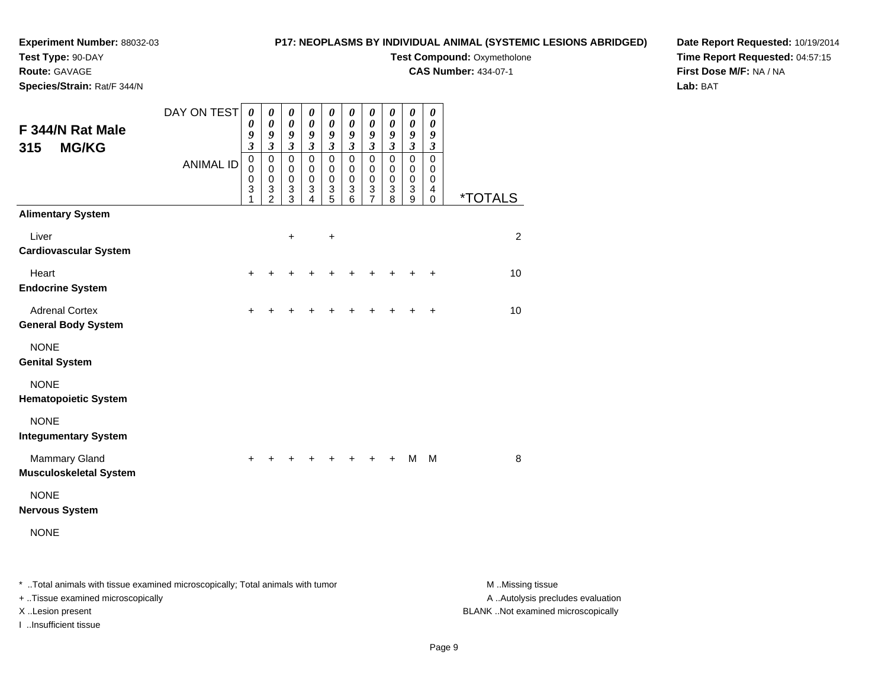#### **P17: NEOPLASMS BY INDIVIDUAL ANIMAL (SYSTEMIC LESIONS ABRIDGED)**

**Test Type:** 90-DAY

**Route:** GAVAGE

**Species/Strain:** Rat/F 344/N

# **Test Compound: Oxymetholone**

**CAS Number:** 434-07-1

**Date Report Requested:** 10/19/2014**Time Report Requested:** 04:57:15**First Dose M/F:** NA / NA**Lab:** BAT

| F 344/N Rat Male                                    | DAY ON TEST                                                                                                     | $\boldsymbol{\theta}$<br>0<br>9                                  | $\boldsymbol{\theta}$<br>$\boldsymbol{\theta}$<br>9                            | 0<br>0<br>9                                                                                              | $\boldsymbol{\theta}$<br>$\boldsymbol{\theta}$<br>$\boldsymbol{g}$             | $\boldsymbol{\theta}$<br>$\boldsymbol{\theta}$<br>9                                         | $\pmb{\theta}$<br>$\boldsymbol{\theta}$<br>9                                     | 0<br>$\boldsymbol{\theta}$<br>9                                                    | 0<br>$\boldsymbol{\theta}$<br>9                                                             | 0<br>0<br>9                                                           | $\boldsymbol{\theta}$<br>$\boldsymbol{\theta}$<br>9                                |                       |
|-----------------------------------------------------|-----------------------------------------------------------------------------------------------------------------|------------------------------------------------------------------|--------------------------------------------------------------------------------|----------------------------------------------------------------------------------------------------------|--------------------------------------------------------------------------------|---------------------------------------------------------------------------------------------|----------------------------------------------------------------------------------|------------------------------------------------------------------------------------|---------------------------------------------------------------------------------------------|-----------------------------------------------------------------------|------------------------------------------------------------------------------------|-----------------------|
| <b>MG/KG</b><br>315                                 | <b>ANIMAL ID</b>                                                                                                | $\overline{\mathbf{3}}$<br>$\pmb{0}$<br>0<br>$\pmb{0}$<br>3<br>1 | $\mathfrak{z}$<br>$\pmb{0}$<br>$\mathbf 0$<br>$\pmb{0}$<br>3<br>$\overline{2}$ | $\mathfrak{z}$<br>$\mathbf 0$<br>$\mathbf 0$<br>$\pmb{0}$<br>$\ensuremath{\mathsf{3}}$<br>$\overline{3}$ | $\mathfrak{z}$<br>$\mathsf 0$<br>$\mathbf 0$<br>$\mathbf 0$<br>$\sqrt{3}$<br>4 | $\mathfrak{z}$<br>$\mathbf 0$<br>$\mathbf 0$<br>$\pmb{0}$<br>$\ensuremath{\mathsf{3}}$<br>5 | $\mathfrak{z}$<br>$\mathbf 0$<br>$\mathbf 0$<br>$\pmb{0}$<br>3<br>$\overline{6}$ | $\mathfrak{z}$<br>$\mathbf 0$<br>$\mathbf 0$<br>$\mathbf 0$<br>3<br>$\overline{7}$ | $\mathfrak{z}$<br>$\mathbf 0$<br>$\mathbf 0$<br>$\pmb{0}$<br>$\ensuremath{\mathsf{3}}$<br>8 | $\mathfrak{z}$<br>$\mathbf 0$<br>$\mathbf 0$<br>$\mathbf 0$<br>3<br>9 | $\boldsymbol{\mathfrak{z}}$<br>$\mathbf 0$<br>$\mathbf 0$<br>$\mathbf 0$<br>4<br>0 | <i><b>*TOTALS</b></i> |
| <b>Alimentary System</b>                            |                                                                                                                 |                                                                  |                                                                                |                                                                                                          |                                                                                |                                                                                             |                                                                                  |                                                                                    |                                                                                             |                                                                       |                                                                                    |                       |
| Liver<br><b>Cardiovascular System</b>               |                                                                                                                 |                                                                  |                                                                                | $\ddot{}$                                                                                                |                                                                                | $\ddot{}$                                                                                   |                                                                                  |                                                                                    |                                                                                             |                                                                       |                                                                                    | $\overline{2}$        |
| Heart<br><b>Endocrine System</b>                    |                                                                                                                 | +                                                                |                                                                                |                                                                                                          |                                                                                |                                                                                             |                                                                                  |                                                                                    |                                                                                             |                                                                       | $\ddot{}$                                                                          | 10                    |
| <b>Adrenal Cortex</b><br><b>General Body System</b> |                                                                                                                 | $\pm$                                                            |                                                                                |                                                                                                          |                                                                                |                                                                                             |                                                                                  |                                                                                    |                                                                                             | +                                                                     | $\ddot{}$                                                                          | 10                    |
| <b>NONE</b><br><b>Genital System</b>                |                                                                                                                 |                                                                  |                                                                                |                                                                                                          |                                                                                |                                                                                             |                                                                                  |                                                                                    |                                                                                             |                                                                       |                                                                                    |                       |
| <b>NONE</b><br><b>Hematopoietic System</b>          |                                                                                                                 |                                                                  |                                                                                |                                                                                                          |                                                                                |                                                                                             |                                                                                  |                                                                                    |                                                                                             |                                                                       |                                                                                    |                       |
| <b>NONE</b><br><b>Integumentary System</b>          |                                                                                                                 |                                                                  |                                                                                |                                                                                                          |                                                                                |                                                                                             |                                                                                  |                                                                                    |                                                                                             |                                                                       |                                                                                    |                       |
| Mammary Gland<br><b>Musculoskeletal System</b>      |                                                                                                                 |                                                                  |                                                                                |                                                                                                          |                                                                                |                                                                                             |                                                                                  |                                                                                    | +                                                                                           | M                                                                     | M                                                                                  | 8                     |
| <b>NONE</b><br><b>Nervous System</b>                |                                                                                                                 |                                                                  |                                                                                |                                                                                                          |                                                                                |                                                                                             |                                                                                  |                                                                                    |                                                                                             |                                                                       |                                                                                    |                       |
| <b>NONE</b>                                         |                                                                                                                 |                                                                  |                                                                                |                                                                                                          |                                                                                |                                                                                             |                                                                                  |                                                                                    |                                                                                             |                                                                       |                                                                                    |                       |
| - 下によっし こうきょうしょう いきはい ピット                           | de l'est de la constitució de la constitució → la constitució de la constitució de la constitució de la constit |                                                                  |                                                                                |                                                                                                          |                                                                                |                                                                                             |                                                                                  |                                                                                    |                                                                                             |                                                                       |                                                                                    |                       |

..Total animals with tissue examined microscopically; Total animals with tumor M ..Missing tissue M ..Missing tissue

+ ..Tissue examined microscopically

I ..Insufficient tissue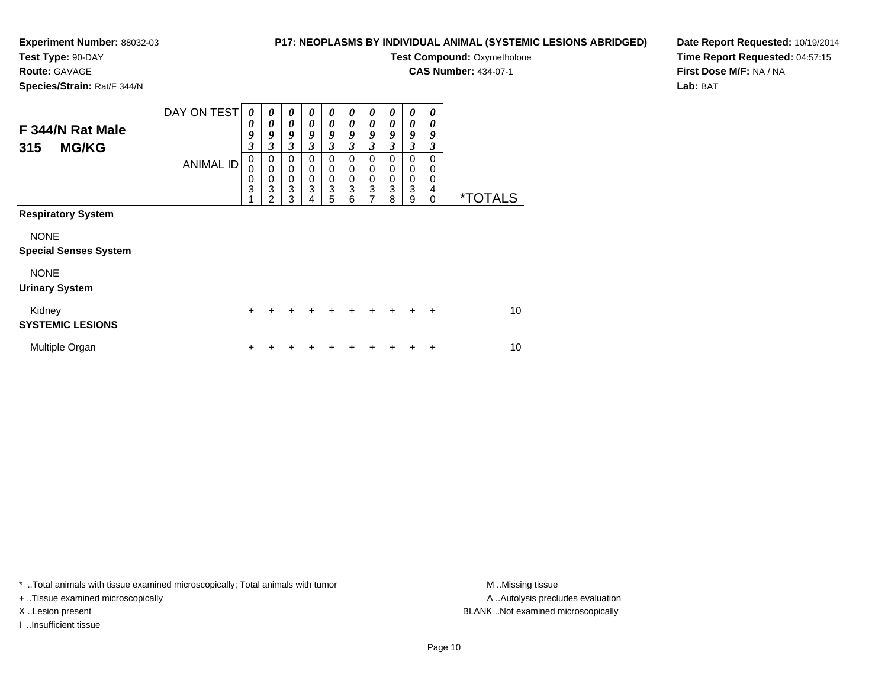### **Test Type:** 90-DAY

**Route:** GAVAGE

**Species/Strain:** Rat/F 344/N

#### **P17: NEOPLASMS BY INDIVIDUAL ANIMAL (SYSTEMIC LESIONS ABRIDGED)**

**Test Compound: Oxymetholone** 

**CAS Number:** 434-07-1

**Date Report Requested:** 10/19/2014**Time Report Requested:** 04:57:15**First Dose M/F:** NA / NA**Lab:** BAT

| F 344/N Rat Male<br><b>MG/KG</b><br>315     | DAY ON TEST<br><b>ANIMAL ID</b> | 0<br>0<br>9<br>$\boldsymbol{\beta}$<br>$\mathbf 0$<br>$\mathbf 0$ | 0<br>0<br>9<br>3<br>0<br>$\mathbf 0$ | 0<br>0<br>9<br>3<br>$\pmb{0}$<br>$\mathbf 0$ | 0<br>0<br>9<br>3<br>0<br>0 | 0<br>$\theta$<br>9<br>3<br>0<br>0 | 0<br>0<br>9<br>3<br>0<br>0 | $\boldsymbol{\theta}$<br>0<br>9<br>3<br>0<br>0 | 0<br>0<br>9<br>3<br>$\mathbf 0$<br>0 | 0<br>0<br>9<br>3<br>0<br>0 | 0<br>0<br>9<br>3<br>0<br>0 |                       |
|---------------------------------------------|---------------------------------|-------------------------------------------------------------------|--------------------------------------|----------------------------------------------|----------------------------|-----------------------------------|----------------------------|------------------------------------------------|--------------------------------------|----------------------------|----------------------------|-----------------------|
|                                             |                                 | $\frac{0}{3}$                                                     | 0<br>3<br>2                          | $\frac{0}{3}$<br>3                           | 0<br>3<br>4                | $\pmb{0}$<br>$\overline{3}$<br>5  | 0<br>3<br>6                | $\pmb{0}$<br>3<br>7                            | $\mathbf 0$<br>3<br>8                | $\mathbf 0$<br>3<br>9      | 0<br>4<br>0                | <i><b>*TOTALS</b></i> |
| <b>Respiratory System</b>                   |                                 |                                                                   |                                      |                                              |                            |                                   |                            |                                                |                                      |                            |                            |                       |
| <b>NONE</b><br><b>Special Senses System</b> |                                 |                                                                   |                                      |                                              |                            |                                   |                            |                                                |                                      |                            |                            |                       |
| <b>NONE</b><br><b>Urinary System</b>        |                                 |                                                                   |                                      |                                              |                            |                                   |                            |                                                |                                      |                            |                            |                       |
| Kidney<br><b>SYSTEMIC LESIONS</b>           |                                 | ٠                                                                 |                                      |                                              |                            | ٠                                 |                            | ÷                                              | $\ddot{}$                            | $\ddot{}$                  | $\ddot{}$                  | 10                    |
| Multiple Organ                              |                                 | +                                                                 |                                      |                                              |                            |                                   |                            |                                                |                                      |                            | ٠                          | 10                    |

\* ..Total animals with tissue examined microscopically; Total animals with tumor **M** . Missing tissue M ..Missing tissue

+ ..Tissue examined microscopically

I ..Insufficient tissue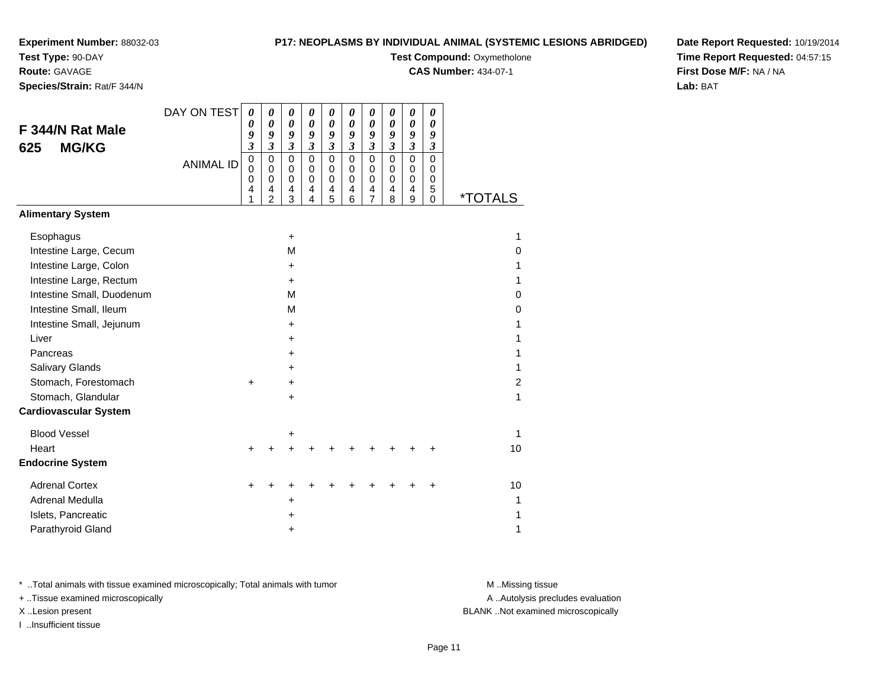**Test Type:** 90-DAY

**Route:** GAVAGE

**Species/Strain:** Rat/F 344/N

#### **P17: NEOPLASMS BY INDIVIDUAL ANIMAL (SYSTEMIC LESIONS ABRIDGED)**

**Test Compound: Oxymetholone** 

**CAS Number:** 434-07-1

 $\overline{\phantom{0}}$ 

 $\overline{\phantom{a}}$ 

**Date Report Requested:** 10/19/2014**Time Report Requested:** 04:57:15**First Dose M/F:** NA / NA**Lab:** BAT

|                              | DAY ON TEST      | $\boldsymbol{\theta}$   | 0                   | 0                          | 0                          | 0                          | 0                | 0                       | 0                          | $\boldsymbol{\theta}$              | $\boldsymbol{\theta}$ |                       |
|------------------------------|------------------|-------------------------|---------------------|----------------------------|----------------------------|----------------------------|------------------|-------------------------|----------------------------|------------------------------------|-----------------------|-----------------------|
| F 344/N Rat Male             |                  | 0<br>9                  | 0<br>9              | $\boldsymbol{\theta}$<br>9 | $\boldsymbol{\theta}$<br>9 | $\boldsymbol{\theta}$<br>9 | 0<br>9           | 0<br>9                  | $\boldsymbol{\theta}$<br>9 | $\boldsymbol{\theta}$<br>9         | 0<br>9                |                       |
| <b>MG/KG</b><br>625          |                  | $\overline{\mathbf{3}}$ | $\mathfrak{z}$      | $\mathfrak{z}$             | $\mathfrak{z}$             | $\overline{\mathbf{3}}$    | $\overline{3}$   | $\overline{\mathbf{3}}$ | $\mathfrak{z}$             | $\mathfrak{z}$                     | $\boldsymbol{\beta}$  |                       |
|                              | <b>ANIMAL ID</b> | $\mathbf 0$             | $\pmb{0}$           | $\mathbf 0$                | $\mathbf 0$                | $\mathbf 0$                | $\mathbf 0$      | 0                       | $\Omega$                   | $\mathbf 0$                        | $\mathbf 0$           |                       |
|                              |                  | $\mathbf 0$<br>0        | $\mathbf 0$<br>0    | $\mathbf 0$<br>$\mathbf 0$ | $\mathbf 0$<br>0           | $\pmb{0}$<br>$\pmb{0}$     | $\mathbf 0$<br>0 | $\mathbf 0$<br>0        | $\mathbf 0$<br>$\mathbf 0$ | 0<br>$\mathbf 0$                   | 0<br>0                |                       |
|                              |                  | 4<br>1                  | 4<br>$\overline{2}$ | 4<br>3                     | 4<br>$\overline{4}$        | 4<br>$\overline{5}$        | 4<br>6           | $\frac{4}{7}$           | 4<br>8                     | $\overline{4}$<br>$\boldsymbol{9}$ | 5<br>$\mathbf 0$      | <i><b>*TOTALS</b></i> |
| <b>Alimentary System</b>     |                  |                         |                     |                            |                            |                            |                  |                         |                            |                                    |                       |                       |
| Esophagus                    |                  |                         |                     | $\ddot{}$                  |                            |                            |                  |                         |                            |                                    |                       | 1                     |
| Intestine Large, Cecum       |                  |                         |                     | M                          |                            |                            |                  |                         |                            |                                    |                       | 0                     |
| Intestine Large, Colon       |                  |                         |                     | +                          |                            |                            |                  |                         |                            |                                    |                       | 1                     |
| Intestine Large, Rectum      |                  |                         |                     | +                          |                            |                            |                  |                         |                            |                                    |                       | 1                     |
| Intestine Small, Duodenum    |                  |                         |                     | M                          |                            |                            |                  |                         |                            |                                    |                       | 0                     |
| Intestine Small, Ileum       |                  |                         |                     | M                          |                            |                            |                  |                         |                            |                                    |                       | 0                     |
| Intestine Small, Jejunum     |                  |                         |                     | $\ddot{}$                  |                            |                            |                  |                         |                            |                                    |                       | 1                     |
| Liver                        |                  |                         |                     | $\ddot{}$                  |                            |                            |                  |                         |                            |                                    |                       | 1                     |
| Pancreas                     |                  |                         |                     | $\ddot{}$                  |                            |                            |                  |                         |                            |                                    |                       | 1                     |
| Salivary Glands              |                  |                         |                     | +                          |                            |                            |                  |                         |                            |                                    |                       | 1                     |
| Stomach, Forestomach         |                  | $\ddot{}$               |                     | $\ddot{}$                  |                            |                            |                  |                         |                            |                                    |                       | $\overline{2}$        |
| Stomach, Glandular           |                  |                         |                     | +                          |                            |                            |                  |                         |                            |                                    |                       | 1                     |
| <b>Cardiovascular System</b> |                  |                         |                     |                            |                            |                            |                  |                         |                            |                                    |                       |                       |
| <b>Blood Vessel</b>          |                  |                         |                     | +                          |                            |                            |                  |                         |                            |                                    |                       | $\mathbf{1}$          |
| Heart                        |                  | +                       |                     | $\ddot{}$                  |                            |                            |                  |                         |                            |                                    |                       | 10                    |
| <b>Endocrine System</b>      |                  |                         |                     |                            |                            |                            |                  |                         |                            |                                    |                       |                       |
| <b>Adrenal Cortex</b>        |                  | +                       |                     |                            |                            |                            |                  |                         |                            |                                    |                       | 10                    |
| <b>Adrenal Medulla</b>       |                  |                         |                     | +                          |                            |                            |                  |                         |                            |                                    |                       | 1                     |
| Islets, Pancreatic           |                  |                         |                     | +                          |                            |                            |                  |                         |                            |                                    |                       | 1                     |
| Parathyroid Gland            |                  |                         |                     | +                          |                            |                            |                  |                         |                            |                                    |                       | 1                     |

\* ..Total animals with tissue examined microscopically; Total animals with tumor **M** . Missing tissue M ..Missing tissue

+ ..Tissue examined microscopically

I ..Insufficient tissue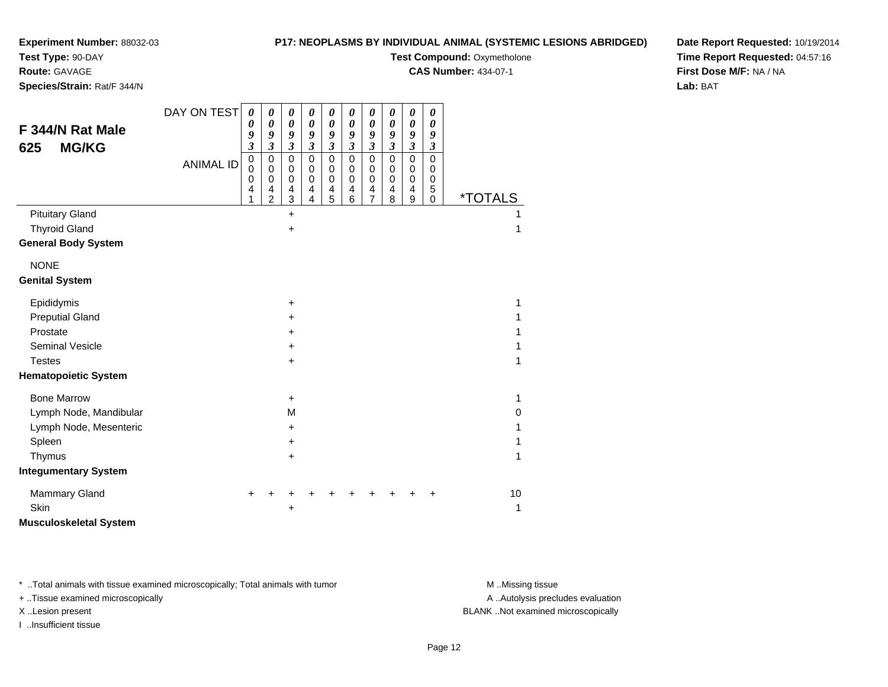### **Test Type:** 90-DAY

**Route:** GAVAGE

**Species/Strain:** Rat/F 344/N

#### **P17: NEOPLASMS BY INDIVIDUAL ANIMAL (SYSTEMIC LESIONS ABRIDGED)**

**Test Compound: Oxymetholone** 

**CAS Number:** 434-07-1

**Date Report Requested:** 10/19/2014**Time Report Requested:** 04:57:16**First Dose M/F:** NA / NA**Lab:** BAT

| F 344/N Rat Male<br><b>MG/KG</b><br>625 | DAY ON TEST      | $\boldsymbol{\theta}$<br>0<br>9<br>$\boldsymbol{\mathfrak{z}}$ | 0<br>0<br>9<br>$\overline{\mathbf{3}}$       | 0<br>$\boldsymbol{\theta}$<br>9<br>$\mathfrak{z}$ | 0<br>$\boldsymbol{\theta}$<br>9<br>$\boldsymbol{\beta}$ | 0<br>$\boldsymbol{\theta}$<br>9<br>$\boldsymbol{\beta}$ | 0<br>$\boldsymbol{\theta}$<br>9<br>$\mathfrak{z}$      | $\boldsymbol{\theta}$<br>$\boldsymbol{\theta}$<br>9<br>$\mathfrak{z}$ | 0<br>$\pmb{\theta}$<br>$\boldsymbol{g}$<br>$\boldsymbol{\mathfrak{z}}$ | 0<br>$\boldsymbol{\theta}$<br>9<br>$\boldsymbol{\beta}$ | $\boldsymbol{\theta}$<br>$\boldsymbol{\theta}$<br>9<br>$\boldsymbol{\mathfrak{z}}$ |                       |  |
|-----------------------------------------|------------------|----------------------------------------------------------------|----------------------------------------------|---------------------------------------------------|---------------------------------------------------------|---------------------------------------------------------|--------------------------------------------------------|-----------------------------------------------------------------------|------------------------------------------------------------------------|---------------------------------------------------------|------------------------------------------------------------------------------------|-----------------------|--|
|                                         | <b>ANIMAL ID</b> | $\pmb{0}$<br>$\mathbf 0$<br>0<br>4<br>1                        | 0<br>0<br>$\mathbf 0$<br>4<br>$\overline{2}$ | $\mathbf 0$<br>$\mathbf 0$<br>$\pmb{0}$<br>4<br>3 | $\mathbf 0$<br>$\mathbf 0$<br>$\mathbf 0$<br>4<br>4     | $\overline{0}$<br>$\pmb{0}$<br>$\mathbf 0$<br>4<br>5    | $\overline{0}$<br>$\mathbf 0$<br>$\mathbf 0$<br>4<br>6 | $\mathbf 0$<br>$\mathbf 0$<br>$\pmb{0}$<br>4<br>$\overline{7}$        | $\overline{0}$<br>$\mathbf 0$<br>$\pmb{0}$<br>$\overline{4}$<br>8      | $\mathbf 0$<br>$\pmb{0}$<br>$\pmb{0}$<br>4<br>9         | $\mathbf 0$<br>$\mathbf 0$<br>$\pmb{0}$<br>5<br>$\mathbf 0$                        | <i><b>*TOTALS</b></i> |  |
| <b>Pituitary Gland</b>                  |                  |                                                                |                                              | +                                                 |                                                         |                                                         |                                                        |                                                                       |                                                                        |                                                         |                                                                                    |                       |  |
| <b>Thyroid Gland</b>                    |                  |                                                                |                                              | $\ddot{}$                                         |                                                         |                                                         |                                                        |                                                                       |                                                                        |                                                         |                                                                                    | 1                     |  |
| <b>General Body System</b>              |                  |                                                                |                                              |                                                   |                                                         |                                                         |                                                        |                                                                       |                                                                        |                                                         |                                                                                    |                       |  |
| <b>NONE</b>                             |                  |                                                                |                                              |                                                   |                                                         |                                                         |                                                        |                                                                       |                                                                        |                                                         |                                                                                    |                       |  |
| <b>Genital System</b>                   |                  |                                                                |                                              |                                                   |                                                         |                                                         |                                                        |                                                                       |                                                                        |                                                         |                                                                                    |                       |  |
| Epididymis                              |                  |                                                                |                                              | $\ddot{}$                                         |                                                         |                                                         |                                                        |                                                                       |                                                                        |                                                         |                                                                                    | 1                     |  |
| <b>Preputial Gland</b>                  |                  |                                                                |                                              | +                                                 |                                                         |                                                         |                                                        |                                                                       |                                                                        |                                                         |                                                                                    | 1                     |  |
| Prostate                                |                  |                                                                |                                              | +                                                 |                                                         |                                                         |                                                        |                                                                       |                                                                        |                                                         |                                                                                    | 1                     |  |
| <b>Seminal Vesicle</b>                  |                  |                                                                |                                              | ٠                                                 |                                                         |                                                         |                                                        |                                                                       |                                                                        |                                                         |                                                                                    | 1                     |  |
| <b>Testes</b>                           |                  |                                                                |                                              | $\pm$                                             |                                                         |                                                         |                                                        |                                                                       |                                                                        |                                                         |                                                                                    | 1                     |  |
| <b>Hematopoietic System</b>             |                  |                                                                |                                              |                                                   |                                                         |                                                         |                                                        |                                                                       |                                                                        |                                                         |                                                                                    |                       |  |
| <b>Bone Marrow</b>                      |                  |                                                                |                                              | $\ddot{}$                                         |                                                         |                                                         |                                                        |                                                                       |                                                                        |                                                         |                                                                                    | 1                     |  |
| Lymph Node, Mandibular                  |                  |                                                                |                                              | М                                                 |                                                         |                                                         |                                                        |                                                                       |                                                                        |                                                         |                                                                                    | 0                     |  |
| Lymph Node, Mesenteric                  |                  |                                                                |                                              | $\pm$                                             |                                                         |                                                         |                                                        |                                                                       |                                                                        |                                                         |                                                                                    | 1                     |  |
| Spleen                                  |                  |                                                                |                                              | +                                                 |                                                         |                                                         |                                                        |                                                                       |                                                                        |                                                         |                                                                                    |                       |  |
| Thymus                                  |                  |                                                                |                                              | $\ddot{}$                                         |                                                         |                                                         |                                                        |                                                                       |                                                                        |                                                         |                                                                                    | 1                     |  |
| <b>Integumentary System</b>             |                  |                                                                |                                              |                                                   |                                                         |                                                         |                                                        |                                                                       |                                                                        |                                                         |                                                                                    |                       |  |
| Mammary Gland                           |                  |                                                                |                                              |                                                   |                                                         |                                                         |                                                        |                                                                       |                                                                        |                                                         |                                                                                    | 10                    |  |
| Skin                                    |                  |                                                                |                                              |                                                   |                                                         |                                                         |                                                        |                                                                       |                                                                        |                                                         |                                                                                    | 1                     |  |
| <b>Musculoskeletal System</b>           |                  |                                                                |                                              |                                                   |                                                         |                                                         |                                                        |                                                                       |                                                                        |                                                         |                                                                                    |                       |  |

\* ..Total animals with tissue examined microscopically; Total animals with tumor **M** . Missing tissue M ..Missing tissue

+ ..Tissue examined microscopically

I ..Insufficient tissue

A ..Autolysis precludes evaluation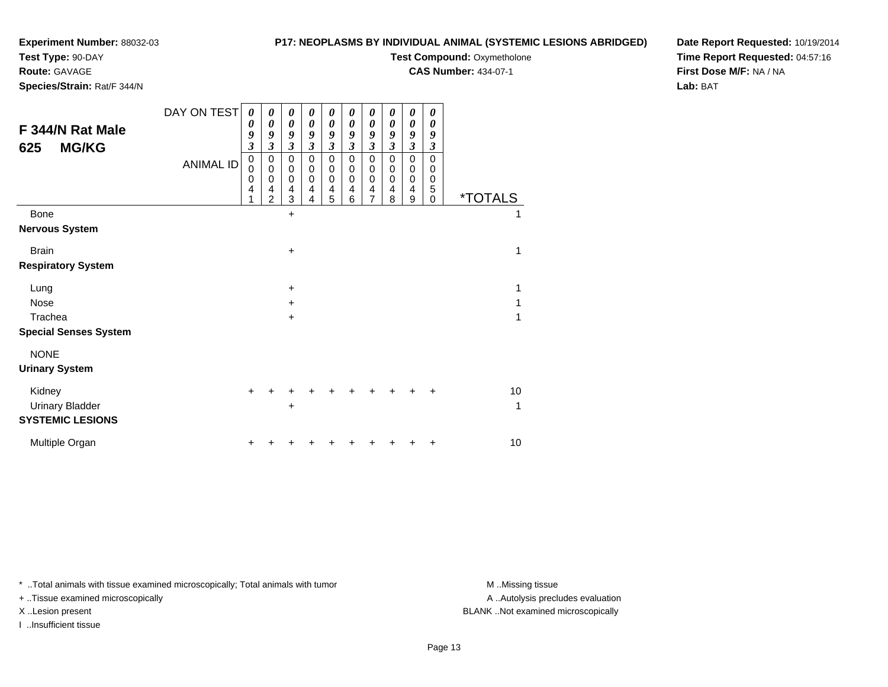#### **Test Type:** 90-DAY

**Route:** GAVAGE

**Species/Strain:** Rat/F 344/N

#### **P17: NEOPLASMS BY INDIVIDUAL ANIMAL (SYSTEMIC LESIONS ABRIDGED)**

**Test Compound: Oxymetholone** 

**CAS Number:** 434-07-1

**Date Report Requested:** 10/19/2014**Time Report Requested:** 04:57:16**First Dose M/F:** NA / NA**Lab:** BAT

| F 344/N Rat Male<br><b>MG/KG</b><br>625                     | DAY ON TEST<br><b>ANIMAL ID</b> | 0<br>0<br>9<br>$\mathfrak{z}$<br>$\pmb{0}$<br>$\mathbf 0$<br>0<br>4<br>1 | 0<br>0<br>9<br>$\mathfrak{z}$<br>$\mathbf 0$<br>$\mathbf 0$<br>0<br>4<br>$\overline{2}$ | 0<br>$\boldsymbol{\theta}$<br>9<br>$\boldsymbol{\beta}$<br>$\pmb{0}$<br>$\pmb{0}$<br>$\pmb{0}$<br>$\overline{4}$<br>3 | 0<br>0<br>9<br>3<br>$\mathbf 0$<br>0<br>0<br>4<br>4 | 0<br>0<br>9<br>$\mathfrak{z}$<br>$\mathbf 0$<br>0<br>$\mathbf 0$<br>4<br>5 | 0<br>0<br>9<br>$\boldsymbol{\beta}$<br>$\mathbf 0$<br>0<br>0<br>4<br>6 | 0<br>$\boldsymbol{\theta}$<br>9<br>$\mathfrak{z}$<br>$\mathbf 0$<br>0<br>$\mathbf 0$<br>$\overline{\mathbf{4}}$<br>$\overline{7}$ | 0<br>0<br>9<br>3<br>$\mathbf 0$<br>$\Omega$<br>0<br>4<br>8 | 0<br>$\boldsymbol{\theta}$<br>9<br>$\boldsymbol{\beta}$<br>$\pmb{0}$<br>$\pmb{0}$<br>$\pmb{0}$<br>$\overline{\mathbf{4}}$<br>9 | 0<br>$\theta$<br>9<br>3<br>$\mathbf 0$<br>0<br>0<br>5<br>$\Omega$ | <i><b>*TOTALS</b></i> |
|-------------------------------------------------------------|---------------------------------|--------------------------------------------------------------------------|-----------------------------------------------------------------------------------------|-----------------------------------------------------------------------------------------------------------------------|-----------------------------------------------------|----------------------------------------------------------------------------|------------------------------------------------------------------------|-----------------------------------------------------------------------------------------------------------------------------------|------------------------------------------------------------|--------------------------------------------------------------------------------------------------------------------------------|-------------------------------------------------------------------|-----------------------|
| <b>Bone</b>                                                 |                                 |                                                                          |                                                                                         | $\ddot{}$                                                                                                             |                                                     |                                                                            |                                                                        |                                                                                                                                   |                                                            |                                                                                                                                |                                                                   | 1                     |
| <b>Nervous System</b>                                       |                                 |                                                                          |                                                                                         |                                                                                                                       |                                                     |                                                                            |                                                                        |                                                                                                                                   |                                                            |                                                                                                                                |                                                                   |                       |
| <b>Brain</b>                                                |                                 |                                                                          |                                                                                         | +                                                                                                                     |                                                     |                                                                            |                                                                        |                                                                                                                                   |                                                            |                                                                                                                                |                                                                   | 1                     |
| <b>Respiratory System</b>                                   |                                 |                                                                          |                                                                                         |                                                                                                                       |                                                     |                                                                            |                                                                        |                                                                                                                                   |                                                            |                                                                                                                                |                                                                   |                       |
| Lung                                                        |                                 |                                                                          |                                                                                         | $\ddot{}$                                                                                                             |                                                     |                                                                            |                                                                        |                                                                                                                                   |                                                            |                                                                                                                                |                                                                   | 1                     |
| <b>Nose</b>                                                 |                                 |                                                                          |                                                                                         | $\ddot{}$                                                                                                             |                                                     |                                                                            |                                                                        |                                                                                                                                   |                                                            |                                                                                                                                |                                                                   | 1                     |
| Trachea                                                     |                                 |                                                                          |                                                                                         | $\ddot{}$                                                                                                             |                                                     |                                                                            |                                                                        |                                                                                                                                   |                                                            |                                                                                                                                |                                                                   | 1                     |
| <b>Special Senses System</b>                                |                                 |                                                                          |                                                                                         |                                                                                                                       |                                                     |                                                                            |                                                                        |                                                                                                                                   |                                                            |                                                                                                                                |                                                                   |                       |
| <b>NONE</b>                                                 |                                 |                                                                          |                                                                                         |                                                                                                                       |                                                     |                                                                            |                                                                        |                                                                                                                                   |                                                            |                                                                                                                                |                                                                   |                       |
| <b>Urinary System</b>                                       |                                 |                                                                          |                                                                                         |                                                                                                                       |                                                     |                                                                            |                                                                        |                                                                                                                                   |                                                            |                                                                                                                                |                                                                   |                       |
| Kidney<br><b>Urinary Bladder</b><br><b>SYSTEMIC LESIONS</b> |                                 |                                                                          |                                                                                         | ٠                                                                                                                     |                                                     |                                                                            |                                                                        |                                                                                                                                   |                                                            |                                                                                                                                |                                                                   | 10<br>1               |
| Multiple Organ                                              |                                 |                                                                          |                                                                                         |                                                                                                                       |                                                     |                                                                            |                                                                        |                                                                                                                                   |                                                            |                                                                                                                                | +                                                                 | 10                    |

\* ..Total animals with tissue examined microscopically; Total animals with tumor **M** . Missing tissue M ..Missing tissue

+ ..Tissue examined microscopically

I ..Insufficient tissue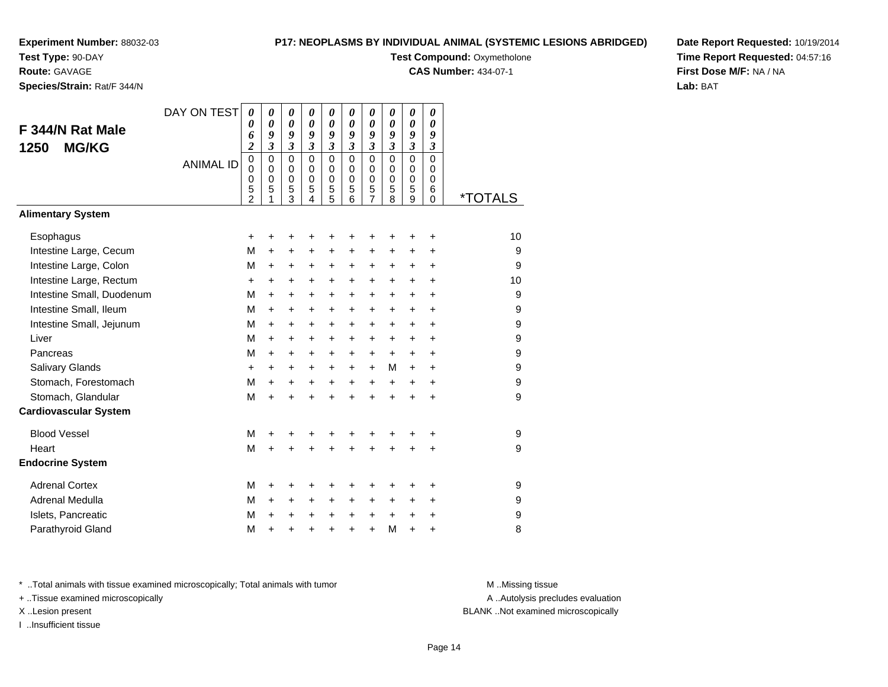**Test Type:** 90-DAY

**Route:** GAVAGE

**Species/Strain:** Rat/F 344/N

#### **P17: NEOPLASMS BY INDIVIDUAL ANIMAL (SYSTEMIC LESIONS ABRIDGED)**

**Test Compound: Oxymetholone** 

**CAS Number:** 434-07-1

**Date Report Requested:** 10/19/2014**Time Report Requested:** 04:57:16**First Dose M/F:** NA / NA**Lab:** BAT

| F 344/N Rat Male<br><b>MG/KG</b><br>1250<br><b>Alimentary System</b> | DAY ON TEST<br><b>ANIMAL ID</b> | $\boldsymbol{\theta}$<br>0<br>6<br>$\boldsymbol{2}$<br>$\mathbf 0$<br>0<br>0<br>5<br>2 | 0<br>$\theta$<br>9<br>3<br>$\mathbf 0$<br>$\Omega$<br>$\mathbf 0$<br>5<br>1 | 0<br>0<br>9<br>3<br>0<br>$\mathbf 0$<br>$\mathbf 0$<br>5<br>3 | $\boldsymbol{\theta}$<br>0<br>9<br>$\overline{\mathbf{3}}$<br>$\Omega$<br>$\Omega$<br>$\Omega$<br>5<br>4 | $\boldsymbol{\theta}$<br>$\boldsymbol{\theta}$<br>9<br>$\overline{\mathbf{3}}$<br>$\mathbf 0$<br>$\mathbf 0$<br>$\mathbf 0$<br>5<br>5 | $\boldsymbol{\theta}$<br>$\boldsymbol{\theta}$<br>9<br>$\mathfrak{z}$<br>$\Omega$<br>$\mathbf 0$<br>$\mathbf 0$<br>5<br>6 | 0<br>0<br>9<br>$\overline{\mathbf{3}}$<br>$\mathbf 0$<br>$\mathbf 0$<br>$\mathbf 0$<br>5<br>7 | 0<br>0<br>9<br>$\mathfrak{z}$<br>$\mathbf 0$<br>0<br>$\mathbf 0$<br>5<br>8 | 0<br>0<br>9<br>$\mathfrak{z}$<br>$\Omega$<br>0<br>0<br>5<br>9 | 0<br>$\boldsymbol{\theta}$<br>9<br>$\mathfrak{z}$<br>$\Omega$<br>$\Omega$<br>$\mathbf 0$<br>6<br>0 | <i><b>*TOTALS</b></i> |
|----------------------------------------------------------------------|---------------------------------|----------------------------------------------------------------------------------------|-----------------------------------------------------------------------------|---------------------------------------------------------------|----------------------------------------------------------------------------------------------------------|---------------------------------------------------------------------------------------------------------------------------------------|---------------------------------------------------------------------------------------------------------------------------|-----------------------------------------------------------------------------------------------|----------------------------------------------------------------------------|---------------------------------------------------------------|----------------------------------------------------------------------------------------------------|-----------------------|
| Esophagus                                                            |                                 | $\ddot{}$                                                                              | +                                                                           | +                                                             | +                                                                                                        |                                                                                                                                       | +                                                                                                                         | +                                                                                             | +                                                                          | +                                                             | +                                                                                                  | 10                    |
| Intestine Large, Cecum                                               |                                 | М                                                                                      | +                                                                           | +                                                             | +                                                                                                        | +                                                                                                                                     | +                                                                                                                         | +                                                                                             | +                                                                          | +                                                             | +                                                                                                  | 9                     |
| Intestine Large, Colon                                               |                                 | M                                                                                      | +                                                                           | +                                                             | $\ddot{}$                                                                                                | $\ddot{}$                                                                                                                             | +                                                                                                                         | +                                                                                             | +                                                                          | $\ddot{}$                                                     | +                                                                                                  | 9                     |
| Intestine Large, Rectum                                              |                                 | +                                                                                      | +                                                                           | +                                                             | $\ddot{}$                                                                                                | $\ddot{}$                                                                                                                             | $\ddot{}$                                                                                                                 | +                                                                                             | +                                                                          | $\ddot{}$                                                     | +                                                                                                  | 10                    |
| Intestine Small, Duodenum                                            |                                 | м                                                                                      | $\ddot{}$                                                                   | +                                                             | $\ddot{}$                                                                                                | $\ddot{}$                                                                                                                             | +                                                                                                                         | $\ddot{}$                                                                                     | $\ddot{}$                                                                  | $\ddot{}$                                                     | +                                                                                                  | 9                     |
| Intestine Small, Ileum                                               |                                 | м                                                                                      | $\ddot{}$                                                                   | $\pm$                                                         | $\ddot{}$                                                                                                | +                                                                                                                                     | +                                                                                                                         | +                                                                                             | +                                                                          | $\ddot{}$                                                     | +                                                                                                  | 9                     |
| Intestine Small, Jejunum                                             |                                 | M                                                                                      | $\ddot{}$                                                                   | $\ddot{}$                                                     | $\ddot{}$                                                                                                | $\ddot{}$                                                                                                                             | +                                                                                                                         | $\ddot{}$                                                                                     | $\ddot{}$                                                                  | $+$                                                           | $\ddot{}$                                                                                          | 9                     |
| Liver                                                                |                                 | M                                                                                      | $\ddot{}$                                                                   | $+$                                                           | $\ddot{}$                                                                                                | $\ddot{}$                                                                                                                             | $\ddot{}$                                                                                                                 | +                                                                                             | $\ddot{}$                                                                  | $+$                                                           | $\ddot{}$                                                                                          | 9                     |
| Pancreas                                                             |                                 | м                                                                                      | $\ddot{}$                                                                   | $\ddot{}$                                                     | $\ddot{}$                                                                                                | $+$                                                                                                                                   | $\ddot{}$                                                                                                                 | +                                                                                             | $+$                                                                        | $\ddot{}$                                                     | $\ddot{}$                                                                                          | 9                     |
| Salivary Glands                                                      |                                 | +                                                                                      | $\ddot{}$                                                                   | +                                                             | +                                                                                                        | $\ddot{}$                                                                                                                             | $\ddot{}$                                                                                                                 | +                                                                                             | M                                                                          | $\ddot{}$                                                     | +                                                                                                  | 9                     |
| Stomach, Forestomach                                                 |                                 | M                                                                                      | $\ddot{}$                                                                   | $\ddot{}$                                                     | $\ddot{}$                                                                                                | $\ddot{}$                                                                                                                             | $\ddot{}$                                                                                                                 | $\ddot{}$                                                                                     | $\ddot{}$                                                                  | $\ddot{}$                                                     | $\ddot{}$                                                                                          | 9                     |
| Stomach, Glandular                                                   |                                 | M                                                                                      | $\ddot{}$                                                                   | $\ddot{}$                                                     | $\ddot{}$                                                                                                | $\ddot{}$                                                                                                                             | $\ddot{}$                                                                                                                 | $\ddot{}$                                                                                     | $\ddot{}$                                                                  | $\ddot{}$                                                     | $\ddot{}$                                                                                          | 9                     |
| <b>Cardiovascular System</b>                                         |                                 |                                                                                        |                                                                             |                                                               |                                                                                                          |                                                                                                                                       |                                                                                                                           |                                                                                               |                                                                            |                                                               |                                                                                                    |                       |
| <b>Blood Vessel</b>                                                  |                                 | М                                                                                      | +                                                                           | +                                                             |                                                                                                          |                                                                                                                                       |                                                                                                                           | +                                                                                             | +                                                                          | +                                                             | +                                                                                                  | 9                     |
| Heart                                                                |                                 | M                                                                                      | $\ddot{}$                                                                   | $\ddot{}$                                                     |                                                                                                          |                                                                                                                                       | $\ddot{}$                                                                                                                 | $\ddot{}$                                                                                     | $\ddot{}$                                                                  | $\ddot{}$                                                     | +                                                                                                  | 9                     |
| <b>Endocrine System</b>                                              |                                 |                                                                                        |                                                                             |                                                               |                                                                                                          |                                                                                                                                       |                                                                                                                           |                                                                                               |                                                                            |                                                               |                                                                                                    |                       |
| <b>Adrenal Cortex</b>                                                |                                 | М                                                                                      | +                                                                           | +                                                             | +                                                                                                        |                                                                                                                                       | +                                                                                                                         | +                                                                                             | +                                                                          | +                                                             | +                                                                                                  | 9                     |
| Adrenal Medulla                                                      |                                 | M                                                                                      | $\ddot{}$                                                                   | +                                                             | +                                                                                                        | $\ddot{}$                                                                                                                             | +                                                                                                                         | +                                                                                             | +                                                                          | $\ddot{}$                                                     | +                                                                                                  | 9                     |
| Islets, Pancreatic                                                   |                                 | M                                                                                      | +                                                                           | +                                                             | +                                                                                                        | $\ddot{}$                                                                                                                             | $\ddot{}$                                                                                                                 | +                                                                                             | +                                                                          | $\ddot{}$                                                     | +                                                                                                  | 9                     |
| Parathyroid Gland                                                    |                                 | М                                                                                      | $\ddot{}$                                                                   | +                                                             | +                                                                                                        | $\ddot{}$                                                                                                                             | $\ddot{}$                                                                                                                 | +                                                                                             | M                                                                          | $\ddot{}$                                                     | +                                                                                                  | 8                     |

\* ..Total animals with tissue examined microscopically; Total animals with tumor **M** . Missing tissue M ..Missing tissue

+ ..Tissue examined microscopically

I ..Insufficient tissue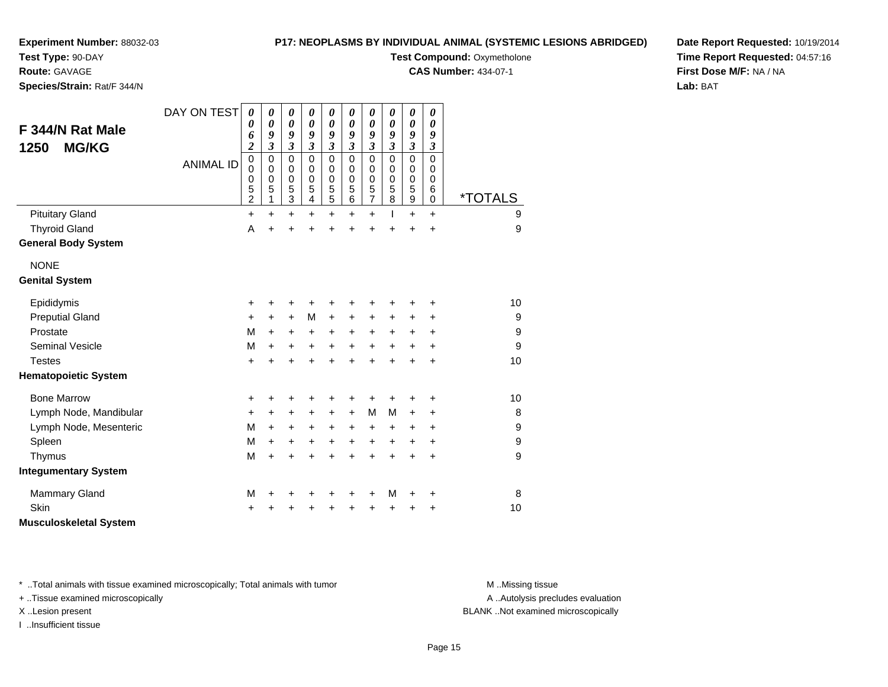**Test Type:** 90-DAY

**Route:** GAVAGE

**Species/Strain:** Rat/F 344/N

**P17: NEOPLASMS BY INDIVIDUAL ANIMAL (SYSTEMIC LESIONS ABRIDGED)**

**Test Compound: Oxymetholone** 

**CAS Number:** 434-07-1

**Date Report Requested:** 10/19/2014**Time Report Requested:** 04:57:16**First Dose M/F:** NA / NA**Lab:** BAT

| F 344/N Rat Male<br><b>MG/KG</b><br>1250 | DAY ON TEST<br><b>ANIMAL ID</b> | 0<br>0<br>6<br>$\overline{\mathbf{c}}$<br>0<br>0<br>0<br>5<br>$\overline{\mathbf{c}}$ | 0<br>$\boldsymbol{\theta}$<br>9<br>3<br>0<br>0<br>$\mathbf 0$<br>5<br>1 | 0<br>$\boldsymbol{\theta}$<br>9<br>$\mathfrak{z}$<br>$\mathbf 0$<br>0<br>$\mathbf 0$<br>5<br>$\ensuremath{\mathsf{3}}$ | 0<br>$\boldsymbol{\theta}$<br>9<br>$\mathfrak{z}$<br>$\mathbf 0$<br>0<br>$\mathbf 0$<br>5<br>4 | $\boldsymbol{\theta}$<br>$\boldsymbol{\theta}$<br>9<br>$\boldsymbol{\beta}$<br>$\mathbf 0$<br>0<br>$\mathbf 0$<br>$\frac{5}{5}$ | 0<br>$\boldsymbol{\theta}$<br>9<br>$\mathfrak{z}$<br>$\mathbf 0$<br>0<br>$\mathbf 0$<br>5<br>6 | 0<br>$\boldsymbol{\theta}$<br>9<br>$\boldsymbol{\mathfrak{z}}$<br>$\mathbf 0$<br>0<br>$\mathbf 0$<br>$\frac{5}{7}$ | 0<br>0<br>9<br>$\mathfrak{z}$<br>$\mathbf 0$<br>0<br>0<br>5<br>8 | 0<br>0<br>9<br>$\mathfrak{z}$<br>$\pmb{0}$<br>0<br>$\pmb{0}$<br>$\mathbf 5$<br>$\boldsymbol{9}$ | 0<br>0<br>9<br>$\mathfrak{z}$<br>$\mathbf 0$<br>$\Omega$<br>$\Omega$<br>6<br>$\mathbf 0$ | <i><b>*TOTALS</b></i> |
|------------------------------------------|---------------------------------|---------------------------------------------------------------------------------------|-------------------------------------------------------------------------|------------------------------------------------------------------------------------------------------------------------|------------------------------------------------------------------------------------------------|---------------------------------------------------------------------------------------------------------------------------------|------------------------------------------------------------------------------------------------|--------------------------------------------------------------------------------------------------------------------|------------------------------------------------------------------|-------------------------------------------------------------------------------------------------|------------------------------------------------------------------------------------------|-----------------------|
| <b>Pituitary Gland</b>                   |                                 | +                                                                                     | $\ddot{}$                                                               | $\ddot{}$                                                                                                              | +                                                                                              | $\ddot{}$                                                                                                                       | $\ddot{}$                                                                                      | $\ddot{}$                                                                                                          | T                                                                | $\ddot{}$                                                                                       | $\ddot{}$                                                                                | 9                     |
| <b>Thyroid Gland</b>                     |                                 | A                                                                                     | $\ddot{}$                                                               | $\ddot{}$                                                                                                              |                                                                                                | +                                                                                                                               |                                                                                                | +                                                                                                                  |                                                                  | Ŧ.                                                                                              | $\ddot{}$                                                                                | 9                     |
| <b>General Body System</b>               |                                 |                                                                                       |                                                                         |                                                                                                                        |                                                                                                |                                                                                                                                 |                                                                                                |                                                                                                                    |                                                                  |                                                                                                 |                                                                                          |                       |
| <b>NONE</b>                              |                                 |                                                                                       |                                                                         |                                                                                                                        |                                                                                                |                                                                                                                                 |                                                                                                |                                                                                                                    |                                                                  |                                                                                                 |                                                                                          |                       |
| <b>Genital System</b>                    |                                 |                                                                                       |                                                                         |                                                                                                                        |                                                                                                |                                                                                                                                 |                                                                                                |                                                                                                                    |                                                                  |                                                                                                 |                                                                                          |                       |
| Epididymis                               |                                 | +                                                                                     | +                                                                       | +                                                                                                                      |                                                                                                |                                                                                                                                 |                                                                                                | +                                                                                                                  |                                                                  | +                                                                                               | +                                                                                        | 10                    |
| <b>Preputial Gland</b>                   |                                 | +                                                                                     | +                                                                       | $\ddot{}$                                                                                                              | M                                                                                              | $\ddot{}$                                                                                                                       | +                                                                                              | +                                                                                                                  | +                                                                | +                                                                                               | +                                                                                        | 9                     |
| Prostate                                 |                                 | M                                                                                     | $+$                                                                     | $\ddot{}$                                                                                                              | +                                                                                              | $\ddot{}$                                                                                                                       | $\ddot{}$                                                                                      | $\ddot{}$                                                                                                          | $\ddot{}$                                                        | +                                                                                               | $\ddot{}$                                                                                | 9                     |
| <b>Seminal Vesicle</b>                   |                                 | M                                                                                     | $\ddot{}$                                                               | $\ddot{}$                                                                                                              | $\ddot{}$                                                                                      | $\ddot{}$                                                                                                                       | $\ddot{}$                                                                                      | $\ddot{}$                                                                                                          | $\ddot{}$                                                        | $\ddot{}$                                                                                       | $\ddot{}$                                                                                | 9                     |
| <b>Testes</b>                            |                                 | +                                                                                     | +                                                                       | $\ddot{}$                                                                                                              | $\ddot{}$                                                                                      | $\ddot{}$                                                                                                                       | $\ddot{}$                                                                                      | $\ddot{}$                                                                                                          | $\ddot{}$                                                        | $\ddot{}$                                                                                       | $\ddot{}$                                                                                | 10                    |
| <b>Hematopoietic System</b>              |                                 |                                                                                       |                                                                         |                                                                                                                        |                                                                                                |                                                                                                                                 |                                                                                                |                                                                                                                    |                                                                  |                                                                                                 |                                                                                          |                       |
| <b>Bone Marrow</b>                       |                                 | +                                                                                     | +                                                                       | +                                                                                                                      |                                                                                                | +                                                                                                                               |                                                                                                | ٠                                                                                                                  |                                                                  | +                                                                                               | +                                                                                        | 10                    |
| Lymph Node, Mandibular                   |                                 | +                                                                                     | $\ddot{}$                                                               | $\ddot{}$                                                                                                              | $\ddot{}$                                                                                      | $\ddot{}$                                                                                                                       | $\ddot{}$                                                                                      | M                                                                                                                  | M                                                                | $\ddot{}$                                                                                       | +                                                                                        | 8                     |
| Lymph Node, Mesenteric                   |                                 | M                                                                                     | $\ddot{}$                                                               | $\ddot{}$                                                                                                              | +                                                                                              | $\ddot{}$                                                                                                                       | $\ddot{}$                                                                                      | $\ddot{}$                                                                                                          | +                                                                | +                                                                                               | +                                                                                        | 9                     |
| Spleen                                   |                                 | M                                                                                     | +                                                                       | +                                                                                                                      | +                                                                                              | +                                                                                                                               | +                                                                                              | $\ddot{}$                                                                                                          | +                                                                | +                                                                                               | +                                                                                        | $\boldsymbol{9}$      |
| Thymus                                   |                                 | M                                                                                     | $\ddot{}$                                                               | $\ddot{}$                                                                                                              | +                                                                                              | $\ddot{}$                                                                                                                       | $\ddot{}$                                                                                      | $\ddot{}$                                                                                                          | $\ddot{}$                                                        | $\ddot{}$                                                                                       | $\ddot{}$                                                                                | 9                     |
| <b>Integumentary System</b>              |                                 |                                                                                       |                                                                         |                                                                                                                        |                                                                                                |                                                                                                                                 |                                                                                                |                                                                                                                    |                                                                  |                                                                                                 |                                                                                          |                       |
| <b>Mammary Gland</b>                     |                                 | M                                                                                     | +                                                                       | +                                                                                                                      | +                                                                                              | +                                                                                                                               |                                                                                                | +                                                                                                                  | M                                                                | +                                                                                               | +                                                                                        | 8                     |
| <b>Skin</b>                              |                                 | +                                                                                     |                                                                         | +                                                                                                                      |                                                                                                |                                                                                                                                 |                                                                                                |                                                                                                                    |                                                                  | +                                                                                               | +                                                                                        | 10                    |
| <b>Musculoskeletal System</b>            |                                 |                                                                                       |                                                                         |                                                                                                                        |                                                                                                |                                                                                                                                 |                                                                                                |                                                                                                                    |                                                                  |                                                                                                 |                                                                                          |                       |

\* ..Total animals with tissue examined microscopically; Total animals with tumor **M** . Missing tissue M ..Missing tissue

+ ..Tissue examined microscopically

I ..Insufficient tissue

A ..Autolysis precludes evaluation

X ..Lesion present BLANK ..Not examined microscopically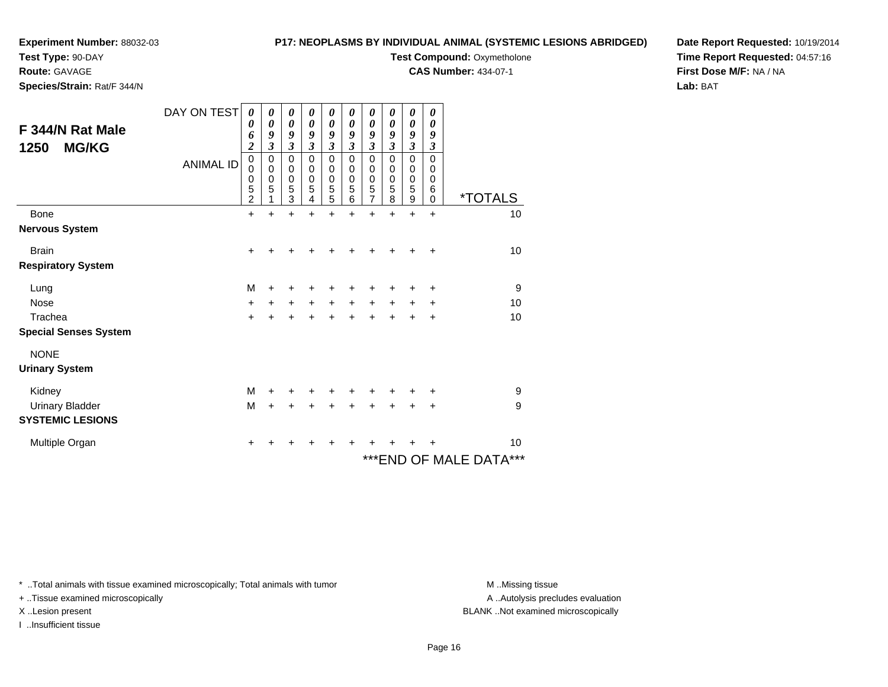**Test Type:** 90-DAY

**Route:** GAVAGE

**Species/Strain:** Rat/F 344/N

#### **P17: NEOPLASMS BY INDIVIDUAL ANIMAL (SYSTEMIC LESIONS ABRIDGED)**

**Test Compound: Oxymetholone** 

**CAS Number:** 434-07-1

**Date Report Requested:** 10/19/2014**Time Report Requested:** 04:57:16**First Dose M/F:** NA / NA**Lab:** BAT

| F 344/N Rat Male<br><b>MG/KG</b><br>1250 | DAY ON TEST<br><b>ANIMAL ID</b> | 0<br>0<br>6<br>$\boldsymbol{2}$<br>$\mathsf 0$<br>0<br>0<br>5 | 0<br>$\boldsymbol{\theta}$<br>9<br>$\mathfrak{z}$<br>$\pmb{0}$<br>$\mathbf 0$<br>$\pmb{0}$<br>5 | 0<br>$\boldsymbol{\theta}$<br>9<br>$\mathfrak{z}$<br>$\mathbf 0$<br>$\pmb{0}$<br>$\pmb{0}$<br>5 | 0<br>$\boldsymbol{\theta}$<br>9<br>$\mathfrak{z}$<br>0<br>0<br>$\pmb{0}$<br>5 | 0<br>$\boldsymbol{\theta}$<br>9<br>$\mathfrak{z}$<br>$\mathbf 0$<br>$\pmb{0}$<br>$\pmb{0}$<br>5 | 0<br>$\boldsymbol{\theta}$<br>9<br>$\mathfrak{z}$<br>$\mathbf 0$<br>$\mathbf 0$<br>$\pmb{0}$<br>$\sqrt{5}$ | 0<br>0<br>9<br>$\boldsymbol{\mathfrak{z}}$<br>0<br>0<br>$\pmb{0}$<br>$\mathbf 5$ | 0<br>0<br>9<br>$\boldsymbol{\beta}$<br>$\mathbf 0$<br>0<br>0<br>5 | 0<br>0<br>9<br>$\mathfrak{z}$<br>$\mathbf 0$<br>0<br>0<br>5 | 0<br>$\boldsymbol{\theta}$<br>9<br>$\boldsymbol{\beta}$<br>$\Omega$<br>$\Omega$<br>0<br>6 |                              |
|------------------------------------------|---------------------------------|---------------------------------------------------------------|-------------------------------------------------------------------------------------------------|-------------------------------------------------------------------------------------------------|-------------------------------------------------------------------------------|-------------------------------------------------------------------------------------------------|------------------------------------------------------------------------------------------------------------|----------------------------------------------------------------------------------|-------------------------------------------------------------------|-------------------------------------------------------------|-------------------------------------------------------------------------------------------|------------------------------|
|                                          |                                 | $\overline{2}$                                                |                                                                                                 | 3                                                                                               | 4                                                                             | 5                                                                                               | 6                                                                                                          | $\overline{7}$                                                                   | 8                                                                 | 9                                                           | $\Omega$                                                                                  | *TOTALS                      |
| Bone                                     |                                 | $\ddot{}$                                                     | $\ddot{}$                                                                                       | +                                                                                               | +                                                                             | +                                                                                               | ÷                                                                                                          | +                                                                                | +                                                                 | $\ddot{}$                                                   | $\ddot{}$                                                                                 | 10                           |
| <b>Nervous System</b>                    |                                 |                                                               |                                                                                                 |                                                                                                 |                                                                               |                                                                                                 |                                                                                                            |                                                                                  |                                                                   |                                                             |                                                                                           |                              |
| <b>Brain</b>                             |                                 | $\ddot{}$                                                     | +                                                                                               | +                                                                                               |                                                                               |                                                                                                 |                                                                                                            |                                                                                  |                                                                   | +                                                           | $\ddot{}$                                                                                 | 10                           |
| <b>Respiratory System</b>                |                                 |                                                               |                                                                                                 |                                                                                                 |                                                                               |                                                                                                 |                                                                                                            |                                                                                  |                                                                   |                                                             |                                                                                           |                              |
| Lung                                     |                                 | M                                                             |                                                                                                 |                                                                                                 |                                                                               |                                                                                                 |                                                                                                            |                                                                                  |                                                                   | +                                                           | ٠                                                                                         | 9                            |
| <b>Nose</b>                              |                                 | $\ddot{}$                                                     | +                                                                                               | $\ddot{}$                                                                                       | $\ddot{}$                                                                     | $\ddot{}$                                                                                       | $\ddot{}$                                                                                                  | $\ddot{}$                                                                        | +                                                                 | +                                                           | +                                                                                         | 10                           |
| Trachea                                  |                                 | $\ddot{}$                                                     |                                                                                                 | +                                                                                               |                                                                               | $\ddot{}$                                                                                       |                                                                                                            | $\ddot{}$                                                                        | $\ddot{}$                                                         | $\ddot{}$                                                   | $\ddot{}$                                                                                 | 10                           |
| <b>Special Senses System</b>             |                                 |                                                               |                                                                                                 |                                                                                                 |                                                                               |                                                                                                 |                                                                                                            |                                                                                  |                                                                   |                                                             |                                                                                           |                              |
| <b>NONE</b>                              |                                 |                                                               |                                                                                                 |                                                                                                 |                                                                               |                                                                                                 |                                                                                                            |                                                                                  |                                                                   |                                                             |                                                                                           |                              |
| <b>Urinary System</b>                    |                                 |                                                               |                                                                                                 |                                                                                                 |                                                                               |                                                                                                 |                                                                                                            |                                                                                  |                                                                   |                                                             |                                                                                           |                              |
| Kidney                                   |                                 | M                                                             | +                                                                                               | +                                                                                               |                                                                               | +                                                                                               |                                                                                                            | +                                                                                | +                                                                 | +                                                           | +                                                                                         | 9                            |
| <b>Urinary Bladder</b>                   |                                 | M                                                             | $+$                                                                                             | $+$                                                                                             | +                                                                             | $\ddot{}$                                                                                       | ÷                                                                                                          | $\ddot{}$                                                                        | $\ddot{}$                                                         | $+$                                                         | $\ddot{}$                                                                                 | 9                            |
| <b>SYSTEMIC LESIONS</b>                  |                                 |                                                               |                                                                                                 |                                                                                                 |                                                                               |                                                                                                 |                                                                                                            |                                                                                  |                                                                   |                                                             |                                                                                           |                              |
| Multiple Organ                           |                                 | +                                                             |                                                                                                 |                                                                                                 |                                                                               |                                                                                                 |                                                                                                            |                                                                                  |                                                                   |                                                             | +                                                                                         | 10                           |
|                                          |                                 |                                                               |                                                                                                 |                                                                                                 |                                                                               |                                                                                                 |                                                                                                            |                                                                                  |                                                                   |                                                             |                                                                                           | $***$<br>***END OF MALE DATA |

\* ..Total animals with tissue examined microscopically; Total animals with tumor **M** . Missing tissue M ..Missing tissue

+ ..Tissue examined microscopically

I ..Insufficient tissue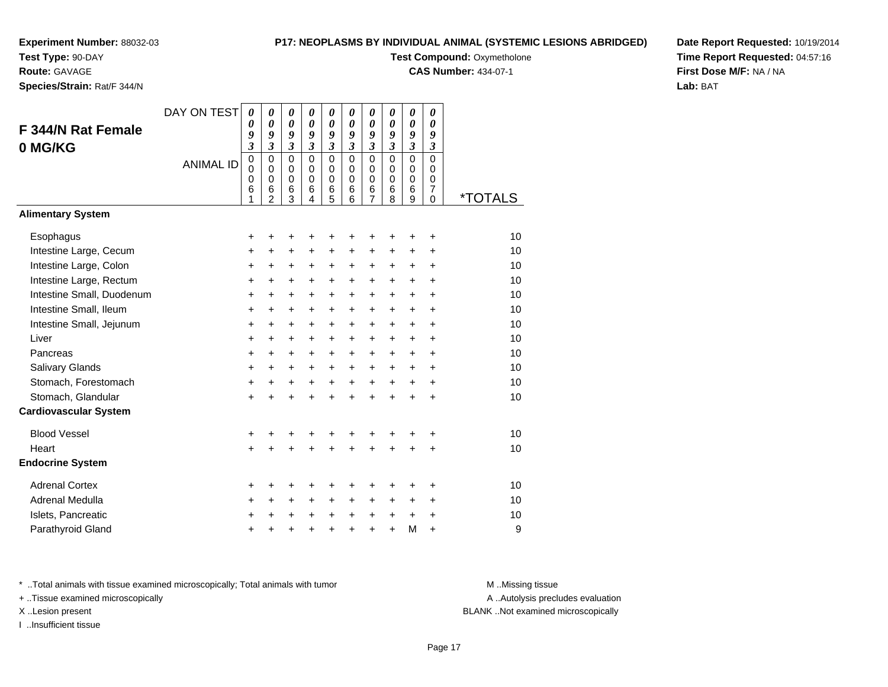**Test Type:** 90-DAY

#### **Route:** GAVAGE

**Species/Strain:** Rat/F 344/N

#### **P17: NEOPLASMS BY INDIVIDUAL ANIMAL (SYSTEMIC LESIONS ABRIDGED)**

**Test Compound: Oxymetholone** 

**CAS Number:** 434-07-1

**Date Report Requested:** 10/19/2014**Time Report Requested:** 04:57:16**First Dose M/F:** NA / NA**Lab:** BAT

| F 344/N Rat Female<br>0 MG/KG<br><b>Alimentary System</b> | DAY ON TEST<br><b>ANIMAL ID</b> | 0<br>0<br>9<br>$\overline{\mathbf{3}}$<br>$\mathbf 0$<br>0<br>0<br>6<br>1 | $\boldsymbol{\theta}$<br>$\boldsymbol{\theta}$<br>9<br>$\overline{\mathbf{3}}$<br>$\Omega$<br>$\mathbf 0$<br>$\mathbf 0$<br>6<br>2 | $\boldsymbol{\theta}$<br>$\boldsymbol{\theta}$<br>$\boldsymbol{g}$<br>$\overline{\mathbf{3}}$<br>$\Omega$<br>0<br>$\pmb{0}$<br>$6\phantom{1}6$<br>3 | $\boldsymbol{\theta}$<br>$\boldsymbol{\theta}$<br>9<br>$\overline{3}$<br>$\Omega$<br>$\mathbf 0$<br>$\mathbf 0$<br>$\,6$<br>4 | 0<br>$\boldsymbol{\theta}$<br>9<br>$\mathfrak{z}$<br>$\Omega$<br>0<br>$\mathbf 0$<br>6<br>5 | 0<br>$\boldsymbol{\theta}$<br>9<br>$\mathfrak{z}$<br>$\Omega$<br>$\Omega$<br>$\mathbf 0$<br>6<br>6 | $\pmb{\theta}$<br>$\boldsymbol{\theta}$<br>9<br>$\boldsymbol{\mathfrak{z}}$<br>$\mathbf 0$<br>0<br>$\mathbf 0$<br>6<br>7 | 0<br>$\boldsymbol{\theta}$<br>9<br>$\overline{3}$<br>$\Omega$<br>0<br>$\mathbf 0$<br>6<br>8 | 0<br>$\boldsymbol{\theta}$<br>9<br>$\mathfrak{z}$<br>$\Omega$<br>0<br>$\mathbf 0$<br>6<br>9 | $\pmb{\theta}$<br>0<br>9<br>$\boldsymbol{\beta}$<br>$\Omega$<br>0<br>$\mathbf 0$<br>$\overline{7}$<br>$\Omega$ | <i><b>*TOTALS</b></i> |
|-----------------------------------------------------------|---------------------------------|---------------------------------------------------------------------------|------------------------------------------------------------------------------------------------------------------------------------|-----------------------------------------------------------------------------------------------------------------------------------------------------|-------------------------------------------------------------------------------------------------------------------------------|---------------------------------------------------------------------------------------------|----------------------------------------------------------------------------------------------------|--------------------------------------------------------------------------------------------------------------------------|---------------------------------------------------------------------------------------------|---------------------------------------------------------------------------------------------|----------------------------------------------------------------------------------------------------------------|-----------------------|
|                                                           |                                 |                                                                           |                                                                                                                                    |                                                                                                                                                     |                                                                                                                               |                                                                                             |                                                                                                    |                                                                                                                          |                                                                                             |                                                                                             |                                                                                                                |                       |
| Esophagus                                                 |                                 | +                                                                         | +                                                                                                                                  | $\ddot{}$                                                                                                                                           | +                                                                                                                             | +                                                                                           | +                                                                                                  | +                                                                                                                        | ٠                                                                                           | +                                                                                           | $\ddot{}$                                                                                                      | 10                    |
| Intestine Large, Cecum                                    |                                 | +                                                                         | +                                                                                                                                  | $\ddot{}$                                                                                                                                           | +                                                                                                                             | +                                                                                           | +                                                                                                  | +                                                                                                                        | +                                                                                           | +                                                                                           | +                                                                                                              | 10<br>10              |
| Intestine Large, Colon<br>Intestine Large, Rectum         |                                 | +                                                                         | +<br>+                                                                                                                             | $\ddot{}$<br>$\ddot{}$                                                                                                                              | $+$<br>+                                                                                                                      | $\ddot{}$<br>+                                                                              | $\ddot{}$                                                                                          | $\ddot{}$<br>$\ddot{}$                                                                                                   | $\ddot{}$                                                                                   | $\ddot{}$<br>$\ddot{}$                                                                      | $\ddot{}$<br>$\ddot{}$                                                                                         | 10                    |
| Intestine Small, Duodenum                                 |                                 | +<br>$\ddot{}$                                                            | $\ddot{}$                                                                                                                          | $\ddot{}$                                                                                                                                           | +                                                                                                                             | $\ddot{}$                                                                                   | +<br>$\ddot{}$                                                                                     | $\ddot{}$                                                                                                                | +<br>$\ddot{}$                                                                              | $\ddot{}$                                                                                   | $\ddot{}$                                                                                                      | 10                    |
| Intestine Small, Ileum                                    |                                 | $\ddot{}$                                                                 | $\ddot{}$                                                                                                                          | $\ddot{}$                                                                                                                                           | +                                                                                                                             | $\ddot{}$                                                                                   | $\ddot{}$                                                                                          | $\ddot{}$                                                                                                                | +                                                                                           | $\ddot{}$                                                                                   | $\ddot{}$                                                                                                      | 10                    |
| Intestine Small, Jejunum                                  |                                 | +                                                                         | $\ddot{}$                                                                                                                          | $\ddot{}$                                                                                                                                           | $\ddot{}$                                                                                                                     | +                                                                                           | $\ddot{}$                                                                                          | +                                                                                                                        | $\ddot{}$                                                                                   | $\ddot{}$                                                                                   | $\ddot{}$                                                                                                      | 10                    |
| Liver                                                     |                                 | $\ddot{}$                                                                 | $\ddot{}$                                                                                                                          | $\ddot{}$                                                                                                                                           | +                                                                                                                             | $\ddot{}$                                                                                   | $\ddot{}$                                                                                          | $\ddot{}$                                                                                                                | $\ddot{}$                                                                                   | $\ddot{}$                                                                                   | $\ddot{}$                                                                                                      | 10                    |
| Pancreas                                                  |                                 | $\ddot{}$                                                                 | $\ddot{}$                                                                                                                          | $\ddot{}$                                                                                                                                           | $\ddot{}$                                                                                                                     | $\ddot{}$                                                                                   | $\ddot{}$                                                                                          | $\ddot{}$                                                                                                                | $\ddot{}$                                                                                   | $\ddot{}$                                                                                   | $\ddot{}$                                                                                                      | 10                    |
| Salivary Glands                                           |                                 | $\ddot{}$                                                                 | $\ddot{}$                                                                                                                          | $\ddot{}$                                                                                                                                           | +                                                                                                                             | $\ddot{}$                                                                                   | $+$                                                                                                | $+$                                                                                                                      | $+$                                                                                         | $\ddot{}$                                                                                   | $\ddot{}$                                                                                                      | 10                    |
| Stomach, Forestomach                                      |                                 | +                                                                         | +                                                                                                                                  | $\ddot{}$                                                                                                                                           | $+$                                                                                                                           | $\ddot{}$                                                                                   | $+$                                                                                                | $+$                                                                                                                      | $+$                                                                                         | $\ddot{}$                                                                                   | $\ddot{}$                                                                                                      | 10                    |
| Stomach, Glandular                                        |                                 | $\ddot{}$                                                                 | $\ddot{}$                                                                                                                          | $\ddot{}$                                                                                                                                           | $\ddot{}$                                                                                                                     | $\ddot{}$                                                                                   | $\ddot{}$                                                                                          | $\ddot{}$                                                                                                                | $\ddot{}$                                                                                   | $\ddot{}$                                                                                   | $\ddot{}$                                                                                                      | 10                    |
| <b>Cardiovascular System</b>                              |                                 |                                                                           |                                                                                                                                    |                                                                                                                                                     |                                                                                                                               |                                                                                             |                                                                                                    |                                                                                                                          |                                                                                             |                                                                                             |                                                                                                                |                       |
| <b>Blood Vessel</b>                                       |                                 | +                                                                         | +                                                                                                                                  |                                                                                                                                                     |                                                                                                                               | +                                                                                           |                                                                                                    |                                                                                                                          |                                                                                             | +                                                                                           | +                                                                                                              | 10                    |
| Heart                                                     |                                 | $\ddot{}$                                                                 | $\ddot{}$                                                                                                                          | $\ddot{}$                                                                                                                                           | ÷                                                                                                                             | $\ddot{}$                                                                                   | $\ddot{}$                                                                                          | $\ddot{}$                                                                                                                | $\ddot{}$                                                                                   | $\ddot{}$                                                                                   | $\ddot{}$                                                                                                      | 10                    |
| <b>Endocrine System</b>                                   |                                 |                                                                           |                                                                                                                                    |                                                                                                                                                     |                                                                                                                               |                                                                                             |                                                                                                    |                                                                                                                          |                                                                                             |                                                                                             |                                                                                                                |                       |
| <b>Adrenal Cortex</b>                                     |                                 | +                                                                         | +                                                                                                                                  | +                                                                                                                                                   | +                                                                                                                             | +                                                                                           | +                                                                                                  | +                                                                                                                        | +                                                                                           | +                                                                                           | +                                                                                                              | 10                    |
| Adrenal Medulla                                           |                                 | +                                                                         | $\ddot{}$                                                                                                                          | $\ddot{}$                                                                                                                                           | +                                                                                                                             | +                                                                                           | $\ddot{}$                                                                                          | $\ddot{}$                                                                                                                | $\ddot{}$                                                                                   | $\ddot{}$                                                                                   | $\ddot{}$                                                                                                      | 10                    |
| Islets, Pancreatic                                        |                                 | +                                                                         | +                                                                                                                                  | +                                                                                                                                                   | $\ddot{}$                                                                                                                     | +                                                                                           | $\ddot{}$                                                                                          | $\ddot{}$                                                                                                                | +                                                                                           | +                                                                                           | +                                                                                                              | 10                    |
| Parathyroid Gland                                         |                                 |                                                                           |                                                                                                                                    |                                                                                                                                                     |                                                                                                                               | $\ddot{}$                                                                                   | $\ddot{}$                                                                                          | $\ddot{}$                                                                                                                | $\ddot{}$                                                                                   | M                                                                                           | $\ddot{}$                                                                                                      | 9                     |

\* ..Total animals with tissue examined microscopically; Total animals with tumor **M** . Missing tissue M ..Missing tissue

+ ..Tissue examined microscopically

I ..Insufficient tissue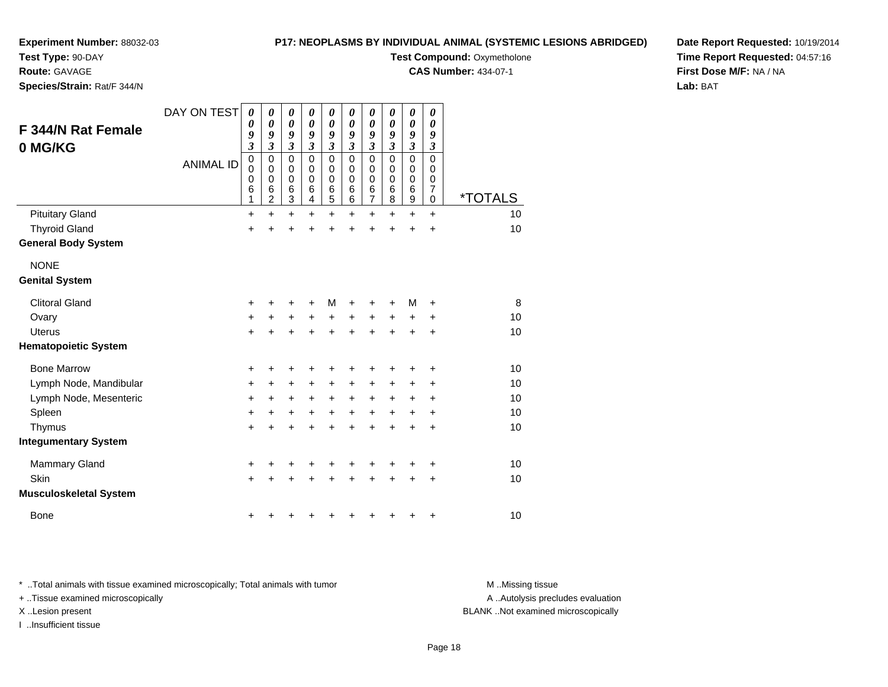**Test Type:** 90-DAY

**Route:** GAVAGE

**Species/Strain:** Rat/F 344/N

#### **P17: NEOPLASMS BY INDIVIDUAL ANIMAL (SYSTEMIC LESIONS ABRIDGED)**

**Test Compound: Oxymetholone** 

**CAS Number:** 434-07-1

**Date Report Requested:** 10/19/2014**Time Report Requested:** 04:57:16**First Dose M/F:** NA / NA**Lab:** BAT

| <b>F 344/N Rat Female</b><br>0 MG/KG | DAY ON TEST<br><b>ANIMAL ID</b> | $\boldsymbol{\theta}$<br>$\boldsymbol{\theta}$<br>9<br>$\mathfrak{z}$<br>$\mathbf 0$<br>0<br>$\mathbf 0$<br>6<br>1 | $\boldsymbol{\theta}$<br>$\boldsymbol{\theta}$<br>9<br>$\mathfrak{z}$<br>$\mathbf 0$<br>0<br>$\mathbf 0$<br>6<br>$\overline{2}$ | $\pmb{\theta}$<br>$\boldsymbol{\theta}$<br>9<br>$\mathfrak{z}$<br>$\mathsf 0$<br>0<br>$\mathbf 0$<br>6<br>3 | 0<br>$\boldsymbol{\theta}$<br>9<br>$\overline{\mathbf{3}}$<br>$\mathbf 0$<br>0<br>$\mathbf 0$<br>6<br>4 | 0<br>$\boldsymbol{\theta}$<br>9<br>$\overline{\mathbf{3}}$<br>$\mathbf 0$<br>0<br>$\mathbf 0$<br>6<br>5 | 0<br>0<br>9<br>3<br>0<br>0<br>$\mathbf 0$<br>6<br>6 | $\boldsymbol{\theta}$<br>$\boldsymbol{\theta}$<br>9<br>$\mathfrak{z}$<br>$\mathbf 0$<br>0<br>$\mathbf 0$<br>$\,6$<br>$\overline{7}$ | 0<br>0<br>9<br>$\overline{\mathbf{3}}$<br>$\mathbf 0$<br>0<br>$\mathbf 0$<br>6<br>8 | 0<br>$\boldsymbol{\theta}$<br>9<br>$\overline{\mathbf{3}}$<br>0<br>0<br>0<br>6<br>9 | 0<br>0<br>9<br>$\overline{3}$<br>0<br>0<br>0<br>7<br>0 | <i><b>*TOTALS</b></i> |
|--------------------------------------|---------------------------------|--------------------------------------------------------------------------------------------------------------------|---------------------------------------------------------------------------------------------------------------------------------|-------------------------------------------------------------------------------------------------------------|---------------------------------------------------------------------------------------------------------|---------------------------------------------------------------------------------------------------------|-----------------------------------------------------|-------------------------------------------------------------------------------------------------------------------------------------|-------------------------------------------------------------------------------------|-------------------------------------------------------------------------------------|--------------------------------------------------------|-----------------------|
| <b>Pituitary Gland</b>               |                                 | $\ddot{}$                                                                                                          | $\ddot{}$                                                                                                                       | +                                                                                                           | $\ddot{}$                                                                                               | $\ddot{}$                                                                                               | $\ddot{}$                                           | $\ddot{}$                                                                                                                           | $\ddot{}$                                                                           | $\ddot{}$                                                                           | $\ddot{}$                                              | 10                    |
| <b>Thyroid Gland</b>                 |                                 | $\ddot{}$                                                                                                          | $\ddot{}$                                                                                                                       | $\ddot{}$                                                                                                   | $\ddot{}$                                                                                               | $\ddot{}$                                                                                               | $\ddot{}$                                           | $\ddot{}$                                                                                                                           | $\ddot{}$                                                                           | $\ddot{}$                                                                           | $\ddot{}$                                              | 10                    |
| <b>General Body System</b>           |                                 |                                                                                                                    |                                                                                                                                 |                                                                                                             |                                                                                                         |                                                                                                         |                                                     |                                                                                                                                     |                                                                                     |                                                                                     |                                                        |                       |
| <b>NONE</b>                          |                                 |                                                                                                                    |                                                                                                                                 |                                                                                                             |                                                                                                         |                                                                                                         |                                                     |                                                                                                                                     |                                                                                     |                                                                                     |                                                        |                       |
| <b>Genital System</b>                |                                 |                                                                                                                    |                                                                                                                                 |                                                                                                             |                                                                                                         |                                                                                                         |                                                     |                                                                                                                                     |                                                                                     |                                                                                     |                                                        |                       |
| <b>Clitoral Gland</b>                |                                 | $\ddot{}$                                                                                                          |                                                                                                                                 | +                                                                                                           | +                                                                                                       | М                                                                                                       | +                                                   | +                                                                                                                                   | +                                                                                   | м                                                                                   | +                                                      | 8                     |
| Ovary                                |                                 | +                                                                                                                  |                                                                                                                                 | $\ddot{}$                                                                                                   | $\ddot{}$                                                                                               | $\ddot{}$                                                                                               | $+$                                                 | $\ddot{}$                                                                                                                           | $\ddot{}$                                                                           | $\ddot{}$                                                                           | +                                                      | 10                    |
| <b>Uterus</b>                        |                                 | $\ddot{}$                                                                                                          |                                                                                                                                 | $\ddot{}$                                                                                                   | $\ddot{}$                                                                                               | $\ddot{}$                                                                                               | $\ddot{}$                                           | $\ddot{}$                                                                                                                           | $\ddot{}$                                                                           | $\ddot{}$                                                                           | $\ddot{}$                                              | 10                    |
| <b>Hematopoietic System</b>          |                                 |                                                                                                                    |                                                                                                                                 |                                                                                                             |                                                                                                         |                                                                                                         |                                                     |                                                                                                                                     |                                                                                     |                                                                                     |                                                        |                       |
| <b>Bone Marrow</b>                   |                                 | +                                                                                                                  | +                                                                                                                               | +                                                                                                           | +                                                                                                       | +                                                                                                       | +                                                   | +                                                                                                                                   | +                                                                                   | +                                                                                   | +                                                      | 10                    |
| Lymph Node, Mandibular               |                                 | $\ddot{}$                                                                                                          | +                                                                                                                               | +                                                                                                           | $\ddot{}$                                                                                               | +                                                                                                       | $\pm$                                               | $\ddot{}$                                                                                                                           | +                                                                                   | ٠                                                                                   | ٠                                                      | 10                    |
| Lymph Node, Mesenteric               |                                 | $\ddot{}$                                                                                                          | $\ddot{}$                                                                                                                       | $\ddot{}$                                                                                                   | $\ddot{}$                                                                                               | $\ddot{}$                                                                                               | $\ddot{}$                                           | $\ddot{}$                                                                                                                           | $\ddot{}$                                                                           | +                                                                                   | +                                                      | 10                    |
| Spleen                               |                                 | $\ddot{}$                                                                                                          | +                                                                                                                               | +                                                                                                           | +                                                                                                       | +                                                                                                       | $\ddot{}$                                           | +                                                                                                                                   | $\ddot{}$                                                                           | +                                                                                   | +                                                      | 10                    |
| Thymus                               |                                 | $\ddot{}$                                                                                                          |                                                                                                                                 | $\ddot{}$                                                                                                   | $\ddot{}$                                                                                               | $\ddot{}$                                                                                               | $\ddot{}$                                           | $\ddot{}$                                                                                                                           | $\ddot{}$                                                                           | $\ddot{}$                                                                           | $\ddot{}$                                              | 10                    |
| <b>Integumentary System</b>          |                                 |                                                                                                                    |                                                                                                                                 |                                                                                                             |                                                                                                         |                                                                                                         |                                                     |                                                                                                                                     |                                                                                     |                                                                                     |                                                        |                       |
| <b>Mammary Gland</b>                 |                                 | +                                                                                                                  |                                                                                                                                 |                                                                                                             |                                                                                                         | +                                                                                                       |                                                     |                                                                                                                                     |                                                                                     |                                                                                     | +                                                      | 10                    |
| Skin                                 |                                 | $\ddot{}$                                                                                                          |                                                                                                                                 | +                                                                                                           |                                                                                                         | +                                                                                                       | +                                                   | +                                                                                                                                   | +                                                                                   | +                                                                                   | +                                                      | 10                    |
| <b>Musculoskeletal System</b>        |                                 |                                                                                                                    |                                                                                                                                 |                                                                                                             |                                                                                                         |                                                                                                         |                                                     |                                                                                                                                     |                                                                                     |                                                                                     |                                                        |                       |
| <b>Bone</b>                          |                                 | +                                                                                                                  |                                                                                                                                 |                                                                                                             |                                                                                                         | +                                                                                                       | +                                                   | +                                                                                                                                   | ٠                                                                                   | +                                                                                   | +                                                      | 10                    |

\* ..Total animals with tissue examined microscopically; Total animals with tumor **M** . Missing tissue M ..Missing tissue

+ ..Tissue examined microscopically

I ..Insufficient tissue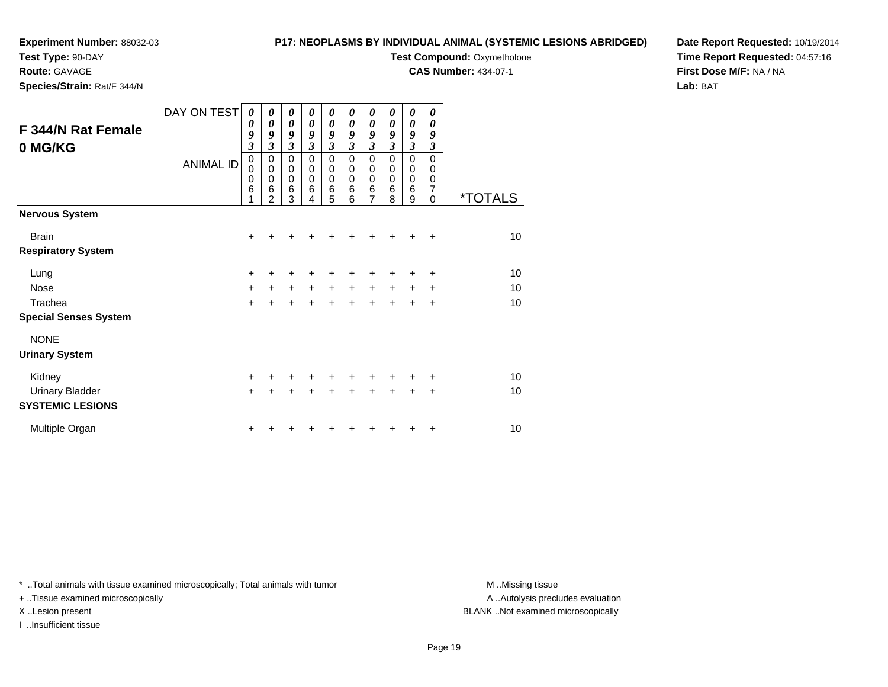## **Test Type:** 90-DAY

**Route:** GAVAGE

**Species/Strain:** Rat/F 344/N

#### **P17: NEOPLASMS BY INDIVIDUAL ANIMAL (SYSTEMIC LESIONS ABRIDGED)**

**Test Compound: Oxymetholone** 

**CAS Number:** 434-07-1

**Date Report Requested:** 10/19/2014**Time Report Requested:** 04:57:16**First Dose M/F:** NA / NA**Lab:** BAT

| F 344/N Rat Female<br>0 MG/KG | DAY ON TEST<br><b>ANIMAL ID</b> | 0<br>0<br>9<br>$\overline{\mathbf{3}}$<br>0<br>0<br>0<br>6 | 0<br>$\boldsymbol{\theta}$<br>9<br>$\overline{\mathbf{3}}$<br>$\mathbf 0$<br>$\mathbf 0$<br>$\mathbf 0$<br>6<br>$\overline{2}$ | 0<br>$\boldsymbol{\theta}$<br>9<br>$\mathfrak{z}$<br>$\pmb{0}$<br>$\pmb{0}$<br>$\mathbf 0$<br>6<br>3 | 0<br>$\boldsymbol{\theta}$<br>9<br>$\overline{\mathbf{3}}$<br>$\mathbf 0$<br>$\mathbf 0$<br>$\mathbf 0$<br>6<br>4 | 0<br>$\boldsymbol{\theta}$<br>9<br>$\mathfrak{z}$<br>$\pmb{0}$<br>$\pmb{0}$<br>$\pmb{0}$<br>$\,6$<br>5 | 0<br>$\boldsymbol{\theta}$<br>9<br>$\mathfrak{z}$<br>$\mathbf 0$<br>$\mathbf 0$<br>$\mathbf 0$<br>6<br>6 | 0<br>$\boldsymbol{\theta}$<br>9<br>$\mathfrak{z}$<br>0<br>$\boldsymbol{0}$<br>$\pmb{0}$<br>6<br>$\overline{7}$ | 0<br>0<br>9<br>3<br>$\mathbf 0$<br>0<br>0<br>6<br>8 | 0<br>0<br>9<br>$\overline{\mathbf{3}}$<br>$\mathbf 0$<br>$\mathbf 0$<br>0<br>6<br>9 | 0<br>$\boldsymbol{\theta}$<br>9<br>3<br>$\Omega$<br>$\mathbf 0$<br>0<br>7<br>$\Omega$ | <i><b>*TOTALS</b></i> |
|-------------------------------|---------------------------------|------------------------------------------------------------|--------------------------------------------------------------------------------------------------------------------------------|------------------------------------------------------------------------------------------------------|-------------------------------------------------------------------------------------------------------------------|--------------------------------------------------------------------------------------------------------|----------------------------------------------------------------------------------------------------------|----------------------------------------------------------------------------------------------------------------|-----------------------------------------------------|-------------------------------------------------------------------------------------|---------------------------------------------------------------------------------------|-----------------------|
| <b>Nervous System</b>         |                                 |                                                            |                                                                                                                                |                                                                                                      |                                                                                                                   |                                                                                                        |                                                                                                          |                                                                                                                |                                                     |                                                                                     |                                                                                       |                       |
| <b>Brain</b>                  |                                 | $\ddot{}$                                                  | ٠                                                                                                                              | ٠                                                                                                    | +                                                                                                                 | ٠                                                                                                      | +                                                                                                        | ٠                                                                                                              | ÷                                                   | ÷                                                                                   | ÷                                                                                     | 10                    |
| <b>Respiratory System</b>     |                                 |                                                            |                                                                                                                                |                                                                                                      |                                                                                                                   |                                                                                                        |                                                                                                          |                                                                                                                |                                                     |                                                                                     |                                                                                       |                       |
| Lung                          |                                 | +                                                          | +                                                                                                                              | +                                                                                                    |                                                                                                                   |                                                                                                        |                                                                                                          |                                                                                                                |                                                     | +                                                                                   | $\ddot{}$                                                                             | 10                    |
| <b>Nose</b>                   |                                 | +                                                          | $+$                                                                                                                            | $\ddot{}$                                                                                            | $\ddot{}$                                                                                                         | $\ddot{}$                                                                                              | $\ddot{}$                                                                                                | $\ddot{}$                                                                                                      | $\ddot{}$                                           | $\pm$                                                                               | ÷                                                                                     | 10                    |
| Trachea                       |                                 | $\ddot{}$                                                  | $\ddot{}$                                                                                                                      | $\ddot{}$                                                                                            | $\ddot{}$                                                                                                         | $\ddot{}$                                                                                              | $\ddot{}$                                                                                                | $\ddot{}$                                                                                                      | $\ddot{}$                                           | $\ddot{}$                                                                           | $\ddot{}$                                                                             | 10                    |
| <b>Special Senses System</b>  |                                 |                                                            |                                                                                                                                |                                                                                                      |                                                                                                                   |                                                                                                        |                                                                                                          |                                                                                                                |                                                     |                                                                                     |                                                                                       |                       |
| <b>NONE</b>                   |                                 |                                                            |                                                                                                                                |                                                                                                      |                                                                                                                   |                                                                                                        |                                                                                                          |                                                                                                                |                                                     |                                                                                     |                                                                                       |                       |
| <b>Urinary System</b>         |                                 |                                                            |                                                                                                                                |                                                                                                      |                                                                                                                   |                                                                                                        |                                                                                                          |                                                                                                                |                                                     |                                                                                     |                                                                                       |                       |
| Kidney                        |                                 | $\ddot{}$                                                  | ٠                                                                                                                              | +                                                                                                    | +                                                                                                                 | $\ddot{}$                                                                                              | $\ddot{}$                                                                                                | +                                                                                                              | ÷                                                   | ٠                                                                                   | ÷                                                                                     | 10                    |
| <b>Urinary Bladder</b>        |                                 | $\ddot{}$                                                  | $\ddot{}$                                                                                                                      | $\ddot{}$                                                                                            | $\ddot{}$                                                                                                         | $\ddot{}$                                                                                              |                                                                                                          |                                                                                                                | ÷                                                   | $\ddot{}$                                                                           | $\ddot{}$                                                                             | 10                    |
| <b>SYSTEMIC LESIONS</b>       |                                 |                                                            |                                                                                                                                |                                                                                                      |                                                                                                                   |                                                                                                        |                                                                                                          |                                                                                                                |                                                     |                                                                                     |                                                                                       |                       |
| Multiple Organ                |                                 | +                                                          |                                                                                                                                |                                                                                                      |                                                                                                                   |                                                                                                        |                                                                                                          |                                                                                                                |                                                     | +                                                                                   | ÷                                                                                     | 10                    |

\* ..Total animals with tissue examined microscopically; Total animals with tumor **M** . Missing tissue M ..Missing tissue

+ ..Tissue examined microscopically

I ..Insufficient tissue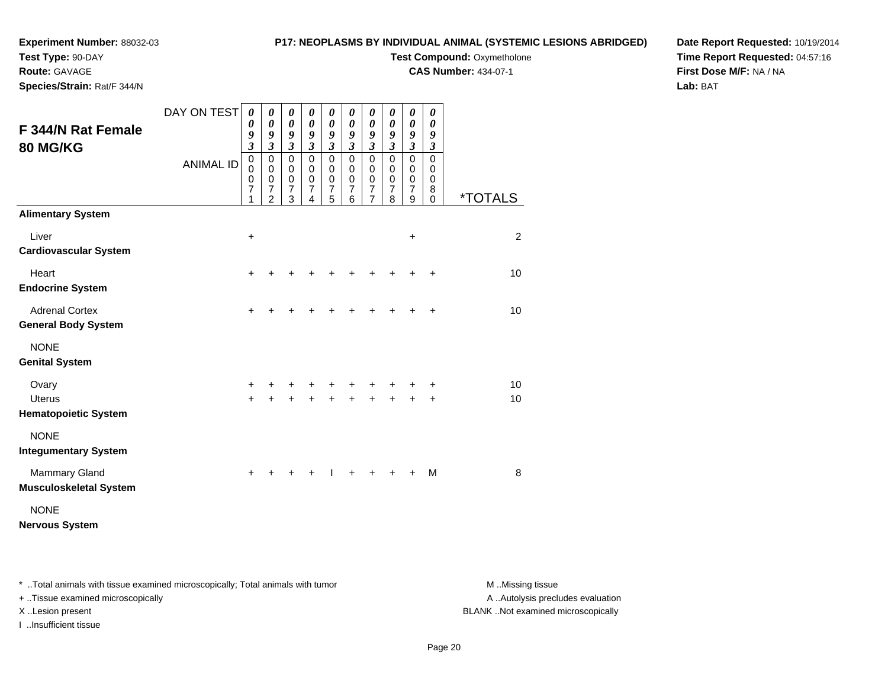## **Test Type:** 90-DAY

**Route:** GAVAGE

**Species/Strain:** Rat/F 344/N

#### **P17: NEOPLASMS BY INDIVIDUAL ANIMAL (SYSTEMIC LESIONS ABRIDGED)**

### **Test Compound: Oxymetholone**

**CAS Number:** 434-07-1

**Date Report Requested:** 10/19/2014**Time Report Requested:** 04:57:16**First Dose M/F:** NA / NA**Lab:** BAT

| F 344/N Rat Female<br><b>80 MG/KG</b>                 | DAY ON TEST      | $\boldsymbol{\theta}$<br>0<br>9<br>$\mathfrak{z}$<br>$\pmb{0}$ | 0<br>0<br>9<br>$\boldsymbol{\mathfrak{z}}$<br>$\pmb{0}$ | $\pmb{\theta}$<br>$\boldsymbol{\theta}$<br>9<br>$\boldsymbol{\beta}$<br>$\pmb{0}$ | 0<br>0<br>9<br>$\mathfrak{z}$           | 0<br>$\boldsymbol{\theta}$<br>9<br>$\boldsymbol{\beta}$ | 0<br>$\boldsymbol{\theta}$<br>9<br>$\mathfrak{z}$<br>$\mathbf 0$ | $\boldsymbol{\theta}$<br>$\boldsymbol{\theta}$<br>9<br>$\mathfrak{z}$ | $\boldsymbol{\theta}$<br>0<br>9<br>3 | $\boldsymbol{\theta}$<br>$\boldsymbol{\theta}$<br>9<br>$\boldsymbol{\beta}$<br>$\pmb{0}$ | 0<br>0<br>9<br>$\mathfrak{z}$<br>$\mathsf 0$ |                       |
|-------------------------------------------------------|------------------|----------------------------------------------------------------|---------------------------------------------------------|-----------------------------------------------------------------------------------|-----------------------------------------|---------------------------------------------------------|------------------------------------------------------------------|-----------------------------------------------------------------------|--------------------------------------|------------------------------------------------------------------------------------------|----------------------------------------------|-----------------------|
|                                                       | <b>ANIMAL ID</b> | 0<br>$\mathbf 0$<br>7<br>1                                     | 0<br>$\mathbf 0$<br>$\overline{7}$<br>$\overline{2}$    | $\mathbf 0$<br>$\pmb{0}$<br>$\overline{7}$<br>3                                   | $\pmb{0}$<br>0<br>$\mathbf 0$<br>7<br>4 | $\mathbf 0$<br>$\mathbf 0$<br>$\mathbf 0$<br>7<br>5     | 0<br>0<br>7<br>6                                                 | $\mathbf 0$<br>$\mathbf 0$<br>$\pmb{0}$<br>7<br>$\overline{7}$        | $\pmb{0}$<br>0<br>0<br>7<br>8        | $\pmb{0}$<br>$\pmb{0}$<br>$\overline{7}$<br>$\boldsymbol{9}$                             | 0<br>0<br>8<br>0                             | <i><b>*TOTALS</b></i> |
| <b>Alimentary System</b>                              |                  |                                                                |                                                         |                                                                                   |                                         |                                                         |                                                                  |                                                                       |                                      |                                                                                          |                                              |                       |
| Liver<br><b>Cardiovascular System</b>                 |                  | $\ddot{}$                                                      |                                                         |                                                                                   |                                         |                                                         |                                                                  |                                                                       |                                      | +                                                                                        |                                              | 2                     |
| Heart<br><b>Endocrine System</b>                      |                  | +                                                              |                                                         |                                                                                   |                                         |                                                         |                                                                  |                                                                       |                                      |                                                                                          | +                                            | 10                    |
| <b>Adrenal Cortex</b><br><b>General Body System</b>   |                  | $\ddot{}$                                                      |                                                         |                                                                                   |                                         | +                                                       | +                                                                | +                                                                     | ÷                                    | +                                                                                        | $\ddot{}$                                    | 10                    |
| <b>NONE</b><br><b>Genital System</b>                  |                  |                                                                |                                                         |                                                                                   |                                         |                                                         |                                                                  |                                                                       |                                      |                                                                                          |                                              |                       |
| Ovary                                                 |                  | +                                                              |                                                         | +                                                                                 | +                                       | +                                                       | +                                                                | +                                                                     |                                      |                                                                                          | +                                            | 10                    |
| <b>Uterus</b><br><b>Hematopoietic System</b>          |                  | $\ddot{}$                                                      |                                                         |                                                                                   |                                         |                                                         |                                                                  |                                                                       |                                      |                                                                                          | $\ddot{}$                                    | 10                    |
| <b>NONE</b><br><b>Integumentary System</b>            |                  |                                                                |                                                         |                                                                                   |                                         |                                                         |                                                                  |                                                                       |                                      |                                                                                          |                                              |                       |
| <b>Mammary Gland</b><br><b>Musculoskeletal System</b> |                  | +                                                              |                                                         |                                                                                   |                                         |                                                         |                                                                  |                                                                       |                                      |                                                                                          | M                                            | 8                     |
| <b>NONE</b><br><b>Nervous System</b>                  |                  |                                                                |                                                         |                                                                                   |                                         |                                                         |                                                                  |                                                                       |                                      |                                                                                          |                                              |                       |

\* ..Total animals with tissue examined microscopically; Total animals with tumor **M** . Missing tissue M ..Missing tissue

+ ..Tissue examined microscopically

I ..Insufficient tissue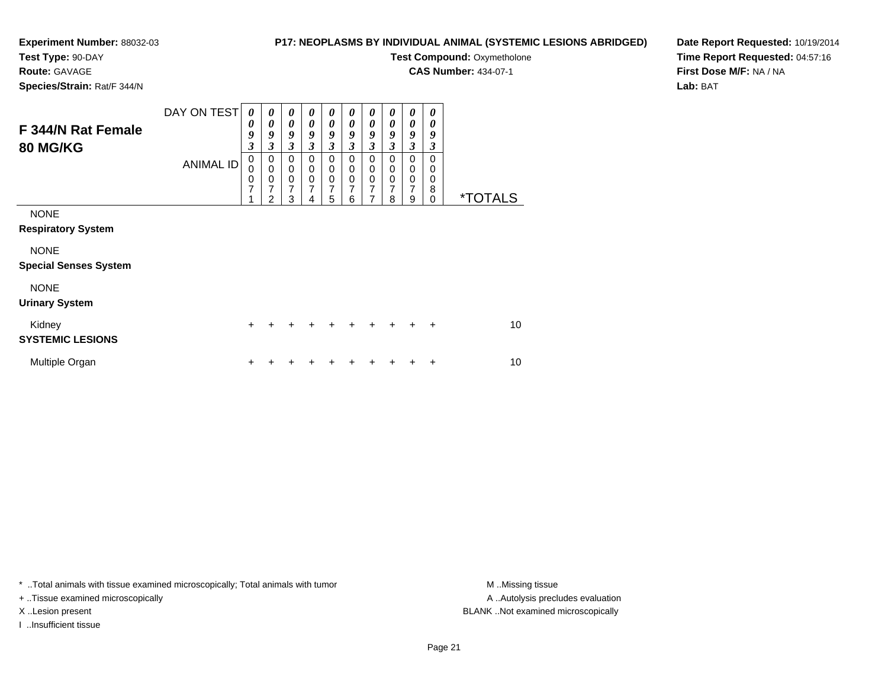#### **Experiment Number:** 88032-03**Test Type:** 90-DAY

#### **P17: NEOPLASMS BY INDIVIDUAL ANIMAL (SYSTEMIC LESIONS ABRIDGED)**

**Test Compound: Oxymetholone** 

**CAS Number:** 434-07-1

**Species/Strain:** Rat/F 344/N

**Route:** GAVAGE

#### **Date Report Requested:** 10/19/2014**Time Report Requested:** 04:57:16**First Dose M/F:** NA / NA**Lab:** BAT

| F 344/N Rat Female<br><b>80 MG/KG</b>       | DAY ON TEST<br><b>ANIMAL ID</b> | 0<br>0<br>9<br>$\mathfrak{z}$<br>$\mathbf 0$<br>$\Omega$<br>0<br>7 | 0<br>$\boldsymbol{\theta}$<br>9<br>$\boldsymbol{\beta}$<br>0<br>$\mathbf 0$<br>$\pmb{0}$<br>7 | 0<br>$\boldsymbol{\theta}$<br>$\boldsymbol{g}$<br>$\mathfrak{z}$<br>$\Omega$<br>$\mathbf 0$<br>0<br>7 | 0<br>$\boldsymbol{\theta}$<br>9<br>3<br>0<br>$\mathbf 0$<br>$\pmb{0}$<br>7 | 0<br>0<br>$\boldsymbol{g}$<br>$\overline{\mathbf{3}}$<br>$\Omega$<br>0<br>0<br>$\overline{7}$ | 0<br>0<br>9<br>$\overline{\mathbf{3}}$<br>0<br>$\mathbf 0$<br>$\mathbf 0$<br>$\overline{7}$ | 0<br>$\boldsymbol{\theta}$<br>9<br>$\overline{\mathbf{3}}$<br>$\Omega$<br>0<br>0<br>$\overline{7}$ | 0<br>$\boldsymbol{\theta}$<br>9<br>3<br>$\Omega$<br>$\mathbf 0$<br>0<br>$\overline{7}$ | 0<br>0<br>9<br>3<br>$\Omega$<br>$\mathbf 0$<br>0<br>$\overline{7}$ | 0<br>0<br>9<br>3<br>$\Omega$<br>0<br>0<br>8 |                       |
|---------------------------------------------|---------------------------------|--------------------------------------------------------------------|-----------------------------------------------------------------------------------------------|-------------------------------------------------------------------------------------------------------|----------------------------------------------------------------------------|-----------------------------------------------------------------------------------------------|---------------------------------------------------------------------------------------------|----------------------------------------------------------------------------------------------------|----------------------------------------------------------------------------------------|--------------------------------------------------------------------|---------------------------------------------|-----------------------|
|                                             |                                 |                                                                    | 2                                                                                             | 3                                                                                                     | 4                                                                          | 5                                                                                             | 6                                                                                           | 7                                                                                                  | 8                                                                                      | 9                                                                  | $\Omega$                                    | <i><b>*TOTALS</b></i> |
| <b>NONE</b><br><b>Respiratory System</b>    |                                 |                                                                    |                                                                                               |                                                                                                       |                                                                            |                                                                                               |                                                                                             |                                                                                                    |                                                                                        |                                                                    |                                             |                       |
| <b>NONE</b><br><b>Special Senses System</b> |                                 |                                                                    |                                                                                               |                                                                                                       |                                                                            |                                                                                               |                                                                                             |                                                                                                    |                                                                                        |                                                                    |                                             |                       |
| <b>NONE</b><br><b>Urinary System</b>        |                                 |                                                                    |                                                                                               |                                                                                                       |                                                                            |                                                                                               |                                                                                             |                                                                                                    |                                                                                        |                                                                    |                                             |                       |
| Kidney<br><b>SYSTEMIC LESIONS</b>           |                                 | $\ddot{}$                                                          | $\div$                                                                                        |                                                                                                       |                                                                            | $\div$                                                                                        | ÷                                                                                           | $\div$                                                                                             | $\div$                                                                                 | $\ddot{}$                                                          | $\ddot{}$                                   | 10                    |
| Multiple Organ                              |                                 |                                                                    |                                                                                               |                                                                                                       |                                                                            |                                                                                               |                                                                                             |                                                                                                    |                                                                                        |                                                                    | ٠                                           | 10                    |

\* ..Total animals with tissue examined microscopically; Total animals with tumor **M** . Missing tissue M ..Missing tissue

+ ..Tissue examined microscopically

I ..Insufficient tissue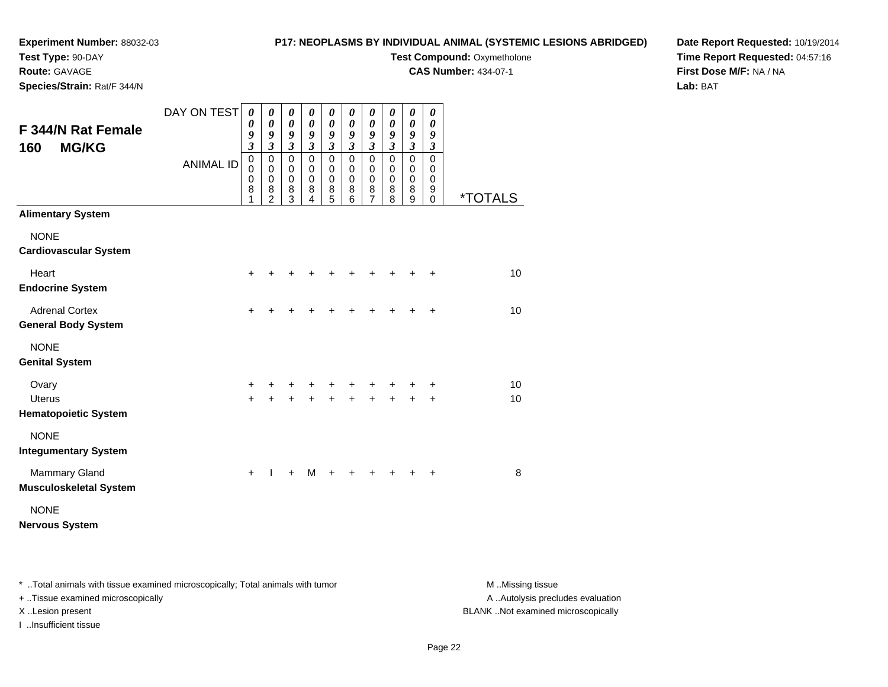### **P17: NEOPLASMS BY INDIVIDUAL ANIMAL (SYSTEMIC LESIONS ABRIDGED)**

**Test Type:** 90-DAY

**Route:** GAVAGE

**Species/Strain:** Rat/F 344/N

# **Test Compound: Oxymetholone**

**CAS Number:** 434-07-1

**Date Report Requested:** 10/19/2014**Time Report Requested:** 04:57:16**First Dose M/F:** NA / NA**Lab:** BAT

| F 344/N Rat Female<br><b>MG/KG</b><br>160             | DAY ON TEST      | 0<br>0<br>9<br>$\overline{\mathbf{3}}$    | 0<br>$\boldsymbol{\theta}$<br>9<br>$\mathfrak{z}$ | 0<br>$\boldsymbol{\theta}$<br>9<br>$\boldsymbol{\mathfrak{z}}$ | 0<br>0<br>9<br>$\mathfrak{z}$           | 0<br>$\boldsymbol{\theta}$<br>9<br>$\boldsymbol{\mathfrak{z}}$ | 0<br>0<br>9<br>3                | 0<br>$\boldsymbol{\theta}$<br>9<br>$\overline{\mathbf{3}}$ | 0<br>$\boldsymbol{\theta}$<br>9<br>$\overline{\mathbf{3}}$ | 0<br>0<br>9<br>$\mathfrak{z}$                            | 0<br>0<br>9<br>$\boldsymbol{\beta}$    |                       |
|-------------------------------------------------------|------------------|-------------------------------------------|---------------------------------------------------|----------------------------------------------------------------|-----------------------------------------|----------------------------------------------------------------|---------------------------------|------------------------------------------------------------|------------------------------------------------------------|----------------------------------------------------------|----------------------------------------|-----------------------|
|                                                       | <b>ANIMAL ID</b> | $\mathbf 0$<br>$\mathbf 0$<br>0<br>8<br>1 | 0<br>$\Omega$<br>$\pmb{0}$<br>8<br>$\overline{2}$ | $\mathbf 0$<br>0<br>$\boldsymbol{0}$<br>8<br>$\overline{3}$    | $\pmb{0}$<br>0<br>$\mathbf 0$<br>8<br>4 | $\mathbf 0$<br>0<br>0<br>8<br>5                                | $\mathbf 0$<br>0<br>0<br>8<br>6 | 0<br>0<br>$\boldsymbol{0}$<br>8<br>$\overline{7}$          | $\mathbf 0$<br>$\mathbf 0$<br>$\mathbf 0$<br>8<br>8        | $\mathbf 0$<br>$\mathbf 0$<br>$\boldsymbol{0}$<br>8<br>9 | $\mathbf 0$<br>0<br>0<br>9<br>$\Omega$ | <i><b>*TOTALS</b></i> |
| <b>Alimentary System</b>                              |                  |                                           |                                                   |                                                                |                                         |                                                                |                                 |                                                            |                                                            |                                                          |                                        |                       |
| <b>NONE</b><br><b>Cardiovascular System</b>           |                  |                                           |                                                   |                                                                |                                         |                                                                |                                 |                                                            |                                                            |                                                          |                                        |                       |
| Heart<br><b>Endocrine System</b>                      |                  | $\ddot{}$                                 |                                                   |                                                                |                                         |                                                                |                                 |                                                            |                                                            |                                                          | $\ddot{}$                              | 10                    |
| <b>Adrenal Cortex</b><br><b>General Body System</b>   |                  | +                                         | +                                                 | +                                                              |                                         |                                                                |                                 | +                                                          | +                                                          |                                                          | $\ddot{}$                              | 10                    |
| <b>NONE</b><br><b>Genital System</b>                  |                  |                                           |                                                   |                                                                |                                         |                                                                |                                 |                                                            |                                                            |                                                          |                                        |                       |
| Ovary<br><b>Uterus</b><br><b>Hematopoietic System</b> |                  | +<br>$\ddot{}$                            | +<br>÷                                            | +<br>$\ddot{}$                                                 |                                         | +<br>$\ddot{}$                                                 | $\ddot{}$                       | $\ddot{}$                                                  | $\ddot{}$                                                  |                                                          | +<br>$\ddot{}$                         | 10<br>10              |
| <b>NONE</b><br><b>Integumentary System</b>            |                  |                                           |                                                   |                                                                |                                         |                                                                |                                 |                                                            |                                                            |                                                          |                                        |                       |
| Mammary Gland<br><b>Musculoskeletal System</b>        |                  | $\ddot{}$                                 |                                                   | $\ddot{}$                                                      | M                                       |                                                                |                                 |                                                            |                                                            |                                                          | +                                      | 8                     |
| <b>NONE</b><br><b>Nervous System</b>                  |                  |                                           |                                                   |                                                                |                                         |                                                                |                                 |                                                            |                                                            |                                                          |                                        |                       |

\* ..Total animals with tissue examined microscopically; Total animals with tumor **M** . Missing tissue M ..Missing tissue

+ ..Tissue examined microscopically

I ..Insufficient tissue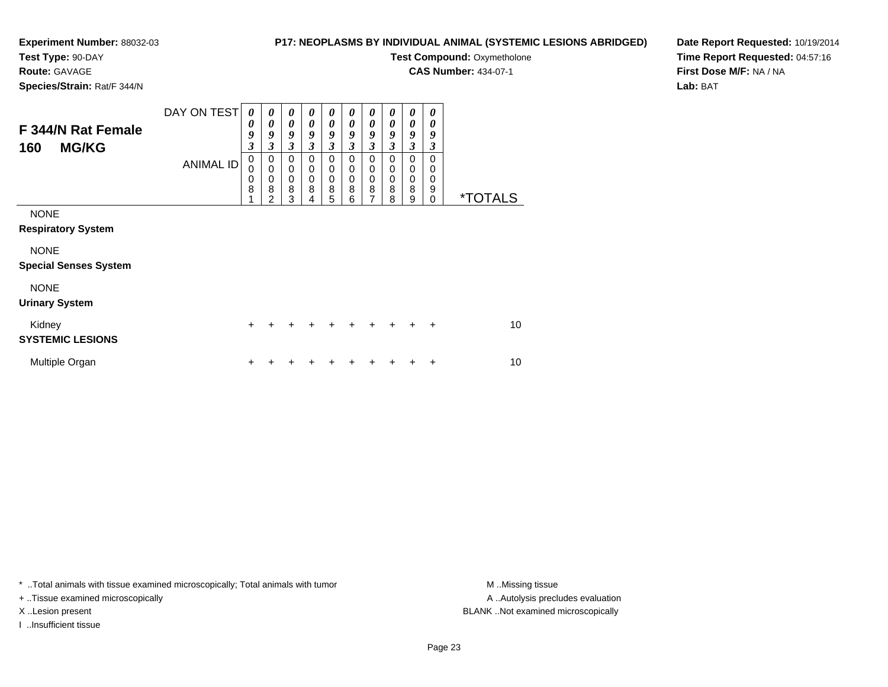#### **Test Type:** 90-DAY

**Route:** GAVAGE

**Species/Strain:** Rat/F 344/N

#### **P17: NEOPLASMS BY INDIVIDUAL ANIMAL (SYSTEMIC LESIONS ABRIDGED)**

**Test Compound: Oxymetholone** 

**CAS Number:** 434-07-1

**Date Report Requested:** 10/19/2014**Time Report Requested:** 04:57:16**First Dose M/F:** NA / NA**Lab:** BAT

| F 344/N Rat Female<br><b>MG/KG</b><br>160   | DAY ON TEST<br><b>ANIMAL ID</b> | $\boldsymbol{\theta}$<br>0<br>9<br>3<br>0<br>0<br>0<br>8 | 0<br>$\boldsymbol{\theta}$<br>9<br>3<br>0<br>$\mathbf 0$<br>0<br>8 | 0<br>$\boldsymbol{\theta}$<br>9<br>$\mathfrak{z}$<br>$\Omega$<br>$\mathbf 0$<br>$\mathbf 0$<br>8 | 0<br>0<br>9<br>3<br>0<br>0<br>0<br>8 | $\boldsymbol{\theta}$<br>$\boldsymbol{\theta}$<br>9<br>$\mathfrak{z}$<br>0<br>0<br>0<br>8 | 0<br>0<br>9<br>$\mathfrak{z}$<br>0<br>0<br>0<br>8 | 0<br>0<br>9<br>$\mathfrak{z}$<br>0<br>$\mathbf 0$<br>$\mathbf 0$<br>8 | 0<br>0<br>9<br>3<br>0<br>0<br>0<br>8 | $\boldsymbol{\theta}$<br>$\boldsymbol{\theta}$<br>9<br>$\mathfrak{z}$<br>0<br>0<br>$\mathbf 0$<br>8 | $\boldsymbol{\theta}$<br>0<br>9<br>3<br>0<br>0<br>0<br>9 |                       |
|---------------------------------------------|---------------------------------|----------------------------------------------------------|--------------------------------------------------------------------|--------------------------------------------------------------------------------------------------|--------------------------------------|-------------------------------------------------------------------------------------------|---------------------------------------------------|-----------------------------------------------------------------------|--------------------------------------|-----------------------------------------------------------------------------------------------------|----------------------------------------------------------|-----------------------|
| <b>NONE</b><br><b>Respiratory System</b>    |                                 |                                                          | $\mathfrak{p}$                                                     | 3                                                                                                | 4                                    | 5                                                                                         | 6                                                 | $\overline{7}$                                                        | 8                                    | 9                                                                                                   | $\mathbf 0$                                              | <i><b>*TOTALS</b></i> |
| <b>NONE</b><br><b>Special Senses System</b> |                                 |                                                          |                                                                    |                                                                                                  |                                      |                                                                                           |                                                   |                                                                       |                                      |                                                                                                     |                                                          |                       |
| <b>NONE</b><br><b>Urinary System</b>        |                                 |                                                          |                                                                    |                                                                                                  |                                      |                                                                                           |                                                   |                                                                       |                                      |                                                                                                     |                                                          |                       |
| Kidney<br><b>SYSTEMIC LESIONS</b>           |                                 | $\ddot{}$                                                |                                                                    |                                                                                                  |                                      |                                                                                           |                                                   | ÷                                                                     | +                                    | $\div$                                                                                              | $\ddot{}$                                                | 10                    |
| Multiple Organ                              |                                 | $\ddot{}$                                                |                                                                    |                                                                                                  |                                      |                                                                                           |                                                   |                                                                       |                                      |                                                                                                     | $\ddot{}$                                                | 10                    |

\* ..Total animals with tissue examined microscopically; Total animals with tumor **M** . Missing tissue M ..Missing tissue

+ ..Tissue examined microscopically

I ..Insufficient tissue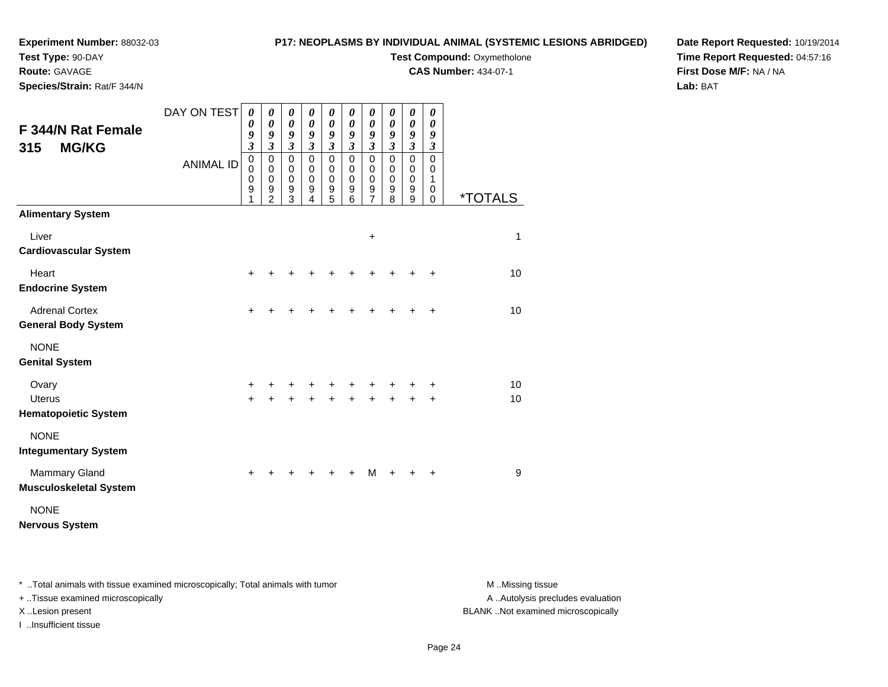#### **Experiment Number:** 88032-03**Test Type:** 90-DAY

#### **P17: NEOPLASMS BY INDIVIDUAL ANIMAL (SYSTEMIC LESIONS ABRIDGED)**

**Test Compound: Oxymetholone** 

**CAS Number:** 434-07-1

**Date Report Requested:** 10/19/2014**Time Report Requested:** 04:57:16**First Dose M/F:** NA / NA**Lab:** BAT

|  | Species/Strain: Rat/F 344/N |  |
|--|-----------------------------|--|

**Route:** GAVAGE

| <b>F 344/N Rat Female</b><br><b>MG/KG</b><br>315      | DAY ON TEST      | 0<br>0<br>9<br>$\overline{\mathbf{3}}$                   | 0<br>0<br>9<br>$\mathfrak{z}$                          | 0<br>$\boldsymbol{\theta}$<br>9<br>$\boldsymbol{\beta}$      | 0<br>0<br>9<br>$\mathfrak{z}$           | $\boldsymbol{\theta}$<br>$\boldsymbol{\theta}$<br>9<br>$\mathfrak{z}$ | $\pmb{\theta}$<br>0<br>9<br>$\overline{\mathbf{3}}$ | 0<br>$\boldsymbol{\theta}$<br>9<br>$\overline{\mathbf{3}}$            | 0<br>0<br>9<br>$\overline{\mathbf{3}}$ | $\pmb{\theta}$<br>$\boldsymbol{\theta}$<br>9<br>$\mathfrak{z}$ | 0<br>$\boldsymbol{\theta}$<br>9<br>$\boldsymbol{\beta}$ |                       |
|-------------------------------------------------------|------------------|----------------------------------------------------------|--------------------------------------------------------|--------------------------------------------------------------|-----------------------------------------|-----------------------------------------------------------------------|-----------------------------------------------------|-----------------------------------------------------------------------|----------------------------------------|----------------------------------------------------------------|---------------------------------------------------------|-----------------------|
|                                                       | <b>ANIMAL ID</b> | $\mathsf 0$<br>0<br>$\mathbf 0$<br>$\boldsymbol{9}$<br>1 | $\mathbf 0$<br>0<br>$\mathbf 0$<br>9<br>$\overline{2}$ | $\pmb{0}$<br>$\mathbf 0$<br>$\pmb{0}$<br>9<br>$\overline{3}$ | $\mathbf 0$<br>0<br>$\pmb{0}$<br>9<br>4 | $\pmb{0}$<br>0<br>$\pmb{0}$<br>$\boldsymbol{9}$<br>$\overline{5}$     | 0<br>0<br>$\pmb{0}$<br>9<br>6                       | $\mathsf 0$<br>0<br>$\mathbf 0$<br>$\boldsymbol{9}$<br>$\overline{7}$ | 0<br>$\Omega$<br>0<br>9<br>8           | $\pmb{0}$<br>0<br>$\pmb{0}$<br>9<br>9                          | $\pmb{0}$<br>0<br>$\mathbf{1}$<br>0<br>0                | <i><b>*TOTALS</b></i> |
| <b>Alimentary System</b>                              |                  |                                                          |                                                        |                                                              |                                         |                                                                       |                                                     |                                                                       |                                        |                                                                |                                                         |                       |
| Liver<br><b>Cardiovascular System</b>                 |                  |                                                          |                                                        |                                                              |                                         |                                                                       |                                                     | +                                                                     |                                        |                                                                |                                                         | 1                     |
| Heart<br><b>Endocrine System</b>                      |                  | +                                                        |                                                        |                                                              |                                         |                                                                       |                                                     |                                                                       |                                        |                                                                | +                                                       | 10                    |
| <b>Adrenal Cortex</b><br><b>General Body System</b>   |                  | $\pm$                                                    |                                                        |                                                              |                                         |                                                                       |                                                     |                                                                       |                                        |                                                                | ÷                                                       | 10                    |
| <b>NONE</b><br><b>Genital System</b>                  |                  |                                                          |                                                        |                                                              |                                         |                                                                       |                                                     |                                                                       |                                        |                                                                |                                                         |                       |
| Ovary<br><b>Uterus</b><br><b>Hematopoietic System</b> |                  | +<br>$\ddot{}$                                           | $\ddot{}$                                              | $\ddot{}$                                                    | $\ddot{+}$                              | $\ddot{+}$                                                            | $\ddot{+}$                                          | $\ddot{}$                                                             | $\ddot{}$                              | $+$                                                            | +<br>$\ddot{}$                                          | 10<br>10              |
| <b>NONE</b><br><b>Integumentary System</b>            |                  |                                                          |                                                        |                                                              |                                         |                                                                       |                                                     |                                                                       |                                        |                                                                |                                                         |                       |
| <b>Mammary Gland</b><br><b>Musculoskeletal System</b> |                  | +                                                        |                                                        |                                                              |                                         |                                                                       |                                                     | М                                                                     |                                        |                                                                | +                                                       | $\boldsymbol{9}$      |
| <b>NONE</b><br><b>Nervous System</b>                  |                  |                                                          |                                                        |                                                              |                                         |                                                                       |                                                     |                                                                       |                                        |                                                                |                                                         |                       |

\* ..Total animals with tissue examined microscopically; Total animals with tumor **M** . Missing tissue M ..Missing tissue

+ ..Tissue examined microscopically

I ..Insufficient tissue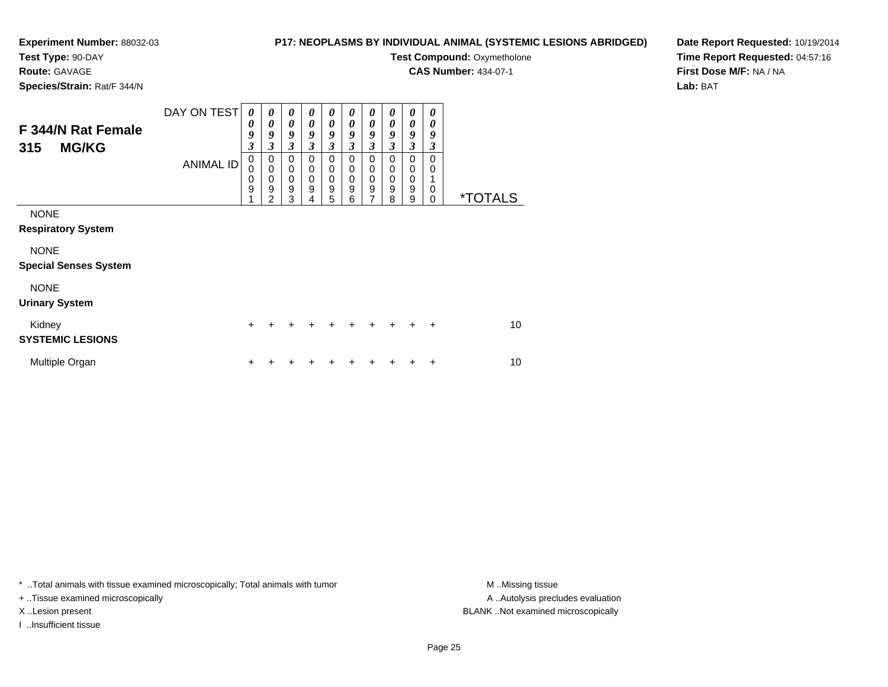### **Test Type:** 90-DAY

**Route:** GAVAGE

**Species/Strain:** Rat/F 344/N

#### **P17: NEOPLASMS BY INDIVIDUAL ANIMAL (SYSTEMIC LESIONS ABRIDGED)**

**Test Compound: Oxymetholone** 

**CAS Number:** 434-07-1

**Date Report Requested:** 10/19/2014**Time Report Requested:** 04:57:16**First Dose M/F:** NA / NA**Lab:** BAT

| F 344/N Rat Female<br><b>MG/KG</b><br>315   | DAY ON TEST<br><b>ANIMAL ID</b> | $\boldsymbol{\theta}$<br>0<br>9<br>3<br>0<br>0<br>0<br>9 | $\boldsymbol{\theta}$<br>0<br>9<br>3<br>0<br>$\mathbf 0$<br>0<br>9 | $\boldsymbol{\theta}$<br>$\boldsymbol{\theta}$<br>9<br>3<br>$\pmb{0}$<br>$\mathbf 0$<br>$\boldsymbol{0}$<br>$\mathsf g$ | 0<br>0<br>9<br>3<br>0<br>$\mathbf 0$<br>$\mathbf 0$<br>9 | 0<br>$\boldsymbol{\theta}$<br>9<br>$\mathfrak{z}$<br>$\mathbf 0$<br>$\mathbf 0$<br>$\mathbf 0$<br>$\boldsymbol{9}$ | $\boldsymbol{\theta}$<br>0<br>9<br>3<br>0<br>$\mathbf 0$<br>$\mathbf 0$<br>9 | 0<br>$\boldsymbol{\theta}$<br>9<br>$\mathfrak{z}$<br>$\mathbf 0$<br>$\mathbf 0$<br>$\mathbf 0$<br>$\boldsymbol{9}$ | $\boldsymbol{\theta}$<br>$\boldsymbol{\theta}$<br>9<br>3<br>$\mathbf 0$<br>$\mathbf 0$<br>$\mathbf 0$<br>9 | $\boldsymbol{\theta}$<br>$\boldsymbol{\theta}$<br>9<br>$\mathfrak{z}$<br>$\mathbf 0$<br>$\pmb{0}$<br>$\,0\,$<br>9 | 0<br>0<br>9<br>3<br>$\Omega$<br>$\Omega$<br>0 |                       |
|---------------------------------------------|---------------------------------|----------------------------------------------------------|--------------------------------------------------------------------|-------------------------------------------------------------------------------------------------------------------------|----------------------------------------------------------|--------------------------------------------------------------------------------------------------------------------|------------------------------------------------------------------------------|--------------------------------------------------------------------------------------------------------------------|------------------------------------------------------------------------------------------------------------|-------------------------------------------------------------------------------------------------------------------|-----------------------------------------------|-----------------------|
|                                             |                                 |                                                          | $\overline{2}$                                                     | 3                                                                                                                       | 4                                                        | 5                                                                                                                  | 6                                                                            | 7                                                                                                                  | 8                                                                                                          | 9                                                                                                                 | $\Omega$                                      | <i><b>*TOTALS</b></i> |
| <b>NONE</b><br><b>Respiratory System</b>    |                                 |                                                          |                                                                    |                                                                                                                         |                                                          |                                                                                                                    |                                                                              |                                                                                                                    |                                                                                                            |                                                                                                                   |                                               |                       |
| <b>NONE</b><br><b>Special Senses System</b> |                                 |                                                          |                                                                    |                                                                                                                         |                                                          |                                                                                                                    |                                                                              |                                                                                                                    |                                                                                                            |                                                                                                                   |                                               |                       |
| <b>NONE</b><br><b>Urinary System</b>        |                                 |                                                          |                                                                    |                                                                                                                         |                                                          |                                                                                                                    |                                                                              |                                                                                                                    |                                                                                                            |                                                                                                                   |                                               |                       |
| Kidney<br><b>SYSTEMIC LESIONS</b>           |                                 | $\ddot{}$                                                | $\div$                                                             | +                                                                                                                       | +                                                        | +                                                                                                                  | $\div$                                                                       | +                                                                                                                  | $\ddot{}$                                                                                                  | $\ddot{}$                                                                                                         | $\ddot{}$                                     | 10                    |
| Multiple Organ                              |                                 | +                                                        |                                                                    |                                                                                                                         | ٠                                                        | ٠                                                                                                                  |                                                                              | +                                                                                                                  |                                                                                                            | +                                                                                                                 | +                                             | 10                    |

\* ..Total animals with tissue examined microscopically; Total animals with tumor **M** . Missing tissue M ..Missing tissue

+ ..Tissue examined microscopically

I ..Insufficient tissue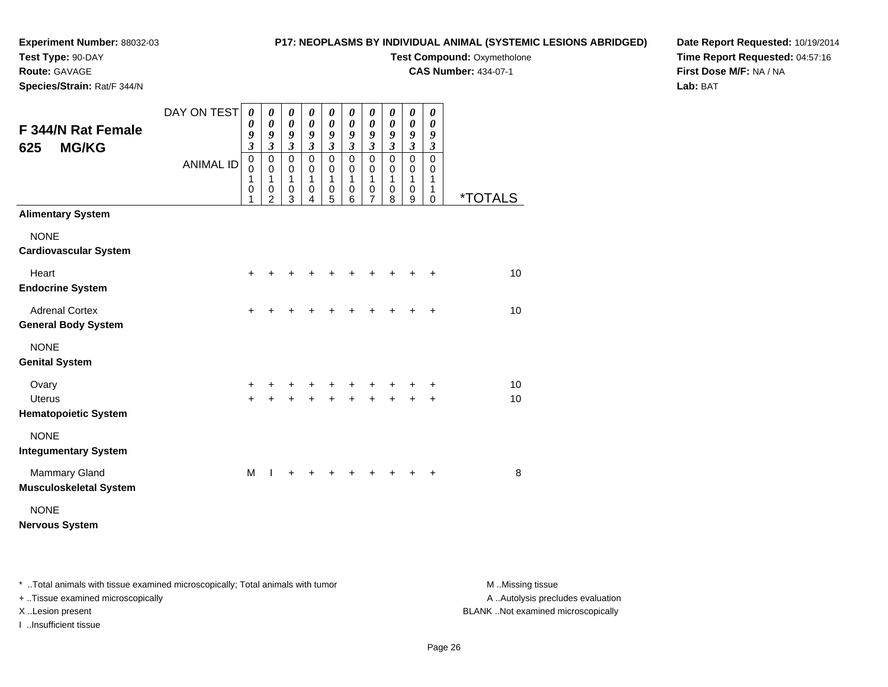#### **Experiment Number:** 88032-03**Test Type:** 90-DAY

#### **P17: NEOPLASMS BY INDIVIDUAL ANIMAL (SYSTEMIC LESIONS ABRIDGED)**

**Test Compound: Oxymetholone** 

**CAS Number:** 434-07-1

**Species/Strain:** Rat/F 344/N

**Route:** GAVAGE

#### **Date Report Requested:** 10/19/2014**Time Report Requested:** 04:57:16**First Dose M/F:** NA / NA**Lab:** BAT

| F 344/N Rat Female<br><b>MG/KG</b><br>625           | DAY ON TEST<br><b>ANIMAL ID</b> | 0<br>0<br>9<br>$\mathfrak{z}$<br>$\mathbf 0$<br>$\mathbf 0$<br>1<br>$\pmb{0}$<br>1 | 0<br>0<br>9<br>$\mathfrak{z}$<br>$\mathbf 0$<br>$\mathbf 0$<br>1<br>0<br>$\overline{2}$ | 0<br>0<br>9<br>$\mathfrak{z}$<br>$\mathbf 0$<br>$\mathbf 0$<br>1<br>0<br>3 | 0<br>0<br>9<br>$\mathfrak{z}$<br>$\mathbf 0$<br>0<br>1<br>0<br>4 | 0<br>$\boldsymbol{\theta}$<br>9<br>$\mathfrak{z}$<br>$\mathbf 0$<br>$\pmb{0}$<br>1<br>$\,0\,$<br>5 | 0<br>$\boldsymbol{\theta}$<br>9<br>$\mathfrak{z}$<br>$\mathbf 0$<br>$\mathbf 0$<br>1<br>0<br>6 | 0<br>$\boldsymbol{\theta}$<br>9<br>$\overline{\mathbf{3}}$<br>$\mathbf 0$<br>$\mathbf 0$<br>1<br>$\pmb{0}$<br>7 | 0<br>0<br>9<br>$\mathfrak{z}$<br>$\mathbf 0$<br>$\mathbf 0$<br>1<br>0<br>8 | 0<br>$\boldsymbol{\theta}$<br>9<br>$\mathfrak{z}$<br>$\mathbf 0$<br>$\mathbf 0$<br>1<br>$\mathbf 0$<br>9 | 0<br>0<br>9<br>$\boldsymbol{\beta}$<br>$\mathbf 0$<br>0<br>1<br>1<br>$\Omega$ | <i><b>*TOTALS</b></i> |
|-----------------------------------------------------|---------------------------------|------------------------------------------------------------------------------------|-----------------------------------------------------------------------------------------|----------------------------------------------------------------------------|------------------------------------------------------------------|----------------------------------------------------------------------------------------------------|------------------------------------------------------------------------------------------------|-----------------------------------------------------------------------------------------------------------------|----------------------------------------------------------------------------|----------------------------------------------------------------------------------------------------------|-------------------------------------------------------------------------------|-----------------------|
| <b>Alimentary System</b>                            |                                 |                                                                                    |                                                                                         |                                                                            |                                                                  |                                                                                                    |                                                                                                |                                                                                                                 |                                                                            |                                                                                                          |                                                                               |                       |
| <b>NONE</b><br><b>Cardiovascular System</b>         |                                 |                                                                                    |                                                                                         |                                                                            |                                                                  |                                                                                                    |                                                                                                |                                                                                                                 |                                                                            |                                                                                                          |                                                                               |                       |
| Heart<br><b>Endocrine System</b>                    |                                 | $\ddot{}$                                                                          |                                                                                         |                                                                            |                                                                  |                                                                                                    |                                                                                                |                                                                                                                 |                                                                            |                                                                                                          | ÷                                                                             | 10                    |
| <b>Adrenal Cortex</b><br><b>General Body System</b> |                                 | $\ddot{}$                                                                          | +                                                                                       | +                                                                          |                                                                  |                                                                                                    |                                                                                                | ┿                                                                                                               |                                                                            |                                                                                                          | $\ddot{}$                                                                     | 10                    |
| <b>NONE</b><br><b>Genital System</b>                |                                 |                                                                                    |                                                                                         |                                                                            |                                                                  |                                                                                                    |                                                                                                |                                                                                                                 |                                                                            |                                                                                                          |                                                                               |                       |
| Ovary<br><b>Uterus</b>                              |                                 | +<br>$+$                                                                           | +<br>$\ddot{}$                                                                          | ٠<br>$\ddot{}$                                                             | $\ddot{}$                                                        | +<br>$+$                                                                                           | +                                                                                              | $\ddot{}$                                                                                                       |                                                                            |                                                                                                          | ٠<br>$\ddot{}$                                                                | 10<br>10              |
| <b>Hematopoietic System</b>                         |                                 |                                                                                    |                                                                                         |                                                                            |                                                                  |                                                                                                    |                                                                                                |                                                                                                                 |                                                                            |                                                                                                          |                                                                               |                       |
| <b>NONE</b><br><b>Integumentary System</b>          |                                 |                                                                                    |                                                                                         |                                                                            |                                                                  |                                                                                                    |                                                                                                |                                                                                                                 |                                                                            |                                                                                                          |                                                                               |                       |
| Mammary Gland<br><b>Musculoskeletal System</b>      |                                 | M                                                                                  | 1                                                                                       | $\ddot{}$                                                                  |                                                                  |                                                                                                    |                                                                                                |                                                                                                                 |                                                                            |                                                                                                          |                                                                               | 8                     |
| <b>NONE</b><br><b>Nervous System</b>                |                                 |                                                                                    |                                                                                         |                                                                            |                                                                  |                                                                                                    |                                                                                                |                                                                                                                 |                                                                            |                                                                                                          |                                                                               |                       |

\* ..Total animals with tissue examined microscopically; Total animals with tumor **M** . Missing tissue M ..Missing tissue

+ ..Tissue examined microscopically

I ..Insufficient tissue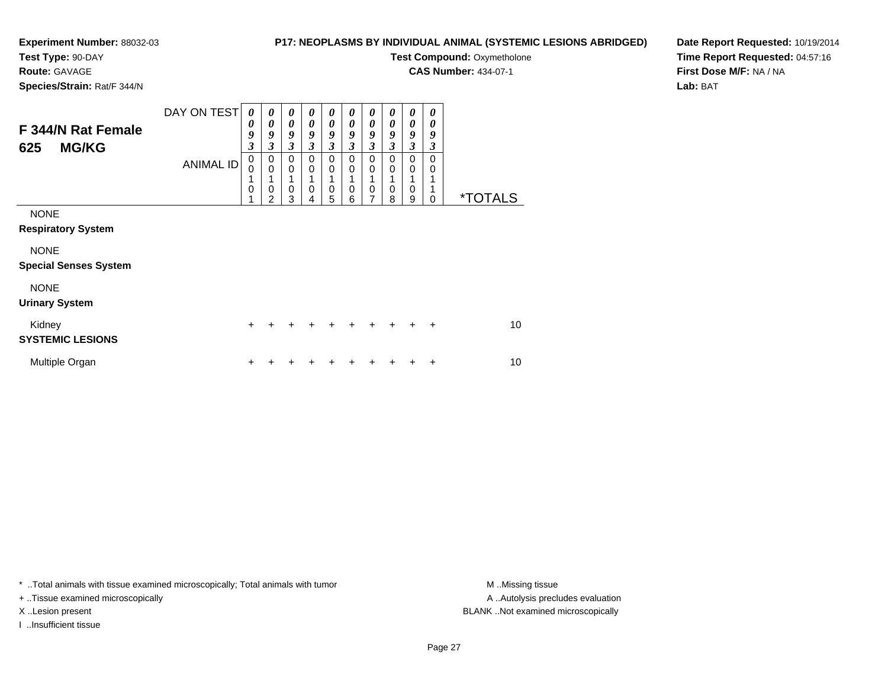#### **Test Type:** 90-DAY

**Route:** GAVAGE

**Species/Strain:** Rat/F 344/N

#### **P17: NEOPLASMS BY INDIVIDUAL ANIMAL (SYSTEMIC LESIONS ABRIDGED)**

**Test Compound: Oxymetholone** 

**CAS Number:** 434-07-1

**Date Report Requested:** 10/19/2014**Time Report Requested:** 04:57:16**First Dose M/F:** NA / NA**Lab:** BAT

| F 344/N Rat Female<br><b>MG/KG</b><br>625   | DAY ON TEST      | 0<br>0<br>9<br>$\boldsymbol{\mathfrak{z}}$<br>0 | 0<br>0<br>9<br>$\mathfrak{z}$                          | 0<br>$\boldsymbol{\theta}$<br>9<br>3<br>0 | 0<br>0<br>9<br>3<br>0           | $\boldsymbol{\theta}$<br>$\boldsymbol{\theta}$<br>9<br>3<br>0 | 0<br>$\boldsymbol{\theta}$<br>9<br>3<br>0 | 0<br>$\boldsymbol{\theta}$<br>9<br>$\mathfrak{z}$<br>$\mathbf 0$ | 0<br>$\boldsymbol{\theta}$<br>9<br>$\mathfrak{z}$<br>0 | $\boldsymbol{\theta}$<br>$\boldsymbol{\theta}$<br>9<br>$\mathfrak{z}$<br>0 | 0<br>0<br>9<br>3<br>$\Omega$ |                       |
|---------------------------------------------|------------------|-------------------------------------------------|--------------------------------------------------------|-------------------------------------------|---------------------------------|---------------------------------------------------------------|-------------------------------------------|------------------------------------------------------------------|--------------------------------------------------------|----------------------------------------------------------------------------|------------------------------|-----------------------|
|                                             | <b>ANIMAL ID</b> | 0<br>1<br>0                                     | 0<br>$\mathbf 0$<br>1<br>$\mathbf 0$<br>$\overline{2}$ | $\mathbf 0$<br>1<br>0<br>3                | $\mathbf 0$<br>$\mathbf 0$<br>4 | $\mathbf 0$<br>$\mathbf 0$<br>5                               | $\mathbf 0$<br>$\mathbf 0$<br>6           | $\mathbf 0$<br>1<br>$\pmb{0}$<br>7                               | $\mathbf 0$<br>$\mathbf 0$<br>8                        | $\mathbf 0$<br>$\mathbf 0$<br>9                                            | 0<br>$\Omega$                | <i><b>*TOTALS</b></i> |
| <b>NONE</b><br><b>Respiratory System</b>    |                  |                                                 |                                                        |                                           |                                 |                                                               |                                           |                                                                  |                                                        |                                                                            |                              |                       |
| <b>NONE</b><br><b>Special Senses System</b> |                  |                                                 |                                                        |                                           |                                 |                                                               |                                           |                                                                  |                                                        |                                                                            |                              |                       |
| <b>NONE</b><br><b>Urinary System</b>        |                  |                                                 |                                                        |                                           |                                 |                                                               |                                           |                                                                  |                                                        |                                                                            |                              |                       |
| Kidney<br><b>SYSTEMIC LESIONS</b>           |                  | $\ddot{}$                                       | +                                                      | +                                         | +                               | +                                                             | +                                         | $\ddot{}$                                                        | $\ddot{}$                                              | $\ddot{}$                                                                  | $\ddot{}$                    | 10 <sup>1</sup>       |
| Multiple Organ                              |                  | $\ddot{}$                                       |                                                        |                                           |                                 | ٠                                                             |                                           |                                                                  |                                                        |                                                                            | ÷                            | 10                    |

\* ..Total animals with tissue examined microscopically; Total animals with tumor **M** . Missing tissue M ..Missing tissue

+ ..Tissue examined microscopically

I ..Insufficient tissue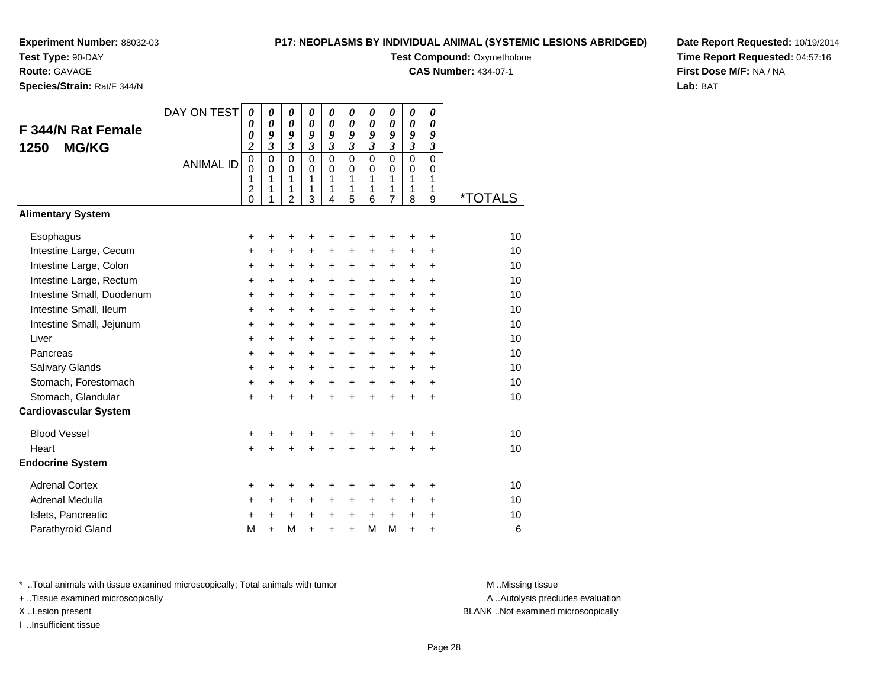**Test Type:** 90-DAY

**Route:** GAVAGE

**Species/Strain:** Rat/F 344/N

#### **P17: NEOPLASMS BY INDIVIDUAL ANIMAL (SYSTEMIC LESIONS ABRIDGED)**

**Test Compound: Oxymetholone** 

**CAS Number:** 434-07-1

**Date Report Requested:** 10/19/2014**Time Report Requested:** 04:57:16**First Dose M/F:** NA / NA**Lab:** BAT

| F 344/N Rat Female<br><b>MG/KG</b><br>1250 | DAY ON TEST      | $\boldsymbol{\theta}$<br>0<br>0<br>$\overline{c}$ | 0<br>0<br>9<br>$\mathfrak{z}$ | $\boldsymbol{\theta}$<br>$\boldsymbol{\theta}$<br>9<br>$\mathfrak{z}$ | $\boldsymbol{\theta}$<br>$\boldsymbol{\theta}$<br>9<br>$\mathfrak{z}$ | 0<br>$\boldsymbol{\theta}$<br>9<br>$\mathfrak{z}$ | 0<br>0<br>9<br>$\mathfrak{z}$ | 0<br>$\boldsymbol{\theta}$<br>9<br>$\mathfrak{z}$ | $\boldsymbol{\theta}$<br>0<br>9<br>$\mathfrak{z}$ | 0<br>0<br>9<br>$\mathfrak{z}$         | 0<br>0<br>9<br>3           |                       |
|--------------------------------------------|------------------|---------------------------------------------------|-------------------------------|-----------------------------------------------------------------------|-----------------------------------------------------------------------|---------------------------------------------------|-------------------------------|---------------------------------------------------|---------------------------------------------------|---------------------------------------|----------------------------|-----------------------|
|                                            | <b>ANIMAL ID</b> | $\pmb{0}$<br>0<br>$\mathbf{1}$<br>$\overline{c}$  | 0<br>0<br>1<br>1              | $\mathbf 0$<br>$\mathbf 0$<br>1<br>1                                  | $\Omega$<br>0<br>1<br>1                                               | $\mathbf 0$<br>0<br>1<br>1                        | $\mathbf 0$<br>0<br>1<br>1    | $\mathbf 0$<br>$\mathbf 0$<br>$\mathbf{1}$<br>1   | $\mathbf 0$<br>0<br>1<br>1                        | $\mathbf 0$<br>0<br>$\mathbf{1}$<br>1 | $\mathbf 0$<br>0<br>1<br>1 |                       |
| <b>Alimentary System</b>                   |                  | $\overline{0}$                                    |                               | $\overline{2}$                                                        | 3                                                                     | 4                                                 | 5                             | 6                                                 | 7                                                 | 8                                     | 9                          | <i><b>*TOTALS</b></i> |
| Esophagus                                  |                  | +                                                 | +                             | +                                                                     | +                                                                     | +                                                 | ٠                             | +                                                 | +                                                 | +                                     | +                          | 10                    |
| Intestine Large, Cecum                     |                  | +                                                 | $\ddot{}$                     | $\ddot{}$                                                             | $\ddot{}$                                                             | $\ddot{}$                                         | $\ddot{}$                     | +                                                 | +                                                 | $\ddot{}$                             | +                          | 10                    |
| Intestine Large, Colon                     |                  | +                                                 | +                             | +                                                                     | +                                                                     | +                                                 | +                             | +                                                 | +                                                 | $\ddot{}$                             | +                          | 10                    |
| Intestine Large, Rectum                    |                  | +                                                 | $\ddot{}$                     | $\ddot{}$                                                             | $\ddot{}$                                                             | $\ddot{}$                                         | $\ddot{}$                     | +                                                 | $\ddot{}$                                         | $\ddot{}$                             | $\ddot{}$                  | 10                    |
| Intestine Small, Duodenum                  |                  | $\ddot{}$                                         | $\ddot{}$                     | $\ddot{}$                                                             | $\ddot{}$                                                             | $\ddot{}$                                         | $+$                           | $\ddot{}$                                         | $+$                                               | $+$                                   | $\ddot{}$                  | 10                    |
| Intestine Small, Ileum                     |                  | +                                                 | $\ddot{}$                     | $\ddot{}$                                                             | $\ddot{}$                                                             | $\ddot{}$                                         | $\ddot{}$                     | $\ddot{}$                                         | $+$                                               | $+$                                   | $\ddot{}$                  | 10                    |
| Intestine Small, Jejunum                   |                  | +                                                 | +                             | $\ddot{}$                                                             | $\ddot{}$                                                             | $\ddot{}$                                         | $\ddot{}$                     | +                                                 | $\ddot{}$                                         | $\ddot{}$                             | +                          | 10                    |
| Liver                                      |                  | $\ddot{}$                                         | +                             | +                                                                     | $\ddot{}$                                                             | $\ddot{}$                                         | $\ddot{}$                     | $\ddot{}$                                         | $\ddot{}$                                         | $\ddot{}$                             | $\ddot{}$                  | 10                    |
| Pancreas                                   |                  | $\ddot{}$                                         | $\ddot{}$                     | $\ddot{}$                                                             | $+$                                                                   | $\ddot{}$                                         | $+$                           | $\ddot{}$                                         | $\ddot{}$                                         | $+$                                   | $\ddot{}$                  | 10                    |
| Salivary Glands                            |                  | +                                                 | +                             | $\ddot{}$                                                             | $\ddot{}$                                                             | +                                                 | $\ddot{}$                     | $\ddot{}$                                         | $\ddot{}$                                         | $\pm$                                 | $\ddot{}$                  | 10                    |
| Stomach, Forestomach                       |                  | $\ddot{}$                                         | $\ddot{}$                     | $\ddot{}$                                                             | $\ddot{}$                                                             | $\ddot{}$                                         | $\ddot{}$                     | $\ddot{}$                                         | $+$                                               | $\ddot{}$                             | $\ddot{}$                  | 10                    |
| Stomach, Glandular                         |                  | $\ddot{}$                                         | $\ddot{}$                     | $\ddot{}$                                                             | $\ddot{}$                                                             | $\ddot{}$                                         | $\ddot{}$                     | $\ddot{}$                                         | $\ddot{}$                                         | $+$                                   | $\ddot{}$                  | 10                    |
| <b>Cardiovascular System</b>               |                  |                                                   |                               |                                                                       |                                                                       |                                                   |                               |                                                   |                                                   |                                       |                            |                       |
| <b>Blood Vessel</b>                        |                  | +                                                 | +                             | +                                                                     | +                                                                     | +                                                 | +                             | +                                                 | +                                                 | +                                     | +                          | 10                    |
| Heart                                      |                  | $\ddot{}$                                         |                               | +                                                                     |                                                                       | Ŧ.                                                |                               | +                                                 |                                                   | $\ddot{}$                             | $\ddot{}$                  | 10                    |
| <b>Endocrine System</b>                    |                  |                                                   |                               |                                                                       |                                                                       |                                                   |                               |                                                   |                                                   |                                       |                            |                       |
| <b>Adrenal Cortex</b>                      |                  | +                                                 | +                             | +                                                                     | +                                                                     | +                                                 | +                             | +                                                 | +                                                 | +                                     | +                          | 10                    |
| Adrenal Medulla                            |                  | +                                                 | +                             | $\ddot{}$                                                             | $\ddot{}$                                                             | $\ddot{}$                                         | $\ddot{}$                     | $\ddot{}$                                         | $\ddot{}$                                         | $\ddot{}$                             | $\ddot{}$                  | 10                    |
| Islets, Pancreatic                         |                  | $\ddot{}$                                         | $\ddot{}$                     | $\ddot{}$                                                             | $\ddot{}$                                                             | $\ddot{}$                                         | $\ddot{}$                     | $\ddot{}$                                         | $+$                                               | $\ddot{}$                             | $\ddot{}$                  | 10                    |
| Parathyroid Gland                          |                  | M                                                 | $\ddot{}$                     | M                                                                     | $\ddot{}$                                                             | $\ddot{}$                                         | $\ddot{}$                     | M                                                 | M                                                 | $\ddot{}$                             | +                          | 6                     |

\* ..Total animals with tissue examined microscopically; Total animals with tumor **M** . Missing tissue M ..Missing tissue

+ ..Tissue examined microscopically

I ..Insufficient tissue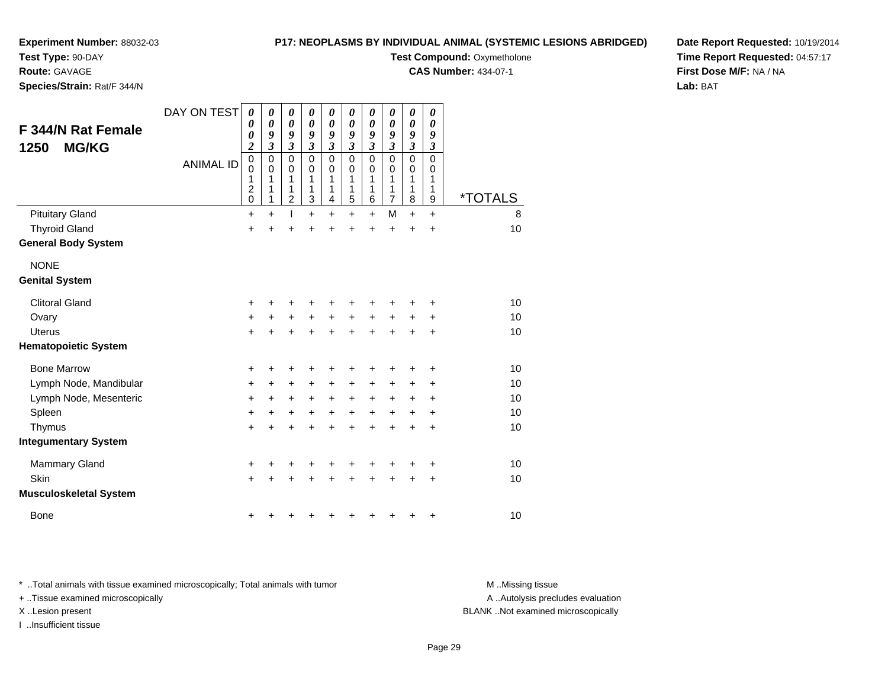**Test Type:** 90-DAY

**Route:** GAVAGE

**Species/Strain:** Rat/F 344/N

**P17: NEOPLASMS BY INDIVIDUAL ANIMAL (SYSTEMIC LESIONS ABRIDGED)**

**Test Compound: Oxymetholone** 

**CAS Number:** 434-07-1

**Date Report Requested:** 10/19/2014**Time Report Requested:** 04:57:17**First Dose M/F:** NA / NA**Lab:** BAT

| F 344/N Rat Female<br><b>MG/KG</b><br>1250 | DAY ON TEST<br><b>ANIMAL ID</b> | 0<br>0<br>0<br>$\boldsymbol{2}$<br>$\mathbf 0$             | 0<br>$\boldsymbol{\theta}$<br>9<br>$\mathfrak{z}$<br>$\pmb{0}$ | 0<br>0<br>9<br>$\mathfrak{z}$<br>$\mathbf 0$ | 0<br>$\boldsymbol{\theta}$<br>9<br>$\mathfrak{z}$<br>$\mathbf 0$ | 0<br>0<br>9<br>$\mathfrak{z}$<br>$\mathbf 0$ | 0<br>$\boldsymbol{\theta}$<br>9<br>$\mathfrak{z}$<br>$\mathbf 0$ | 0<br>0<br>9<br>$\mathfrak{z}$<br>$\mathsf 0$ | 0<br>0<br>9<br>3<br>$\mathbf 0$ | 0<br>0<br>9<br>3<br>0 | 0<br>$\boldsymbol{\theta}$<br>9<br>$\mathfrak{z}$<br>$\pmb{0}$ |                       |
|--------------------------------------------|---------------------------------|------------------------------------------------------------|----------------------------------------------------------------|----------------------------------------------|------------------------------------------------------------------|----------------------------------------------|------------------------------------------------------------------|----------------------------------------------|---------------------------------|-----------------------|----------------------------------------------------------------|-----------------------|
|                                            |                                 | $\mathbf 0$<br>1<br>$\overline{\mathbf{c}}$<br>$\mathbf 0$ | $\mathbf 0$<br>1<br>1<br>1                                     | 0<br>1<br>1<br>$\overline{c}$                | 0<br>1<br>1<br>3                                                 | 0<br>1<br>1<br>4                             | 0<br>1<br>1<br>5                                                 | $\mathbf 0$<br>1<br>1<br>6                   | 0<br>1<br>1<br>$\overline{7}$   | 0<br>1<br>1<br>8      | 0<br>1<br>1<br>9                                               | <i><b>*TOTALS</b></i> |
| <b>Pituitary Gland</b>                     |                                 | $\ddot{}$                                                  | $\ddot{}$                                                      |                                              | $\ddot{}$                                                        | $\ddot{}$                                    | $\ddot{}$                                                        | $+$                                          | M                               | $\ddot{}$             | $\ddot{}$                                                      | 8                     |
| <b>Thyroid Gland</b>                       |                                 | +                                                          | $\ddot{}$                                                      | $\ddot{}$                                    | $\ddot{}$                                                        | $\ddot{}$                                    | $\ddot{}$                                                        | $\ddot{}$                                    | $\ddot{}$                       | $\ddot{}$             | $\ddot{}$                                                      | 10                    |
| <b>General Body System</b>                 |                                 |                                                            |                                                                |                                              |                                                                  |                                              |                                                                  |                                              |                                 |                       |                                                                |                       |
| <b>NONE</b>                                |                                 |                                                            |                                                                |                                              |                                                                  |                                              |                                                                  |                                              |                                 |                       |                                                                |                       |
| <b>Genital System</b>                      |                                 |                                                            |                                                                |                                              |                                                                  |                                              |                                                                  |                                              |                                 |                       |                                                                |                       |
| <b>Clitoral Gland</b>                      |                                 | +                                                          | +                                                              | +                                            | +                                                                | +                                            | +                                                                | ٠                                            |                                 | +                     | +                                                              | 10                    |
| Ovary                                      |                                 | +                                                          | $\ddot{}$                                                      | $\ddot{}$                                    | $\ddot{}$                                                        | $\ddot{}$                                    | $+$                                                              | $+$                                          | $\ddot{}$                       | $\ddot{}$             | $\ddot{}$                                                      | 10 <sup>1</sup>       |
| <b>Uterus</b>                              |                                 | $\ddot{}$                                                  | $\ddot{}$                                                      | $\ddot{}$                                    | $\ddot{}$                                                        | $\ddot{}$                                    | $+$                                                              | $+$                                          | $\ddot{}$                       | $\ddot{}$             | $\ddot{}$                                                      | 10                    |
| <b>Hematopoietic System</b>                |                                 |                                                            |                                                                |                                              |                                                                  |                                              |                                                                  |                                              |                                 |                       |                                                                |                       |
| <b>Bone Marrow</b>                         |                                 | +                                                          | +                                                              | +                                            | +                                                                | +                                            | +                                                                | +                                            | +                               | +                     | +                                                              | 10                    |
| Lymph Node, Mandibular                     |                                 | +                                                          | +                                                              | $\ddot{}$                                    | +                                                                | $\ddot{}$                                    | $\pm$                                                            | $\ddot{}$                                    | +                               | +                     | +                                                              | 10                    |
| Lymph Node, Mesenteric                     |                                 | $\ddot{}$                                                  | $\ddot{}$                                                      | +                                            | $\ddot{}$                                                        | +                                            | $\ddot{}$                                                        | $\ddot{}$                                    | $\ddot{}$                       | +                     | +                                                              | 10                    |
| Spleen                                     |                                 | $\ddot{}$                                                  | $\ddot{}$                                                      | $\ddot{}$                                    | $\ddot{}$                                                        | $\ddot{}$                                    | $+$                                                              | $\ddot{}$                                    | $\ddot{}$                       | +                     | +                                                              | 10                    |
| Thymus                                     |                                 | $\ddot{}$                                                  | $\ddot{}$                                                      | $\ddot{}$                                    | $\ddot{}$                                                        | $\ddot{}$                                    | $\ddot{}$                                                        | $\ddot{}$                                    | $\ddot{}$                       | $\ddot{}$             | $\ddot{}$                                                      | 10                    |
| <b>Integumentary System</b>                |                                 |                                                            |                                                                |                                              |                                                                  |                                              |                                                                  |                                              |                                 |                       |                                                                |                       |
| <b>Mammary Gland</b>                       |                                 | +                                                          |                                                                |                                              |                                                                  | +                                            |                                                                  |                                              |                                 |                       | +                                                              | 10                    |
| Skin                                       |                                 | $+$                                                        |                                                                | $\ddot{}$                                    | ÷                                                                | $\ddot{}$                                    | +                                                                | $\div$                                       | ÷                               | +                     | +                                                              | 10                    |
| <b>Musculoskeletal System</b>              |                                 |                                                            |                                                                |                                              |                                                                  |                                              |                                                                  |                                              |                                 |                       |                                                                |                       |
| <b>Bone</b>                                |                                 | +                                                          |                                                                | ٠                                            | +                                                                | +                                            | +                                                                | ٠                                            | +                               | +                     | +                                                              | 10                    |

\* ..Total animals with tissue examined microscopically; Total animals with tumor **M** . Missing tissue M ..Missing tissue

+ ..Tissue examined microscopically

I ..Insufficient tissue